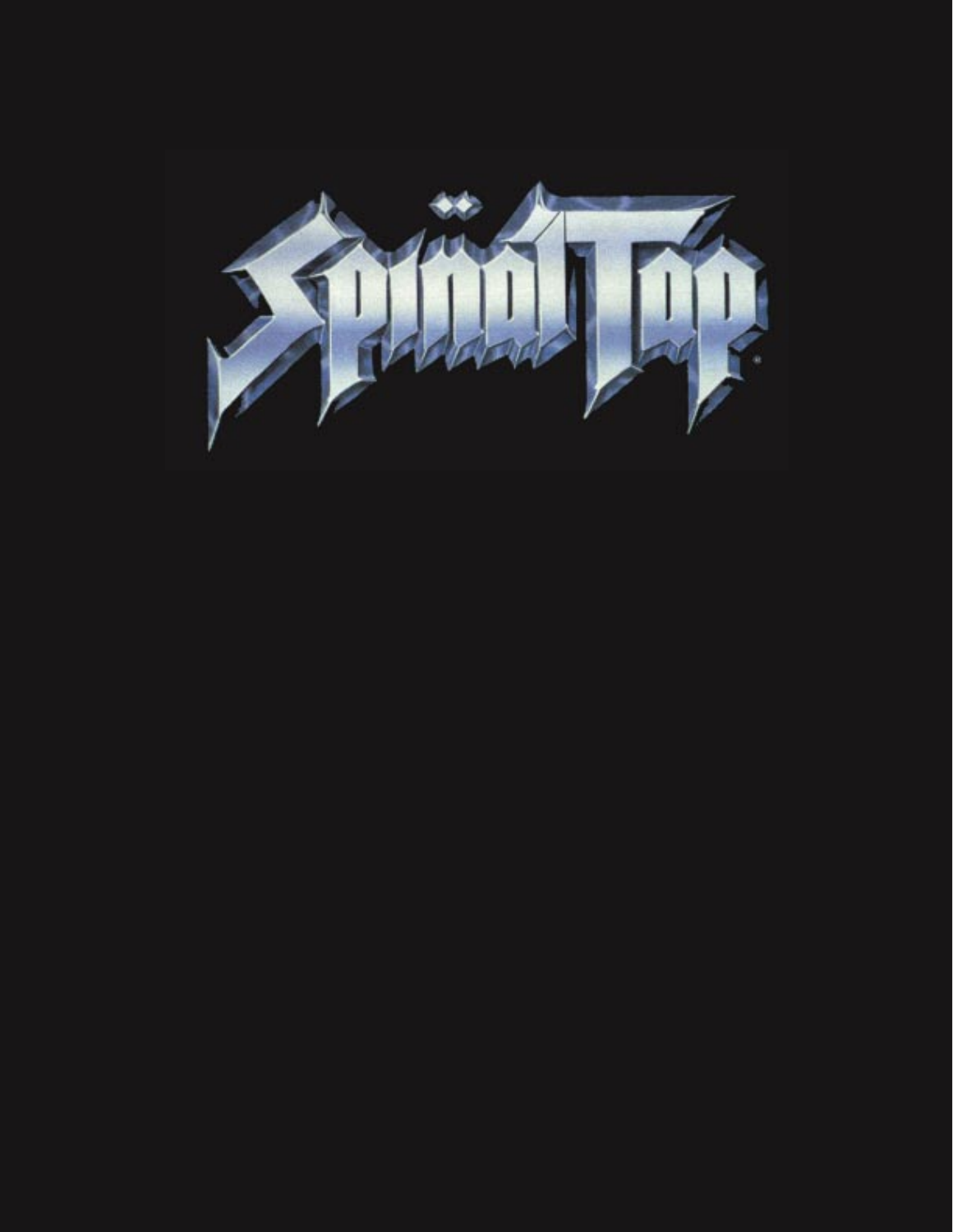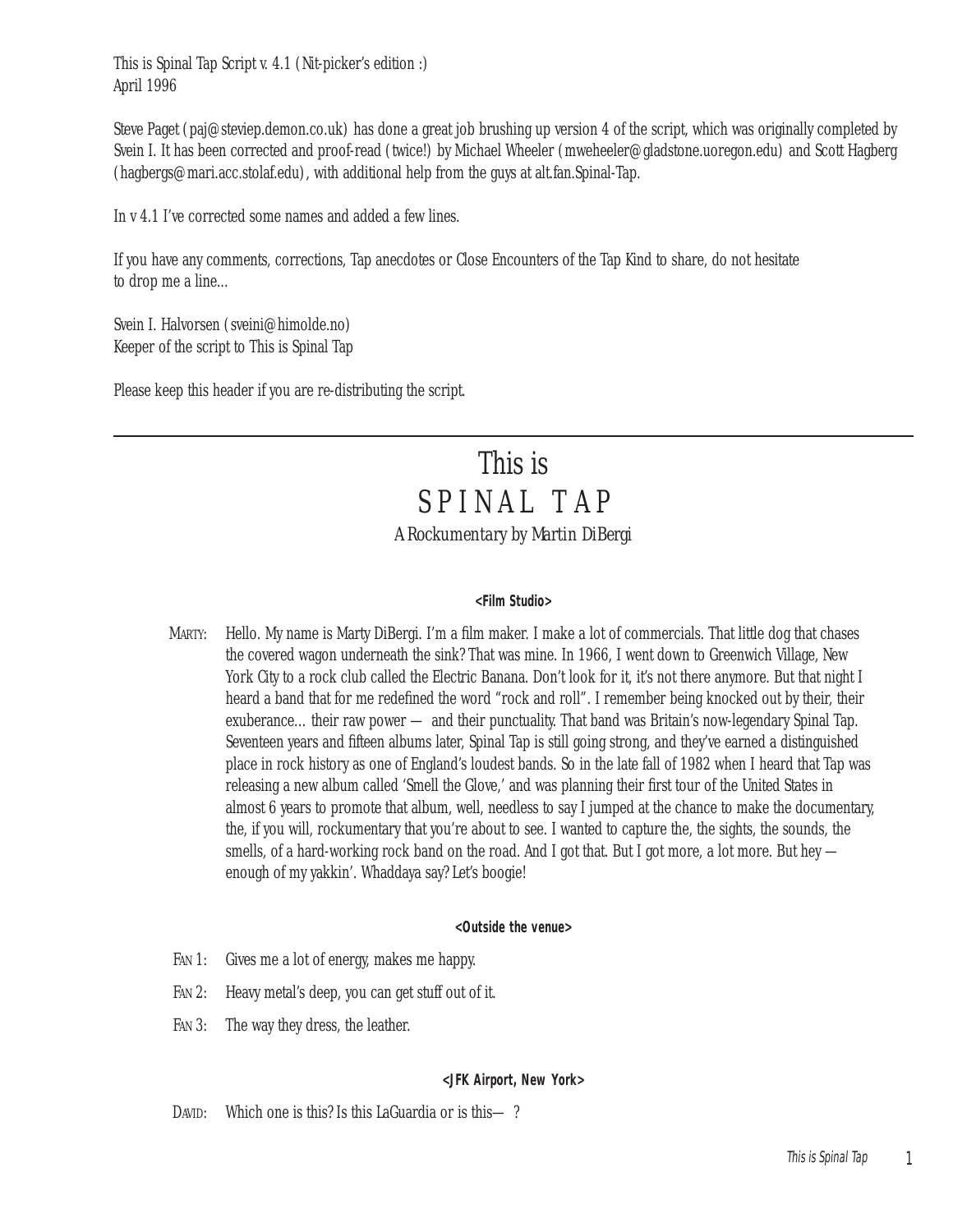This is Spinal Tap Script v. 4.1 (Nit-picker's edition :) April 1996

Steve Paget (paj@steviep.demon.co.uk) has done a great job brushing up version 4 of the script, which was originally completed by Svein I. It has been corrected and proof-read (twice!) by Michael Wheeler (mweheeler@gladstone.uoregon.edu) and Scott Hagberg (hagbergs@mari.acc.stolaf.edu), with additional help from the guys at alt.fan.Spinal-Tap.

In v 4.1 I've corrected some names and added a few lines.

If you have any comments, corrections, Tap anecdotes or Close Encounters of the Tap Kind to share, do not hesitate to drop me a line...

Svein I. Halvorsen (sveini@himolde.no) Keeper of the script to This is Spinal Tap

Please keep this header if you are re-distributing the script.

# This is S P I N A L T A P

*A Rockumentary by Martin DiBergi*

# **<Film Studio>**

MARTY: Hello. My name is Marty DiBergi. I'm a film maker. I make a lot of commercials. That little dog that chases the covered wagon underneath the sink? That was mine. In 1966, I went down to Greenwich Village, New York City to a rock club called the Electric Banana. Don't look for it, it's not there anymore. But that night I heard a band that for me redefined the word "rock and roll". I remember being knocked out by their, their exuberance…their raw power — and their punctuality. That band was Britain's now-legendary Spinal Tap. Seventeen years and fifteen albums later, Spinal Tap is still going strong, and they've earned a distinguished place in rock history as one of England's loudest bands. So in the late fall of 1982 when I heard that Tap was releasing a new album called 'Smell the Glove,' and was planning their first tour of the United States in almost 6 years to promote that album, well, needless to say I jumped at the chance to make the documentary, the, if you will, rockumentary that you're about to see. I wanted to capture the, the sights, the sounds, the smells, of a hard-working rock band on the road. And I got that. But I got more, a lot more. But hey enough of my yakkin'. Whaddaya say? Let's boogie!

**<Outside the venue>** 

- FAN 1: Gives me a lot of energy, makes me happy.
- FAN 2: Heavy metal's deep, you can get stuff out of it.
- FAN 3: The way they dress, the leather.

**<JFK Airport, New York>**

DAVID: Which one is this? Is this LaGuardia or is this - ?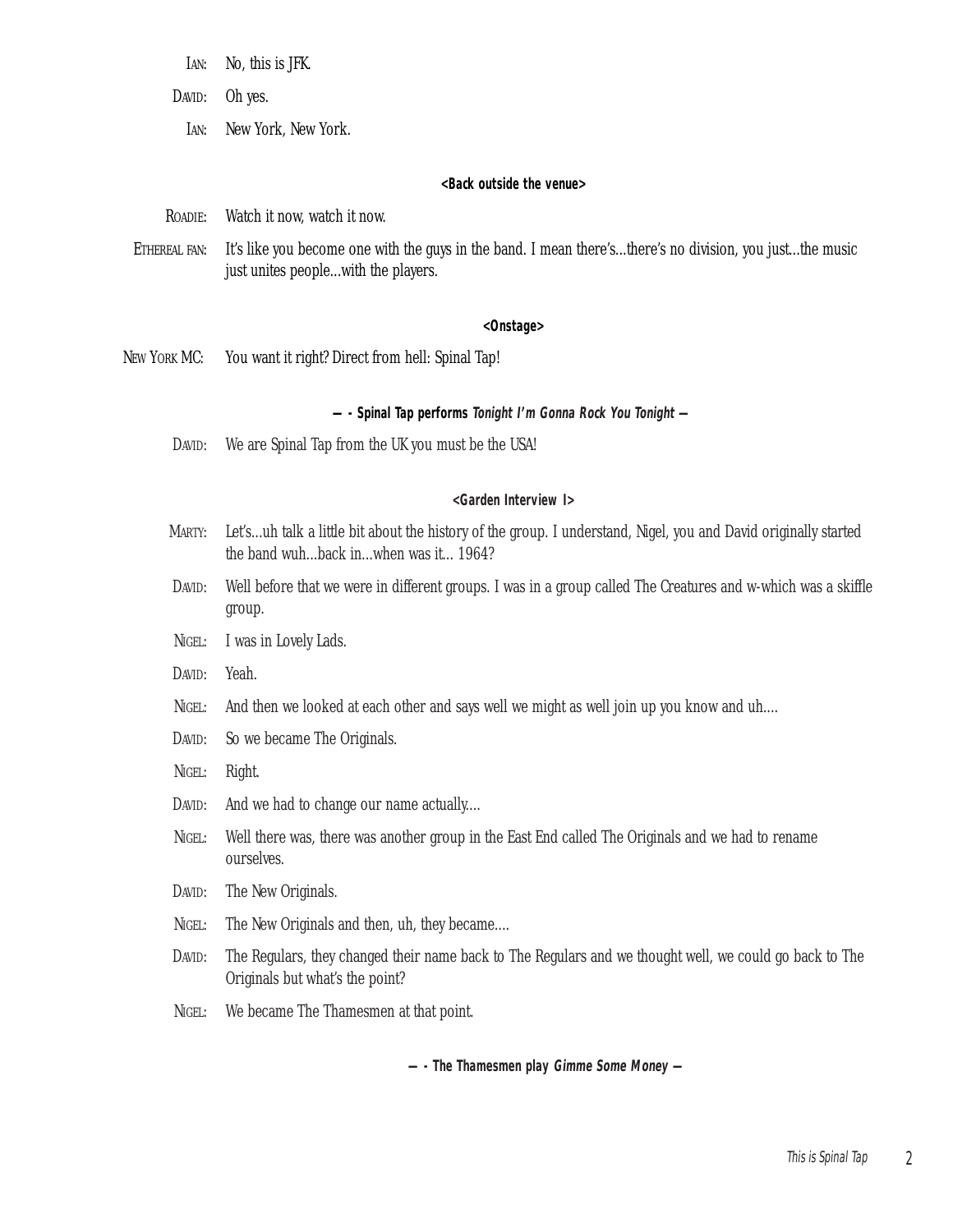IAN: No, this is JFK.

DAVID: Oh yes.

IAN: New York, New York.

**<Back outside the venue>** 

ROADIE: Watch it now, watch it now.

ETHEREAL FAN: It's like you become one with the guys in the band. I mean there's...there's no division, you just...the music just unites people...with the players.

# **<Onstage>**

NEW YORK MC: You want it right? Direct from hell: Spinal Tap!

**—- Spinal Tap performs Tonight I'm Gonna Rock You Tonight —**

DAVID: We are Spinal Tap from the UK you must be the USA!

## **<Garden Interview I>**

- MARTY: Let's...uh talk a little bit about the history of the group. I understand, Nigel, you and David originally started the band wuh...back in...when was it... 1964?
- DAVID: Well before that we were in different groups. I was in a group called The Creatures and w-which was a skiffle group.
- NIGEL: I was in Lovely Lads.
- DAVID: Yeah.
- NIGEL: And then we looked at each other and says well we might as well join up you know and uh....
- DAVID: So we became The Originals.
- NIGEL: Right.
- DAVID: And we had to change our name actually....
- NIGEL: Well there was, there was another group in the East End called The Originals and we had to rename ourselves.
- DAVID: The New Originals.
- NIGEL: The New Originals and then, uh, they became....
- DAVID: The Regulars, they changed their name back to The Regulars and we thought well, we could go back to The Originals but what's the point?
- NIGEL: We became The Thamesmen at that point.

**—- The Thamesmen play Gimme Some Money —**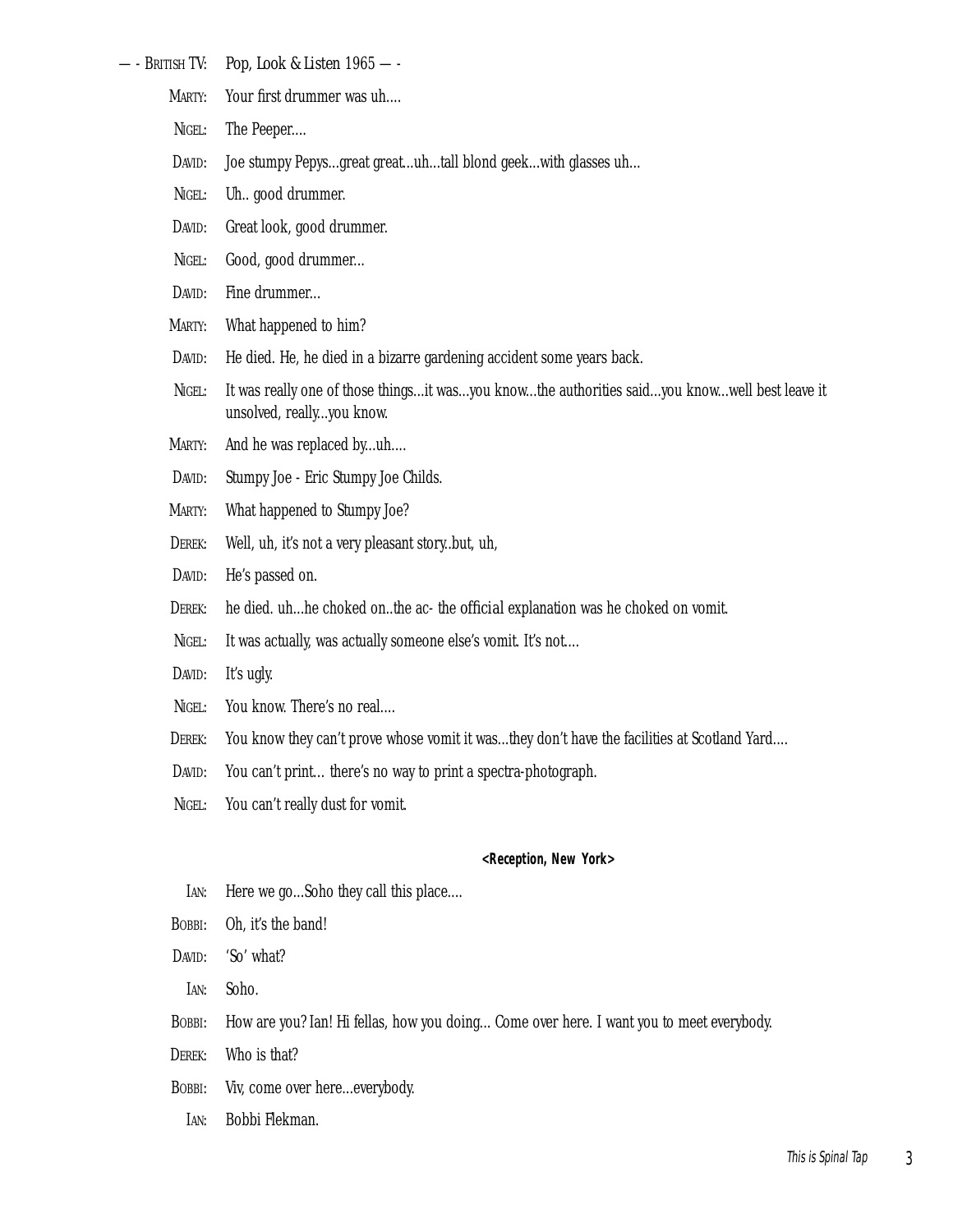—- BRITISH TV: *Pop, Look & Listen* 1965 —-

- MARTY: Your first drummer was uh....
- NIGEL: The Peeper....
- DAVID: Joe stumpy Pepys...great great...uh...tall blond geek...with glasses uh...
- NIGEL: Uh.. good drummer.
- DAVID: Great look, good drummer.
- NIGEL: Good, good drummer...
- DAVID: Fine drummer...
- MARTY: What happened to him?
- DAVID: He died. He, he died in a bizarre gardening accident some years back.
- NIGEL: It was really one of those things...it was...you know...the authorities said...you know...well best leave it unsolved, really...you know.
- MARTY: And he was replaced by...uh....
- DAVID: Stumpy Joe Eric Stumpy Joe Childs.
- MARTY: What happened to Stumpy Joe?
- DEREK: Well, uh, it's not a very pleasant story..but, uh,
- DAVID: He's passed on.
- DEREK: he died. uh...he choked on..the ac- the *official* explanation was he choked on vomit.
- NIGEL: It was actually, was actually someone else's vomit. It's not....
- DAVID: It's ugly.
- NIGEL: You know. There's no real....
- DEREK: You know they can't prove whose vomit it was...they don't have the facilities at Scotland Yard....
- DAVID: You can't print...there's no way to print a spectra-photograph.
- NIGEL: You can't really dust for vomit.

#### **<Reception, New York>**

- IAN: Here we go...Soho they call this place....
- BOBBI: Oh, it's the band!
- DAVID: 'So' what?
- IAN: Soho.
- BOBBI: How are you? Ian! Hi fellas, how you doing... Come over here. I want you to meet everybody.
- DEREK: Who is that?
- BOBBI: Viv, come over here...everybody.
	- IAN: Bobbi Flekman.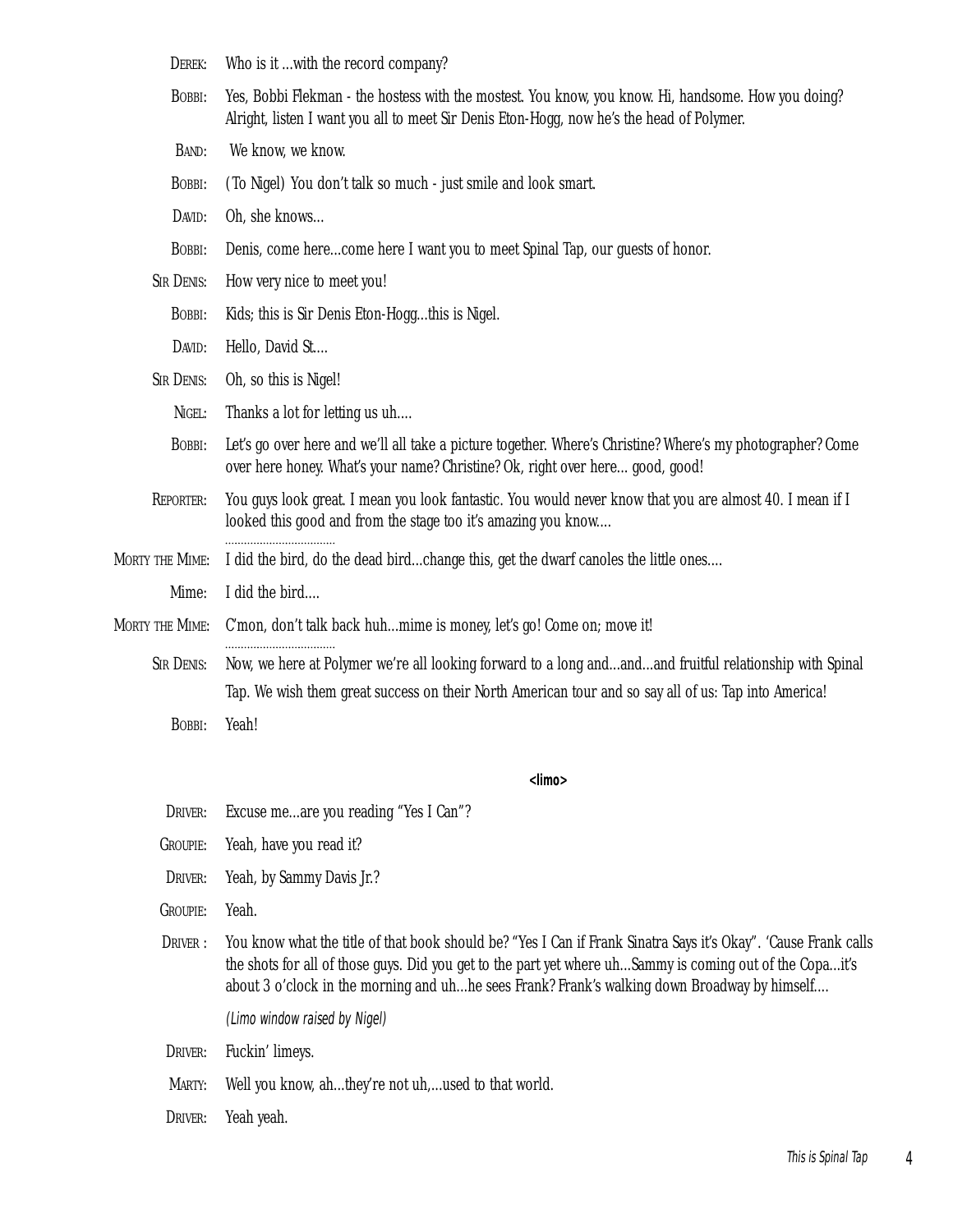- DEREK: Who is it ... with the record company?
- BOBBI: Yes, Bobbi Flekman the hostess with the mostest. You know, you know. Hi, handsome. How you doing? Alright, listen I want you all to meet Sir Denis Eton-Hogg, now he's the head of Polymer.
- BAND: We know, we know.
- BOBBI: (To Nigel) You don't talk so much just smile and look smart.
- DAVID: Oh, she knows...
- BOBBI: Denis, come here...come here I want you to meet Spinal Tap, our guests of honor.
- SIR DENIS: How very nice to meet you!
	- BOBBI: Kids; this is Sir Denis Eton-Hogg...this is Nigel.
	- DAVID: Hello, David St....
- SIR DENIS: Oh, so this is Nigel!
	- NIGEL: Thanks a lot for letting us uh....
	- BOBBI: Let's go over here and we'll all take a picture together. Where's Christine? Where's my photographer? Come over here honey. What's your name? Christine? Ok, right over here... good, good!
- REPORTER: You guys look great. I mean you look fantastic. You would never know that you are almost 40. I mean if I looked this good and from the stage too it's amazing you know....
- MORTY THE MIME: I did the bird, do the dead bird...change this, get the dwarf canoles the little ones....
	- Mime: I did the bird....
- MORTY THE MIME: C'mon, don't talk back huh...mime is money, let's go! Come on; move it!
	- SIR DENIS: Now, we here at Polymer we're all looking forward to a long and...and...and fruitful relationship with Spinal Tap. We wish them great success on their North American tour and so say all of us: Tap into America!
		- BOBBI: Yeah!

**<limo>** 

- DRIVER: Excuse me...are you reading "Yes I Can"?
- GROUPIE: Yeah, have you read it?
- DRIVER: Yeah, by Sammy Davis Jr.?
- GROUPIE: Yeah.
- DRIVER : You know what the title of that book should be? "Yes I Can if Frank Sinatra Says it's Okay". 'Cause Frank calls the shots for all of those guys. Did you get to the part yet where uh...Sammy is coming out of the Copa...it's about 3 o'clock in the morning and uh...he sees Frank? Frank's walking down Broadway by himself....

(Limo window raised by Nigel)

- DRIVER: Fuckin' limeys.
- MARTY: Well you know, ah...they're not uh,...used to that world.
- DRIVER: Yeah yeah.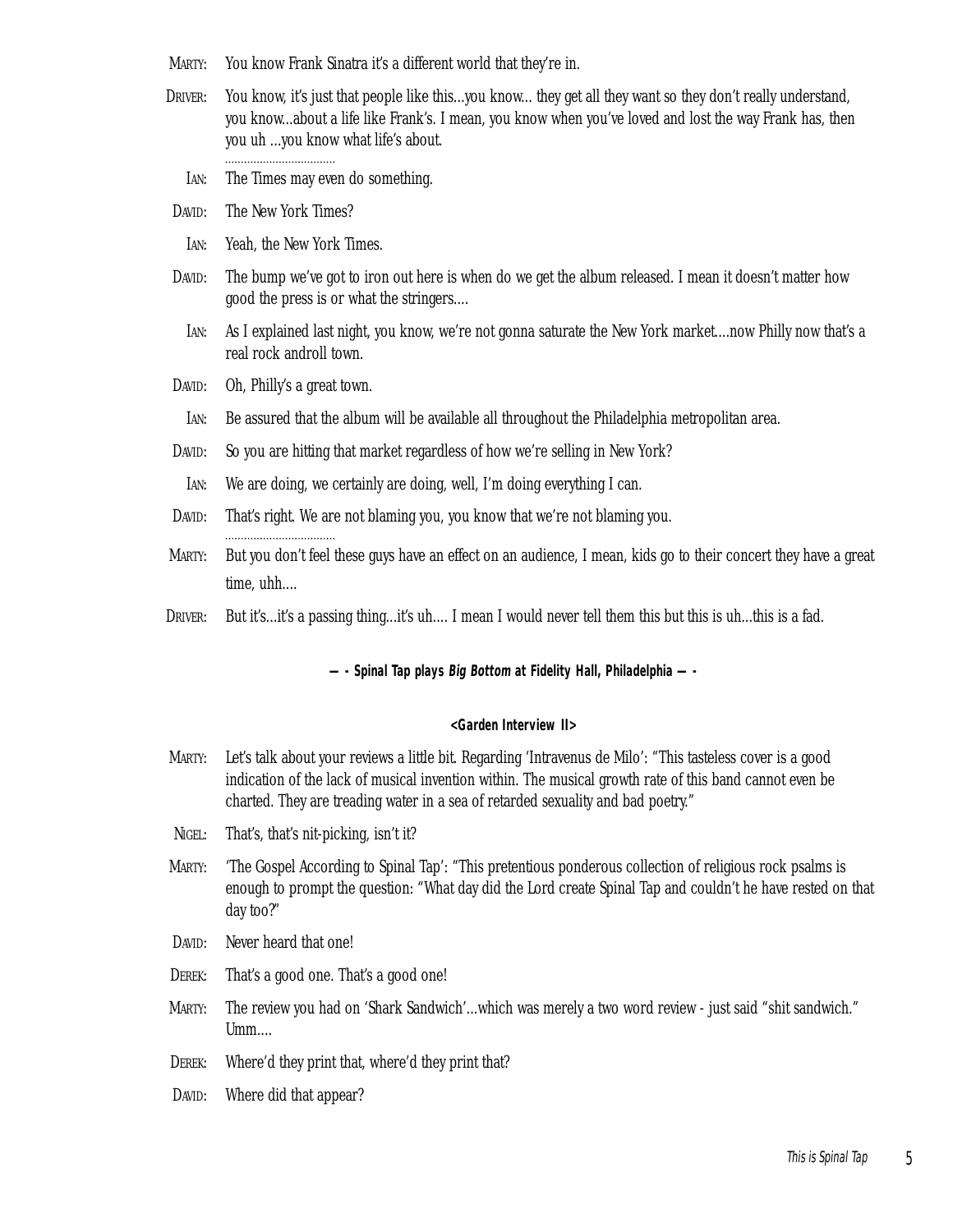- MARTY: You know Frank Sinatra it's a different world that they're in.
- DRIVER: You know, it's just that people like this...you know... they get all they want so they don't really understand, you know...about a life like Frank's. I mean, you know when you've loved and lost the way Frank has, then you uh ...you know what life's about.
	- IAN: The Times may even do something.
- DAVID: The New York Times?
	- IAN: Yeah, the New York Times.

- DAVID: The bump we've got to iron out here is when do we get the album released. I mean it doesn't matter how good the press is or what the stringers....
	- IAN: As I explained last night, you know, we're not gonna saturate the New York market....now Philly now that's a real rock androll town.
- DAVID: Oh, Philly's a great town.

- IAN: Be assured that the album will be available all throughout the Philadelphia metropolitan area.
- DAVID: So you are hitting that market regardless of how we're selling in New York?
- IAN: We are doing, we certainly are doing, well, I'm doing everything I can.
- DAVID: That's right. We are not blaming you, you know that we're not blaming you.
- MARTY: But you don't feel these guys have an effect on an audience, I mean, kids go to their concert they have a great time, uhh....
- DRIVER: But it's...it's a passing thing...it's uh.... I mean I would never tell them this but this is uh...this is a fad.

**—- Spinal Tap plays Big Bottom at Fidelity Hall, Philadelphia —-**

# **<Garden Interview II>**

- MARTY: Let's talk about your reviews a little bit. Regarding 'Intravenus de Milo': "This tasteless cover is a good indication of the lack of musical invention within. The musical growth rate of this band cannot even be charted. They are treading water in a sea of retarded sexuality and bad poetry."
- NIGEL: That's, that's nit-picking, isn't it?
- MARTY: 'The Gospel According to Spinal Tap': "This pretentious ponderous collection of religious rock psalms is enough to prompt the question: "What day did the Lord create Spinal Tap and couldn't he have rested on that day too?"
- DAVID: Never heard that one!
- DEREK: That's a good one. That's a good one!
- MARTY: The review you had on 'Shark Sandwich'...which was merely a two word review just said "shit sandwich." Umm....
- DEREK: Where'd they print that, where'd they print that?
- DAVID: Where did that appear?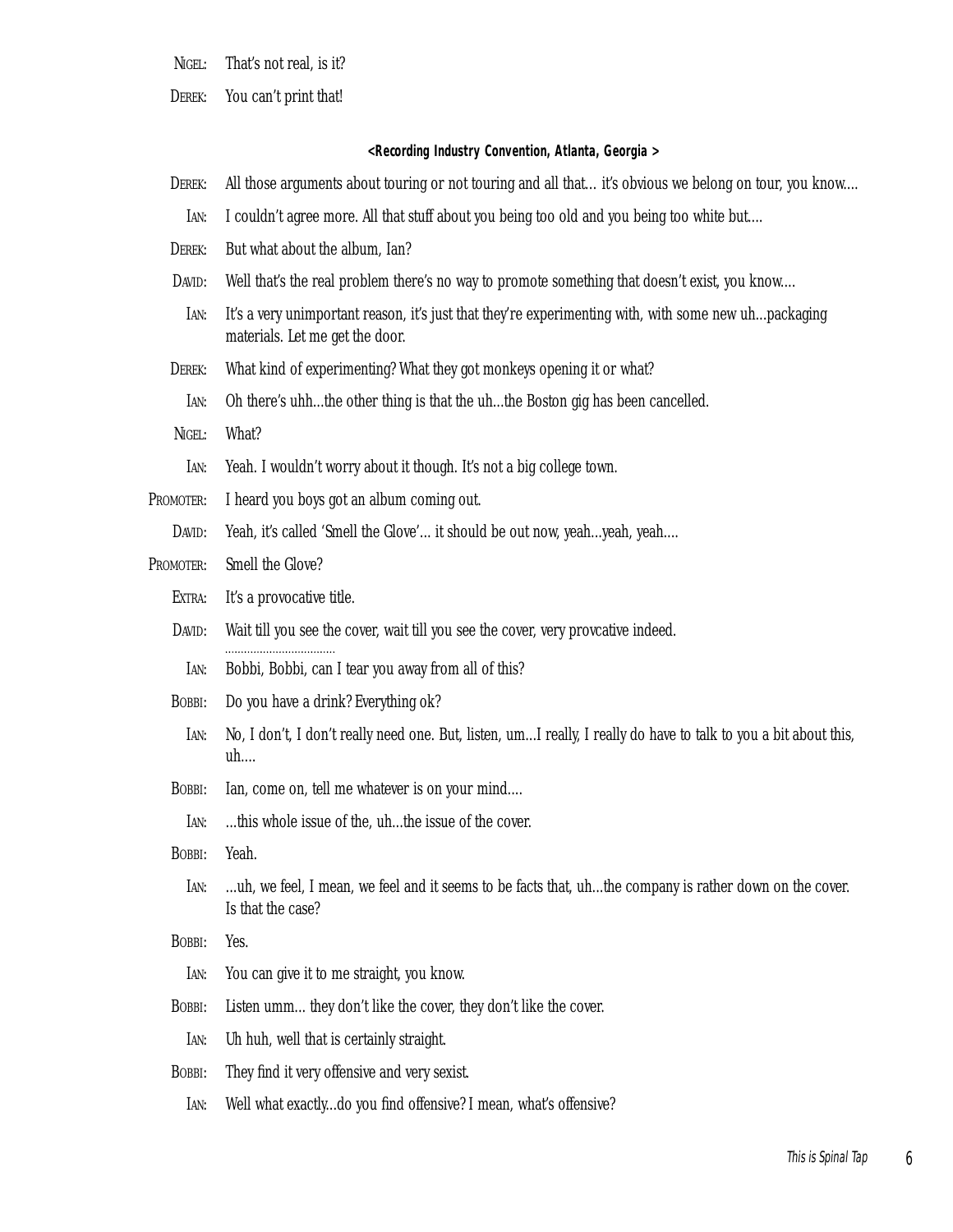- NIGEL: That's not real, is it?
- DEREK: You can't print that!

**<Recording Industry Convention, Atlanta, Georgia >** 

- DEREK: All those arguments about touring or not touring and all that…it's obvious we belong on tour, you know....
	- IAN: I couldn't agree more. All that stuff about you being too old and you being too white but....
- DEREK: But what about the album, Ian?
- DAVID: Well that's the real problem there's no way to promote something that doesn't exist, you know....
	- IAN: It's a very unimportant reason, it's just that they're experimenting with, with some new uh...packaging materials. Let me get the door.
- DEREK: What kind of experimenting? What they got monkeys opening it or what?
	- IAN: Oh there's uhh...the other thing is that the uh...the Boston gig has been cancelled.
- NIGEL: What?
- IAN: Yeah. I wouldn't worry about it though. It's not a big college town.
- PROMOTER: I heard you boys got an album coming out.
	- DAVID: Yeah, it's called 'Smell the Glove'... it should be out now, yeah...yeah, yeah....

# PROMOTER: Smell the Glove?

- EXTRA: It's a provocative title.
- DAVID: Wait till you see the cover, wait till you see the cover, very provcative indeed.
	- IAN: Bobbi, Bobbi, can I tear you away from all of this?
- BOBBI: Do you have a drink? Everything ok?
- IAN: No, I don't, I don't really need one. But, listen, um...I really, I really do have to talk to you a bit about this, uh....
- BOBBI: Ian, come on, tell me whatever is on your mind....
- IAN: ...this whole issue of the, uh...the issue of the cover.
- BOBBI: Yeah.
	- IAN: ...uh, we feel, I mean, we feel and it seems to be facts that, uh...the company is rather down on the cover. Is that the case?
- BOBBI: Yes.
	- IAN: You can give it to me straight, you know.
- BOBBI: Listen umm... they don't like the cover, they don't like the cover.
	- IAN: Uh huh, well that is certainly straight.
- BOBBI: They find it very offensive and very sexist.
	- IAN: Well what exactly...do you find offensive? I mean, what's offensive?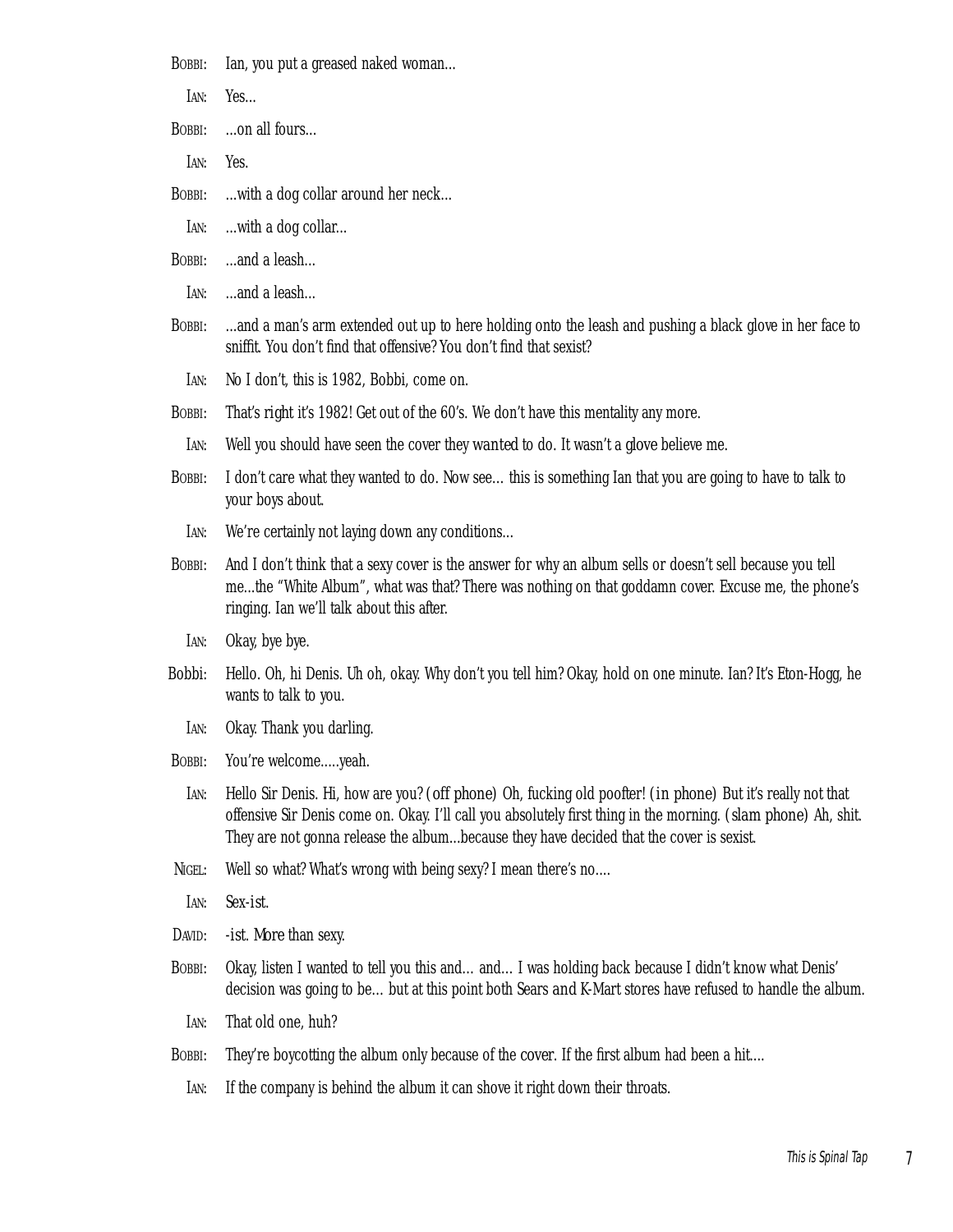BOBBI: Ian, you put a greased naked woman...

- IAN: Yes...
- BOBBI: ...on all fours...
	- IAN: Yes.
- BOBBI: ...with a dog collar around her neck...
- IAN: ...with a dog collar...
- BOBBI: ...and a leash...
	- IAN: ...and a leash...
- BOBBI: ...and a man's arm extended out up to here holding onto the leash and pushing a black glove in her face to sniffit. You don't find that offensive? You don't find that sexist?
- IAN: No I don't, this is 1982, Bobbi, come on.
- BOBBI: That's *right* it's 1982! Get out of the 60's. We don't have this mentality any more.
- IAN: Well you should have seen the cover they *wanted* to do. It wasn't a *glove* believe me.
- BOBBI: I don't care what they wanted to do. Now see…this is something Ian that you are going to have to talk to your boys about.
	- IAN: We're certainly not laying down any conditions...
- BOBBI: And I don't think that a sexy cover is the answer for why an album sells or doesn't sell because you tell me...the "White Album", what was that? There was nothing on that goddamn cover. Excuse me, the phone's ringing. Ian we'll talk about this after.
	- IAN: Okay, bye bye.
- Bobbi: Hello. Oh, hi Denis. Uh oh, okay. Why don't you tell him? Okay, hold on one minute. Ian? It's Eton-Hogg, he wants to talk to you.
	- IAN: Okay. Thank you darling.
- BOBBI: You're welcome.....yeah.
- IAN: Hello Sir Denis. Hi, how are you? *(off phone)* Oh, fucking old poofter! *(in phone)* But it's really not that offensive Sir Denis come on. Okay. I'll call you absolutely first thing in the morning. *(slam phone)* Ah, shit. They are not gonna release the album...because they have decided that the cover is sexist.
- NIGEL: Well so what? What's wrong with being sexy? I mean there's no....
	- IAN: Sex-*ist*.
- DAVID: -*ist*. *More* than sexy.
- BOBBI: Okay, listen I wanted to tell you this and…and…I was holding back because I didn't know what Denis' decision was going to be…but at this point both Sears *and* K-Mart stores have refused to handle the album.
	- IAN: That old one, huh?
- BOBBI: They're boycotting the album only because of the *cover*. If the first album had been a hit....
	- IAN: If the company is behind the album it can shove it right down their throats.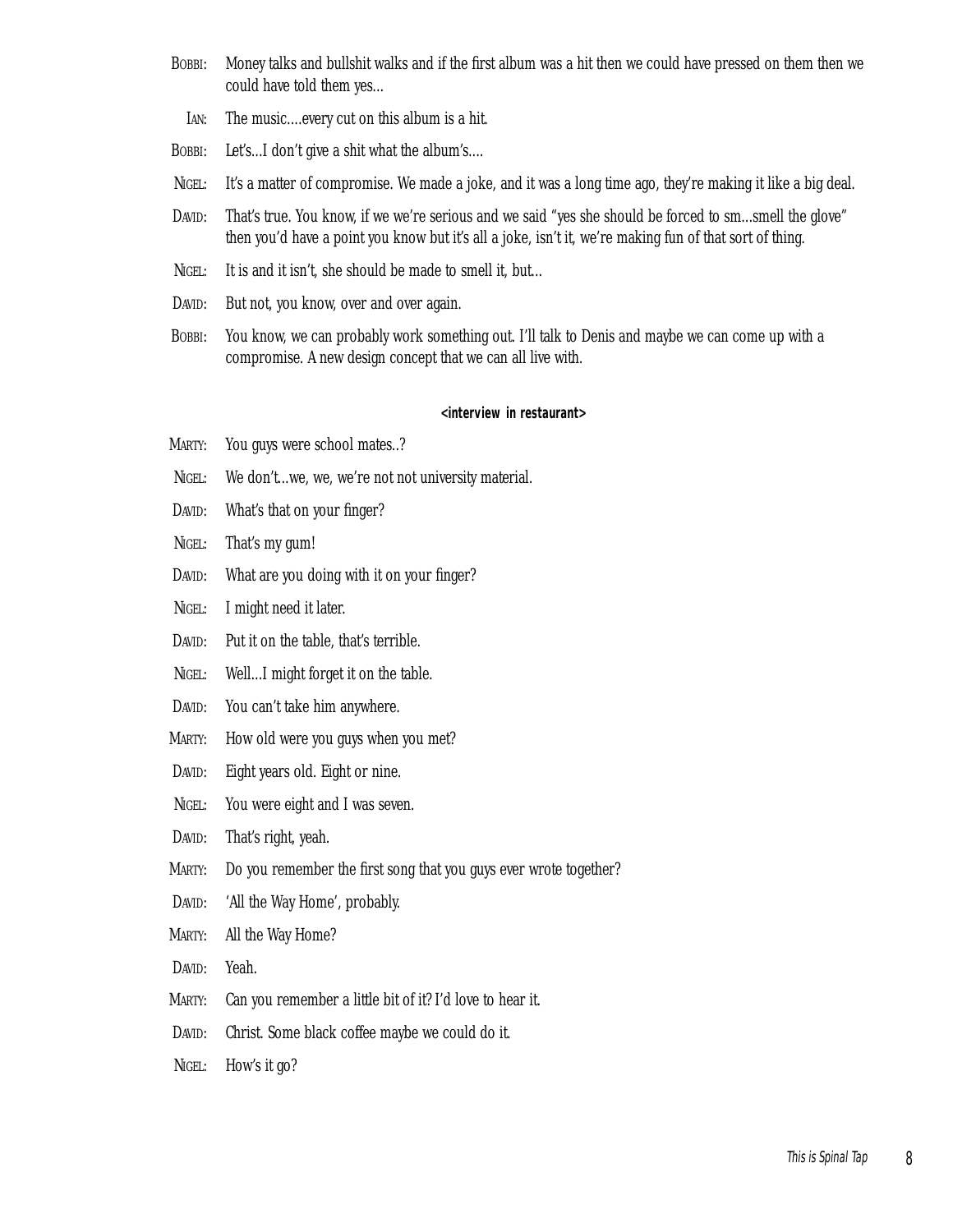- BOBBI: Money talks and bullshit walks and if the first album was a hit then we could have pressed on them then we could have told them yes...
	- IAN: The music....every cut on this album is a hit.
- BOBBI: Let's...I don't give a shit what the album's....
- NIGEL: It's a matter of compromise. We made a joke, and it was a long time ago, they're making it like a big deal.
- DAVID: That's true. You know, if we we're serious and we said "yes she should be forced to sm...smell the glove" then you'd have a point you know but it's all a joke, isn't it, we're making fun of that sort of thing.
- NIGEL: It is and it isn't, she should be made to smell it, but...
- DAVID: But not, you know, over and over again.
- BOBBI: You know, we can probably work something out. I'll talk to Denis and maybe we can come up with a compromise. A new design concept that we can all live with.

# **<interview in restaurant>**

- MARTY: You guys were school mates..?
- NIGEL: We don't...we, we, we're not not university material.
- DAVID: What's that on your finger?
- NIGEL: That's my gum!
- DAVID: What are you doing with it on your finger?
- NIGEL: I might need it later.
- DAVID: Put it on the table, that's terrible.
- NIGEL: Well...I might forget it on the table.
- DAVID: You can't take him anywhere.
- MARTY: How old were you guys when you met?
- DAVID: Eight years old. Eight or nine.
- NIGEL: You were eight and I was seven.
- DAVID: That's right, yeah.
- MARTY: Do you remember the first song that you guys ever wrote together?
- DAVID: 'All the Way Home', probably.
- MARTY: All the Way Home?
- DAVID: Yeah.
- MARTY: Can you remember a little bit of it? I'd love to hear it.
- DAVID: Christ. Some black coffee maybe we could do it.
- NIGEL: How's it go?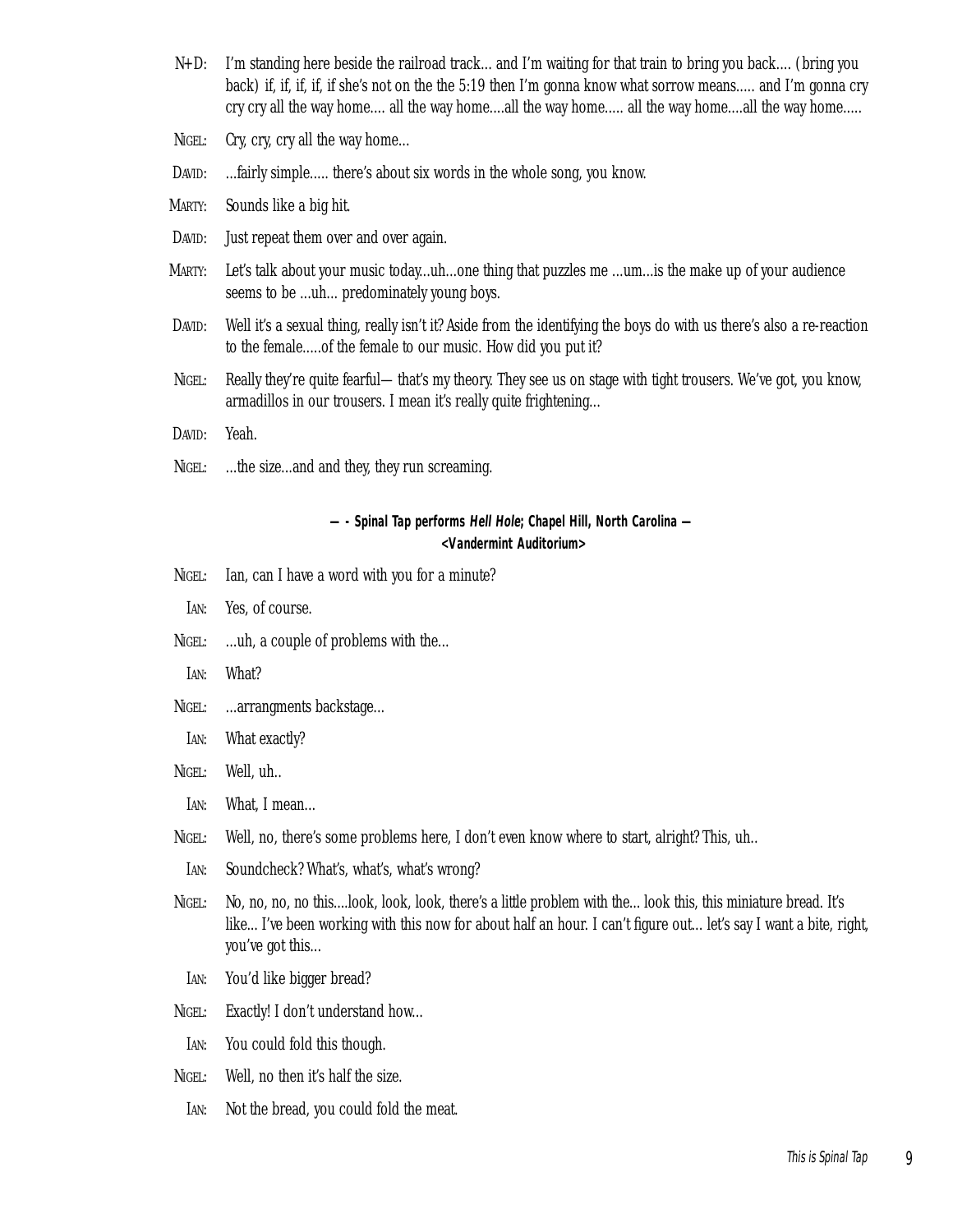- N+D: I'm standing here beside the railroad track... and I'm waiting for that train to bring you back.... (bring you back) if, if, if, if, if she's not on the the 5:19 then I'm gonna know what sorrow means..... and I'm gonna cry cry cry all the way home.... all the way home....all the way home..... all the way home....all the way home.....
- NIGEL: Cry, cry, cry all the way home...
- DAVID: ...fairly simple..... there's about six words in the whole song, you know.
- MARTY: Sounds like a big hit.
- DAVID: Just repeat them over and over again.
- MARTY: Let's talk about your music today...uh...one thing that puzzles me ...um...is the make up of your audience seems to be ...uh... predominately young boys.
- DAVID: Well it's a sexual thing, really isn't it? Aside from the identifying the boys do with us there's also a re-reaction to the female.....of the female to our music. How did you put it?
- NIGEL: Really they're quite fearful—that's my theory. They see us on stage with tight trousers. We've got, you know, armadillos in our trousers. I mean it's really quite frightening...
- DAVID: Yeah.
- NIGEL: ...the size...and and they, they run screaming.

# **—- Spinal Tap performs Hell Hole; Chapel Hill, North Carolina — <Vandermint Auditorium>**

- NIGEL: Ian, can I have a word with you for a minute?
- IAN: Yes, of course.
- NIGEL: ...uh, a couple of problems with the...
- IAN: What?
- NIGEL: ...arrangments backstage...
- IAN: What exactly?
- NIGEL: Well, uh..
- IAN: What, I mean...
- NIGEL: Well, no, there's some problems here, I don't even know where to start, alright? This, uh..
- IAN: Soundcheck? What's, what's, what's wrong?
- NIGEL: No, no, no, no this....look, look, look, there's a little problem with the... look this, this miniature bread. It's like... I've been working with this now for about half an hour. I can't figure out... let's say I want a bite, right, you've got this...
- IAN: You'd like bigger bread?
- NIGEL: Exactly! I don't understand how...
- IAN: You could fold this though.
- NIGEL: Well, no then it's half the size.
- IAN: Not the bread, you could fold the meat.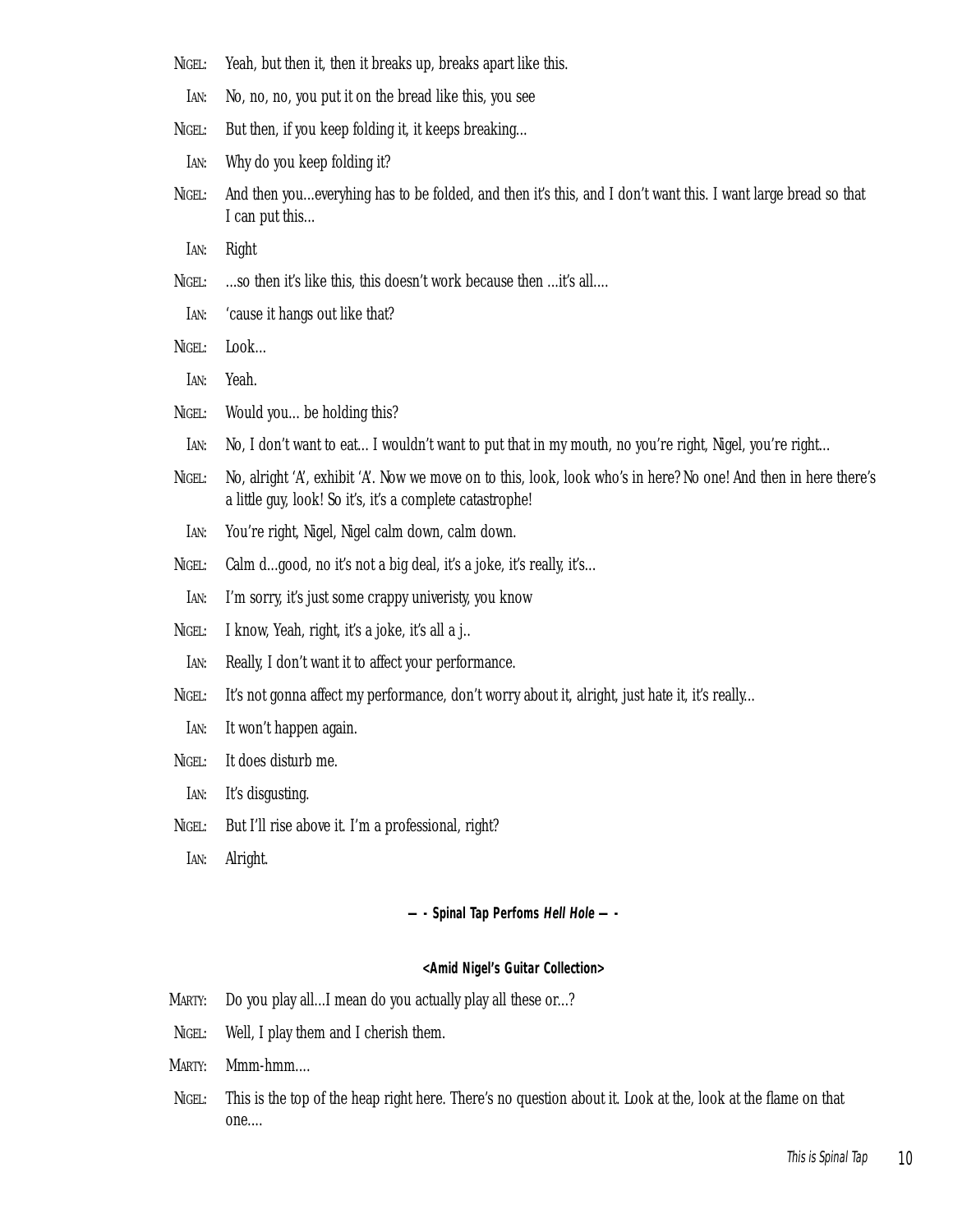- NIGEL: Yeah, but then it, then it breaks up, breaks apart like this.
- IAN: No, no, no, you put it on the bread like this, you see
- NIGEL: But then, if you keep folding it, it keeps breaking...
- IAN: Why do you keep folding it?
- NIGEL: And then you...everyhing has to be folded, and then it's this, and I don't want this. I want large bread so that I can put this...
- IAN: Right
- NIGEL: ...so then it's like this, this doesn't work because then ...it's all....
- IAN: 'cause it hangs out like that?
- NIGEL: Look...
- IAN: Yeah.
- NIGEL: Would you... be holding this?
- IAN: No, I don't want to eat... I wouldn't want to put that in my mouth, no you're right, Nigel, you're right...
- NIGEL: No, alright 'A', exhibit 'A'. Now we move on to this, look, look who's in here? No one! And then in here there's a little guy, look! So it's, it's a complete catastrophe!
- IAN: You're right, Nigel, Nigel calm down, calm down.
- NIGEL: Calm d...good, no it's not a big deal, it's a joke, it's really, it's...
- IAN: I'm sorry, it's just some crappy univeristy, you know
- NIGEL: I know, Yeah, right, it's a joke, it's all a j..
- IAN: Really, I don't want it to affect your performance.
- NIGEL: It's not gonna affect my performance, don't worry about it, alright, just hate it, it's really...
- IAN: It won't happen again.
- NIGEL: It does disturb me.
- IAN: It's disgusting.
- NIGEL: But I'll rise above it. I'm a professional, right?
- IAN: Alright.

**—- Spinal Tap Perfoms Hell Hole —-**

**<Amid Nigel's Guitar Collection>** 

- MARTY: Do you play all...I mean do you actually play all these or...?
- NIGEL: Well, I play them and I cherish them.
- MARTY: Mmm-hmm....
- NIGEL: This is the top of the heap right here. There's no question about it. Look at the, look at the flame on that one....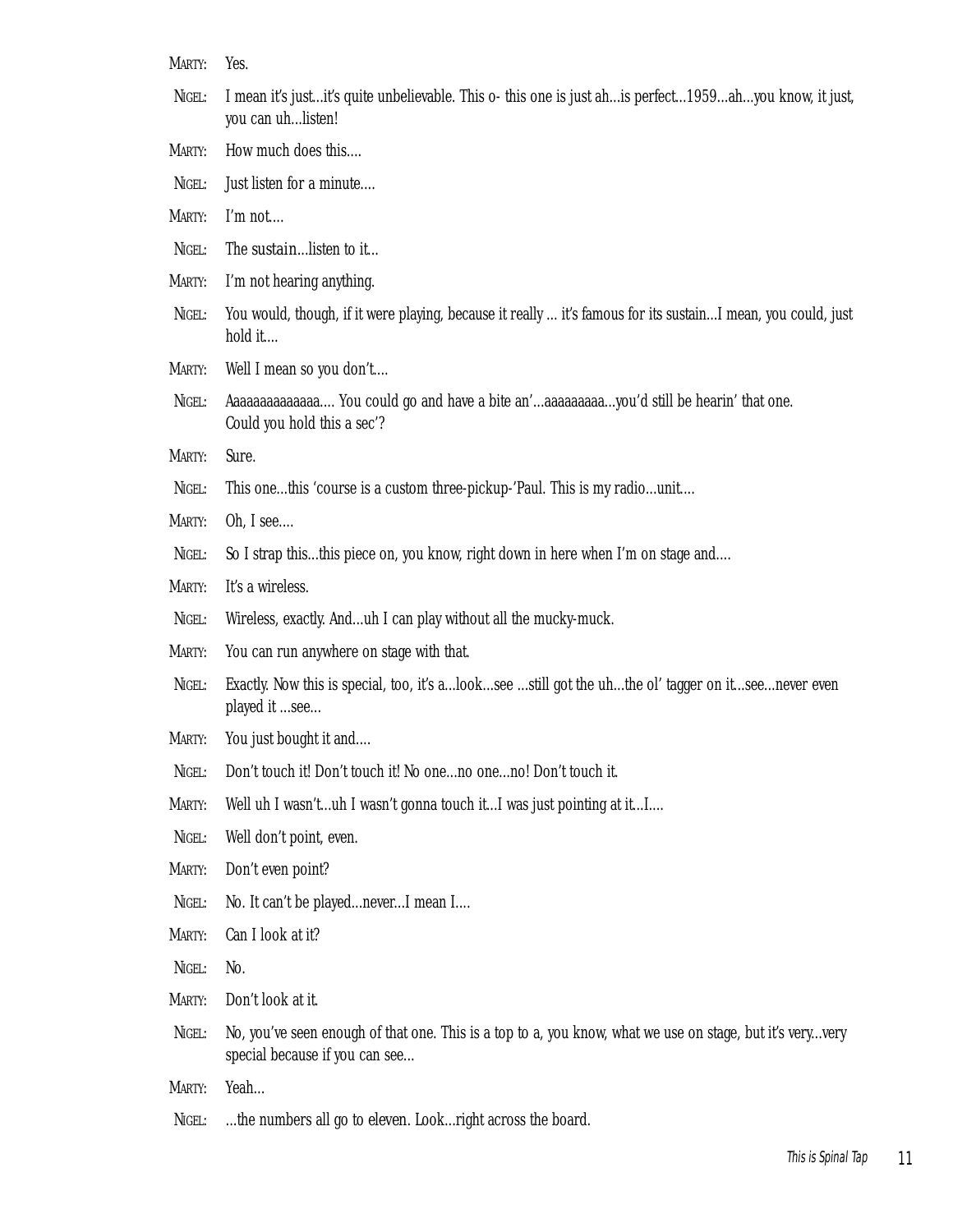- NIGEL: I mean it's just...it's quite unbelievable. This o- this one is just ah...is perfect...1959...ah...you know, it just, you can uh...listen!
- MARTY: How much does this....
- NIGEL: Just listen for a minute....
- MARTY: I'm not....
- NIGEL: The *sustain*...listen to it...
- MARTY: I'm not hearing anything.
- NIGEL: You would, though, if it were playing, because it really ... it's famous for its sustain...I mean, you could, just hold it....
- MARTY: Well I mean so you don't....
- NIGEL: Aaaaaaaaaaaaaa.... You could go and have a bite an'...aaaaaaaaa...you'd still be hearin' that one. Could you hold this a sec'?
- MARTY: Sure.
- NIGEL: This one...this 'course is a custom three-pickup-'Paul. This is my radio...unit....
- MARTY: Oh, I see....
- NIGEL: So I strap this...this piece on, you know, right down in here when I'm on stage and....
- MARTY: It's a wireless.
- NIGEL: Wireless, exactly. And...uh I can play without all the mucky-muck.
- MARTY: You can run anywhere on stage with that.
- NIGEL: Exactly. Now this is special, too, it's a...look...see ...still got the uh...the ol' tagger on it...see...never even played it ...see...
- MARTY: You just bought it and....
- NIGEL: Don't touch it! Don't touch it! No one...no one...no! Don't touch it.
- MARTY: Well uh I wasn't...uh I wasn't gonna touch it...I was just pointing at it...I....
- NIGEL: Well don't point, even.
- MARTY: Don't even point?
- NIGEL: No. It can't be played...never...I mean I....
- MARTY: Can I look at it?
- NIGEL: No.
- MARTY: Don't look at it.
- NIGEL: No, you've seen enough of that one. This is a top to a, you know, what we use on stage, but it's very...very special because if you can see...
- MARTY: Yeah...
- NIGEL: ...the numbers all go to *eleven*. Look...right across the board.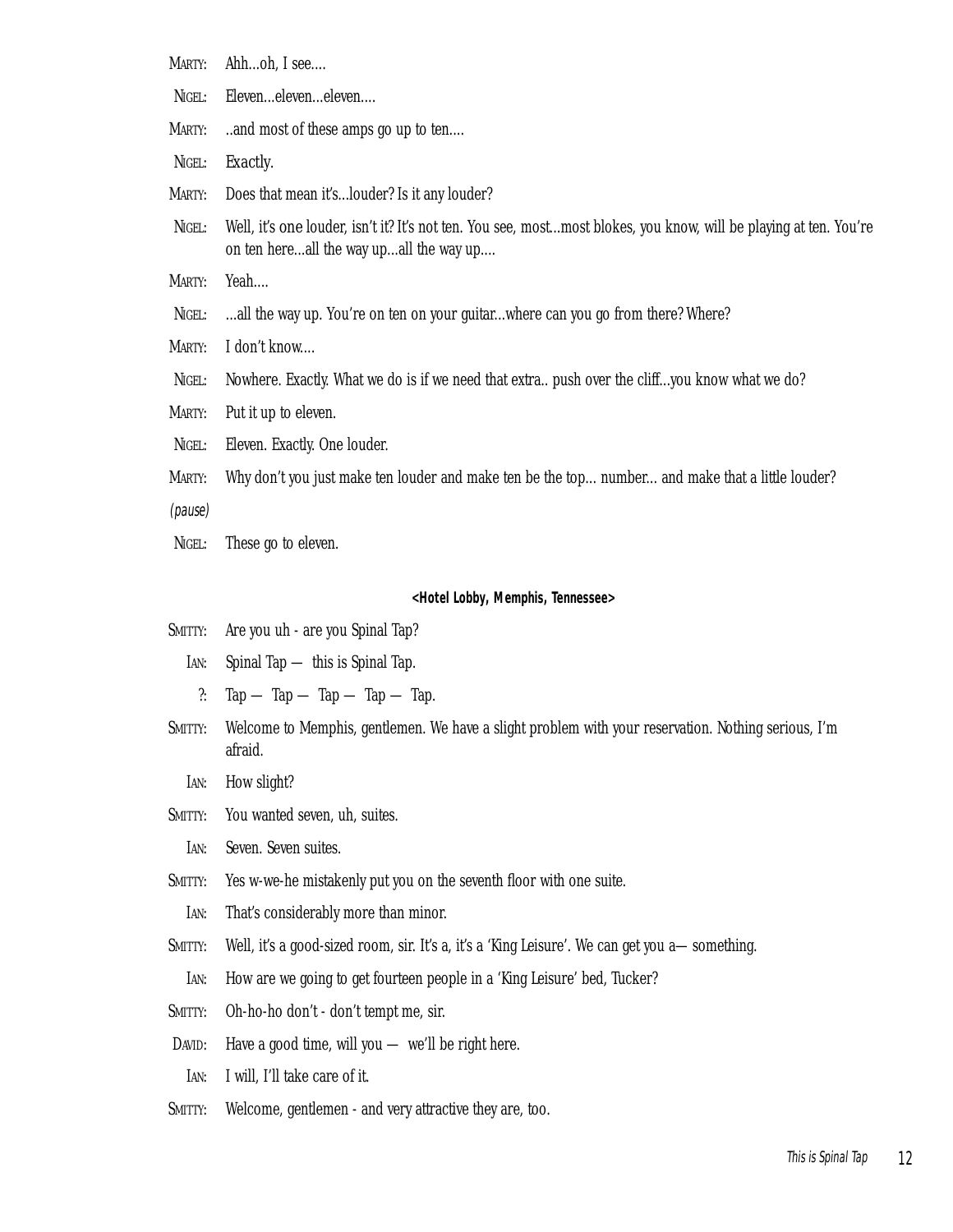| MARTY:<br>Ahhoh, I see |  |
|------------------------|--|
|------------------------|--|

- NIGEL: Eleven...eleven...eleven....
- MARTY: ..and most of these amps go up to ten....
- NIGEL: *Exactly*.
- MARTY: Does that mean it's...louder? Is it any louder?
- NIGEL: Well, it's *one* louder, isn't it? It's not ten. You see, most...most blokes, you know, will be playing at ten. You're on ten here...all the way up...all the way up....
- MARTY: Yeah....
- NIGEL: ...all the way up. You're on ten on your guitar...where can you go from there? Where?
- MARTY: I don't know....
- NIGEL: Nowhere. Exactly. What we do is if we need that extra.. push over the cliff...you know what we do?
- MARTY: Put it up to eleven.
- NIGEL: Eleven. Exactly. One louder.
- MARTY: Why don't you just make ten louder and make ten be the top... number... and make that a little louder?
- (pause)
- NIGEL: These go to eleven.

**<Hotel Lobby, Memphis, Tennessee>** 

- SMITTY: Are you uh are you Spinal Tap?
	- IAN: Spinal Tap this is Spinal Tap.
		- ?: Tap Tap Tap Tap Tap.
- SMITTY: Welcome to Memphis, gentlemen. We have a slight problem with your reservation. Nothing serious, I'm afraid.
	- IAN: How slight?
- SMITTY: You wanted seven, uh, suites.
	- IAN: Seven. Seven suites.
- SMITTY: Yes w-we-he mistakenly put you on the seventh floor with one suite.
- IAN: That's considerably more than minor.

SMITTY: Well, it's a good-sized room, sir. It's a, it's a 'King Leisure'. We can get you a—something.

- IAN: How are we going to get fourteen people in a 'King Leisure' bed, Tucker?
- SMITTY: Oh-ho-ho don't don't tempt me, sir.

DAVID: Have a good time, will you — we'll be right here.

- IAN: I will, I'll take care of it.
- SMITTY: Welcome, gentlemen and very attractive they are, too.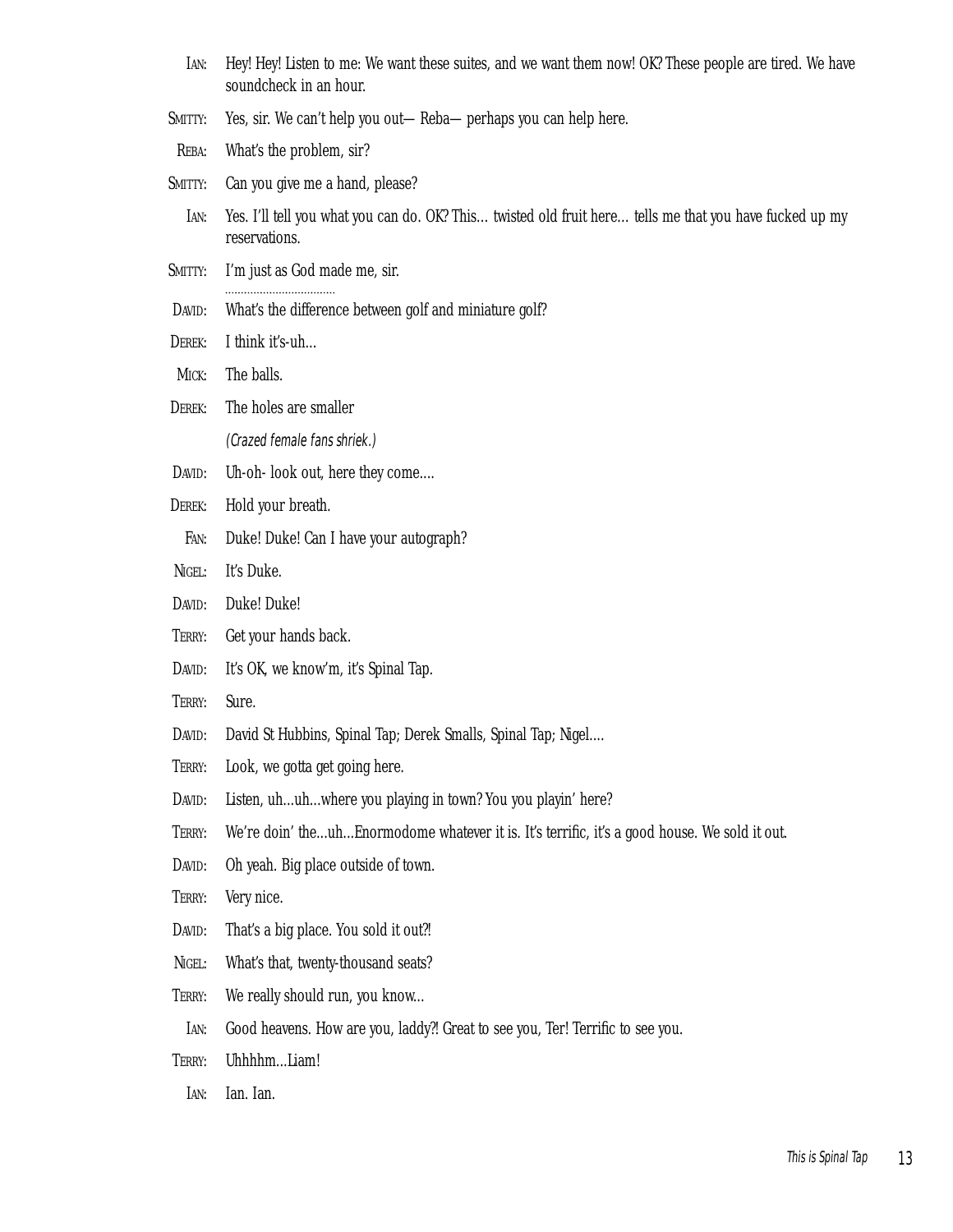- IAN: Hey! Hey! Listen to me: We want these suites, and we want them now! OK? These people are tired. We have soundcheck in an hour.
- SMITTY: Yes, sir. We can't help you out—Reba—perhaps you can help here.
- REBA: What's the problem, sir?
- SMITTY: Can you give me a hand, please?
	- IAN: Yes. I'll tell you what you can do. OK? This…twisted old fruit here…tells me that you have fucked up my reservations.
- SMITTY: I'm just as God made me, sir.
- DAVID: What's the difference between golf and miniature golf?
- DEREK: I think it's-uh...
- MICK: The balls.
- DEREK: The holes are smaller

(Crazed female fans shriek.)

- DAVID: Uh-oh- look out, here they come....
- DEREK: Hold your breath.
	- FAN: Duke! Duke! Can I have your autograph?
- NIGEL: It's Duke.
- DAVID: Duke! Duke!
- TERRY: Get your hands back.
- DAVID: It's OK, we know'm, it's Spinal Tap.
- TERRY: Sure.
- DAVID: David St Hubbins, Spinal Tap; Derek Smalls, Spinal Tap; Nigel....
- TERRY: Look, we gotta get going here.
- DAVID: Listen, uh...uh...where you playing in town? You you playin' here?
- TERRY: We're doin' the...uh...Enormodome whatever it is. It's terrific, it's a good house. We sold it out.
- DAVID: Oh yeah. Big place outside of town.
- TERRY: Very nice.
- DAVID: That's a big place. You sold it out?!
- NIGEL: What's that, twenty-thousand seats?
- TERRY: We really should run, you know...
- IAN: Good heavens. How are you, laddy?! Great to see you, Ter! Terrific to see you.
- TERRY: Uhhhhm...Liam!
	- IAN: Ian. Ian.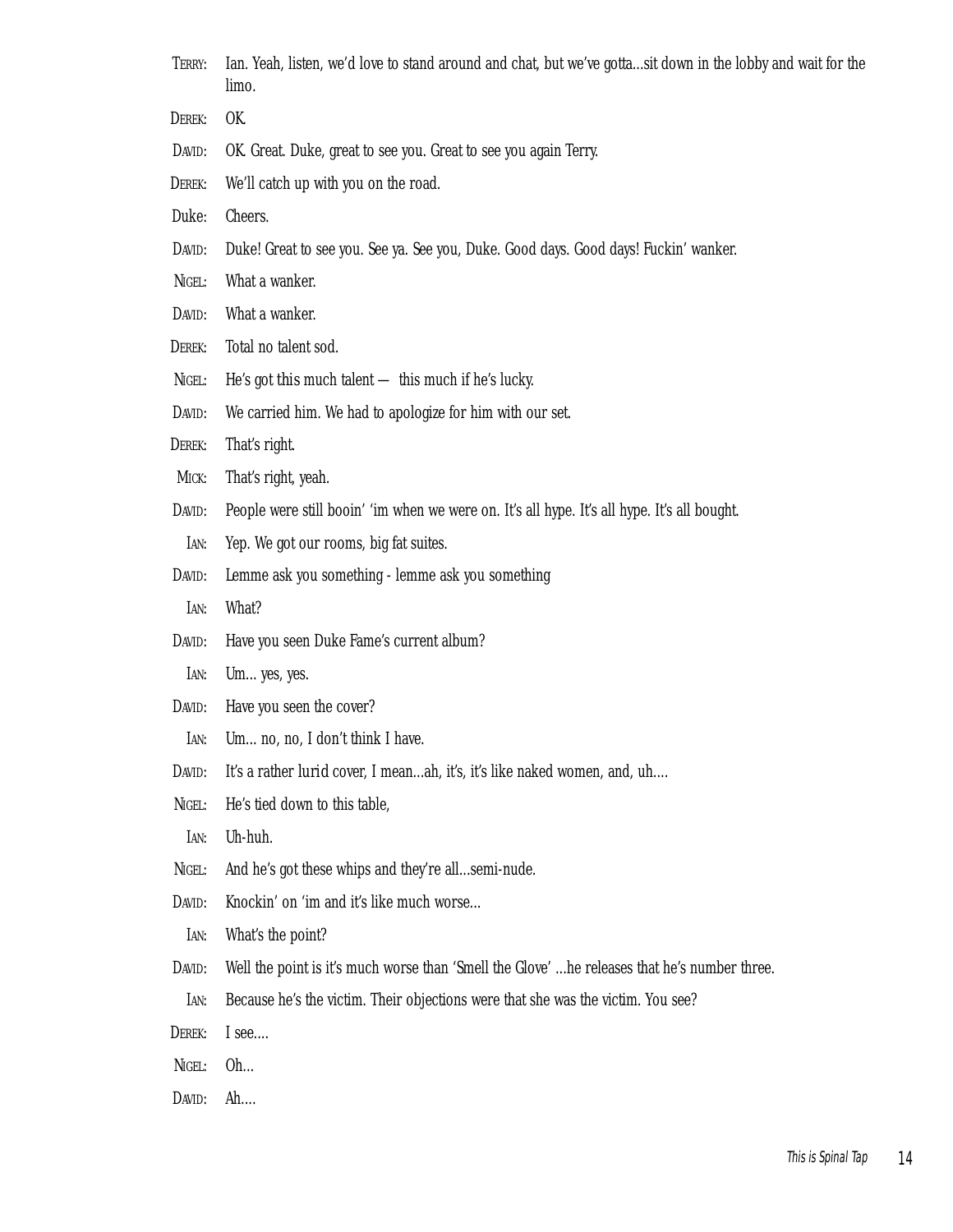- TERRY: Ian. Yeah, listen, we'd love to stand around and chat, but we've gotta...sit down in the lobby and wait for the limo.
- DEREK: OK.
- DAVID: OK. Great. Duke, great to see you. Great to see you again Terry.
- DEREK: We'll catch up with you on the road.
- Duke: Cheers.
- DAVID: Duke! Great to see you. See ya. See you, Duke. Good days. Good days! Fuckin' wanker.
- NIGEL: What a wanker.
- DAVID: What a wanker.
- DEREK: Total no talent sod.
- NIGEL: He's got *this* much talent this much if he's lucky.
- DAVID: We carried him. We had to apologize for him with our set.
- DEREK: That's right.
- MICK: That's right, yeah.
- DAVID: People were still booin' 'im when we were on. It's all hype. It's all hype. It's all bought.
	- IAN: Yep. We got our rooms, big fat suites.
- DAVID: Lemme ask you something lemme ask you something
	- IAN: What?
- DAVID: Have you seen Duke Fame's current album?
- IAN: Um... yes, yes.
- DAVID: Have you seen the cover?
	- IAN: Um... no, no, I don't think I have.
- DAVID: It's a rather *lurid* cover, I mean...ah, it's, it's like naked women, and, uh....
- NIGEL: He's tied down to this table,
- IAN: Uh-huh.
- NIGEL: And he's got these whips and they're all...semi-nude.
- DAVID: Knockin' on 'im and it's like much worse...
- IAN: What's the point?
- DAVID: Well the point is it's much worse than 'Smell the Glove' ...he releases that he's number three.
- IAN: Because he's the victim. Their objections were that she was the victim. You see?
- DEREK: I see....
- NIGEL: Oh...
- DAVID: Ah....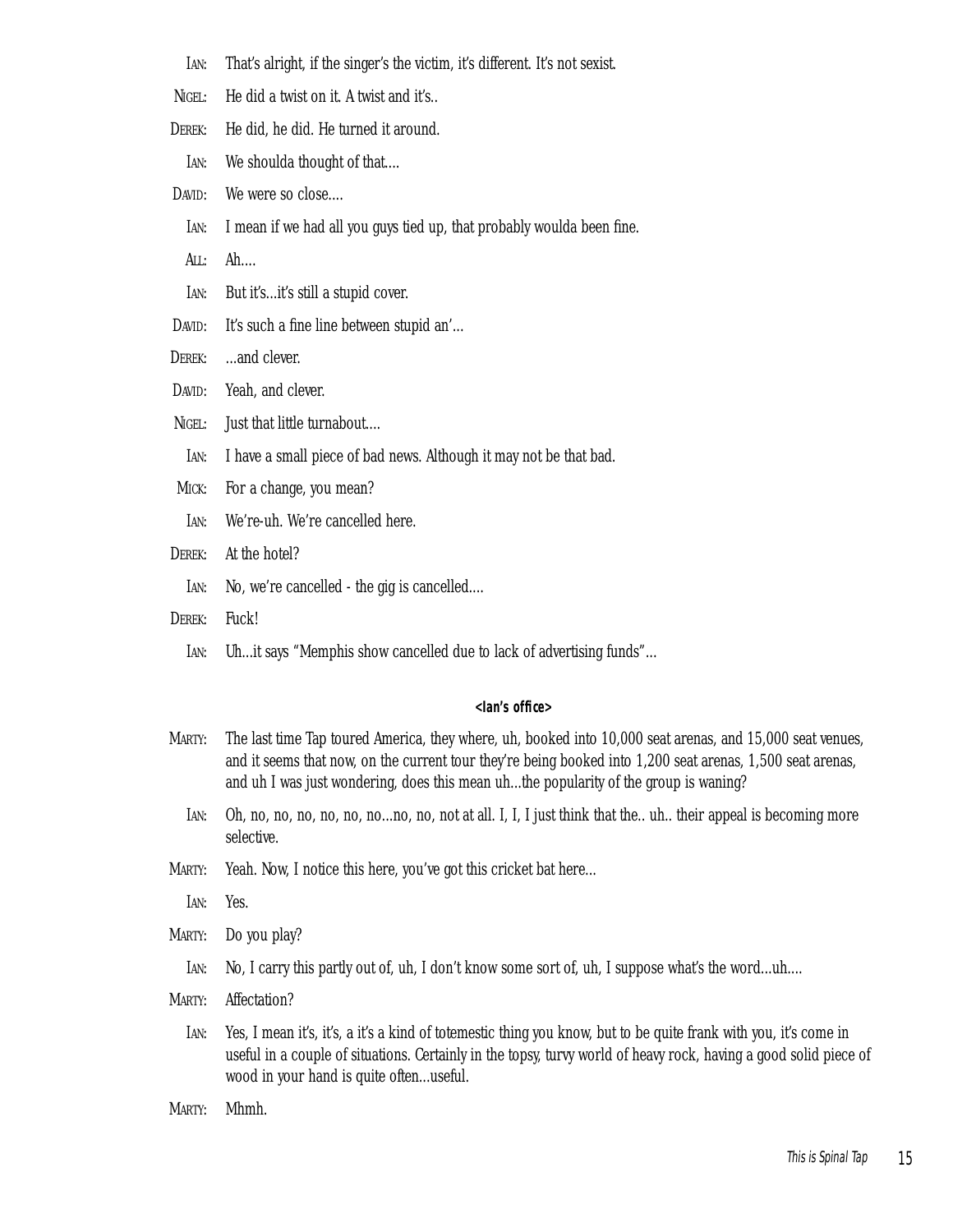- IAN: That's alright, if the singer's the victim, it's different. It's not sexist.
- NIGEL: He did a twist on it. A twist and it's..
- DEREK: He did, he did. He turned it around.
	- IAN: We shoulda thought of that....
- DAVID: We were so close....
- IAN: I mean if we had all you guys tied up, that probably woulda been fine.
- ALL: Ah....
- IAN: But it's...it's still a stupid cover.
- DAVID: It's such a fine line between stupid an'...
- DEREK: ...and clever.
- DAVID: Yeah, and clever.
- NIGEL: Just that little turnabout....
- IAN: I have a small piece of bad news. Although it may not be that bad.
- MICK: For a change, you mean?
	- IAN: We're-uh. We're cancelled here.

# DEREK: At the hotel?

- IAN: No, we're cancelled the gig is cancelled....
- DEREK: Fuck!
	- IAN: Uh...it says "Memphis show cancelled due to lack of advertising funds"...

#### **<Ian's office>**

- MARTY: The last time Tap toured America, they where, uh, booked into 10,000 seat arenas, and 15,000 seat venues, and it seems that now, on the current tour they're being booked into 1,200 seat arenas, 1,500 seat arenas, and uh I was just wondering, does this mean uh...the popularity of the group is waning?
	- IAN: Oh, no, no, no, no, no, no...no, no, not at all. I, I, I just think that the.. uh.. their appeal is becoming more selective.
- MARTY: Yeah. Now, I notice this here, you've got this cricket bat here...
	- IAN: Yes.
- MARTY: Do you play?
	- IAN: No, I carry this partly out of, uh, I don't know some sort of, uh, I suppose what's the word...uh....
- MARTY: Affectation?
	- IAN: Yes, I mean it's, it's, a it's a kind of totemestic thing you know, but to be quite frank with you, it's come in useful in a couple of situations. Certainly in the topsy, turvy world of heavy rock, having a good solid piece of wood in your hand is quite often...useful.
- MARTY: Mhmh.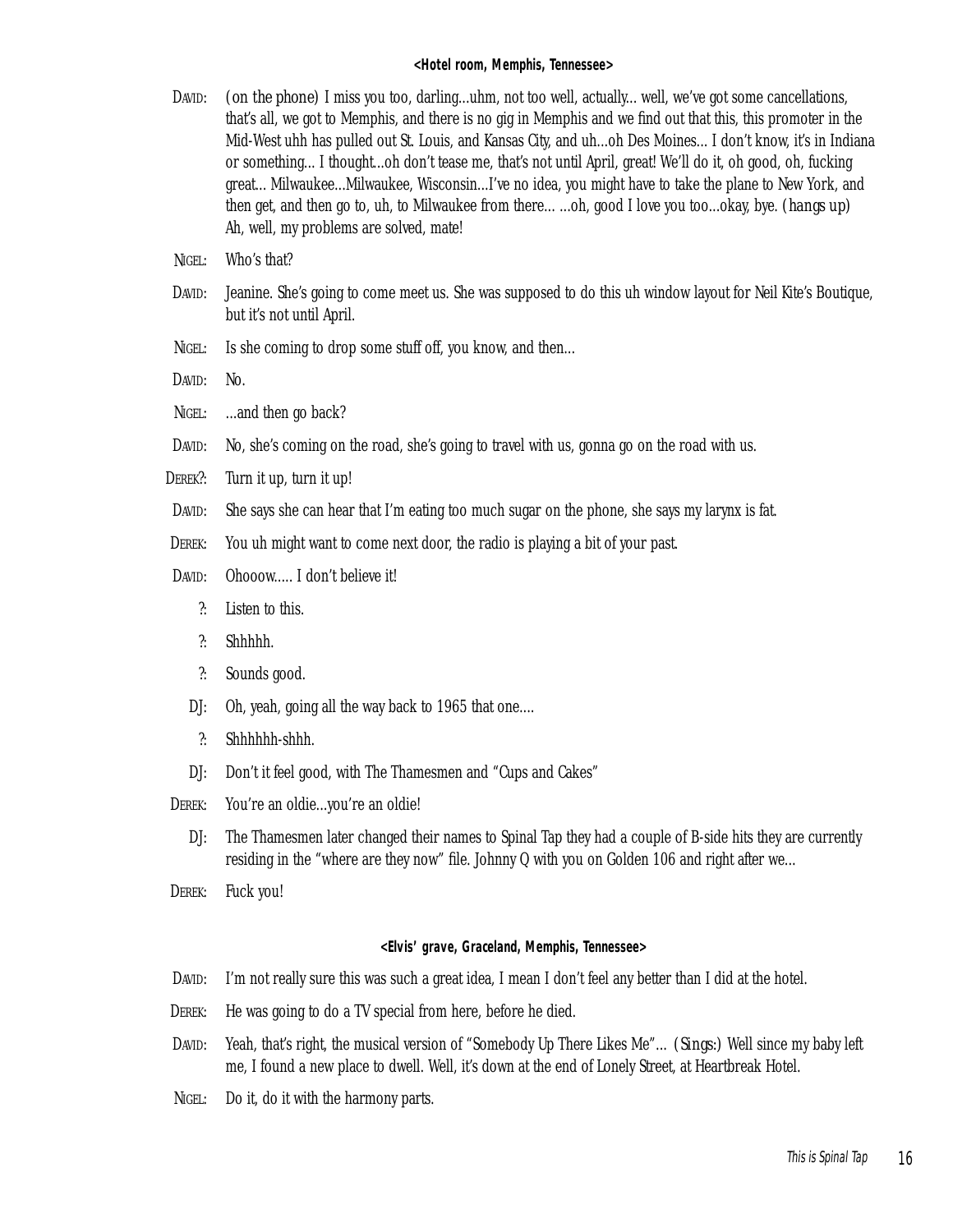# **<Hotel room, Memphis, Tennessee>**

- D<sub>AVID</sub>: *(on the phone)* I miss you too, darling...uhm, not too well, actually... well, we've got some cancellations, that's all, we got to Memphis, and there is no gig in Memphis and we find out that this, this promoter in the Mid-West uhh has pulled out St. Louis, and Kansas City, and uh...oh Des Moines... I don't know, it's in Indiana or something... I thought...oh don't tease me, that's not until April, great! We'll do it, oh good, oh, fucking great... Milwaukee...Milwaukee, Wisconsin...I've no idea, you might have to take the plane to New York, and then get, and then go to, uh, to Milwaukee from there... ...oh, good I love you too...okay, bye. *(hangs up)* Ah, well, my problems are solved, mate!
- NIGEL: Who's that?
- DAVID: Jeanine. She's going to come meet us. She was supposed to do this uh window layout for Neil Kite's Boutique, but it's not until April.
- NIGEL: Is she coming to drop some stuff off, you know, and then...
- DAVID: No.
- NIGEL: ...and then go back?
- DAVID: No, she's coming on the road, she's going to travel with us, gonna go on the road with us.
- DEREK?: Turn it up, turn it up!
- DAVID: She says she can hear that I'm eating too much sugar on the phone, she says my larynx is fat.
- DEREK: You uh might want to come next door, the radio is playing a bit of your past.
- DAVID: Ohooow..... I don't believe it!
	- ?: Listen to this.
	- ?: Shhhhh.
	- ?: Sounds good.
	- DJ: Oh, yeah, going all the way back to 1965 that one....
	- ?: Shhhhhh-shhh.
	- DJ: Don't it feel good, with The Thamesmen and "Cups and Cakes"
- DEREK: You're an oldie...you're an oldie!
	- DJ: The Thamesmen later changed their names to Spinal Tap they had a couple of B-side hits they are currently residing in the "where are they now" file. Johnny Q with you on Golden 106 and right after we...
- DEREK: Fuck you!

# **<Elvis' grave, Graceland, Memphis, Tennessee>**

- DAVID: I'm not really sure this was such a great idea, I mean I don't feel any better than I did at the hotel.
- DEREK: He was going to do a TV special from here, before he died.
- DAVID: Yeah, that's right, the musical version of "Somebody Up There Likes Me"... *(Sings:)* Well since my baby left me, I found a new place to dwell. Well, it's down at the end of Lonely Street, at Heartbreak Hotel.
- NIGEL: Do it, do it with the harmony parts.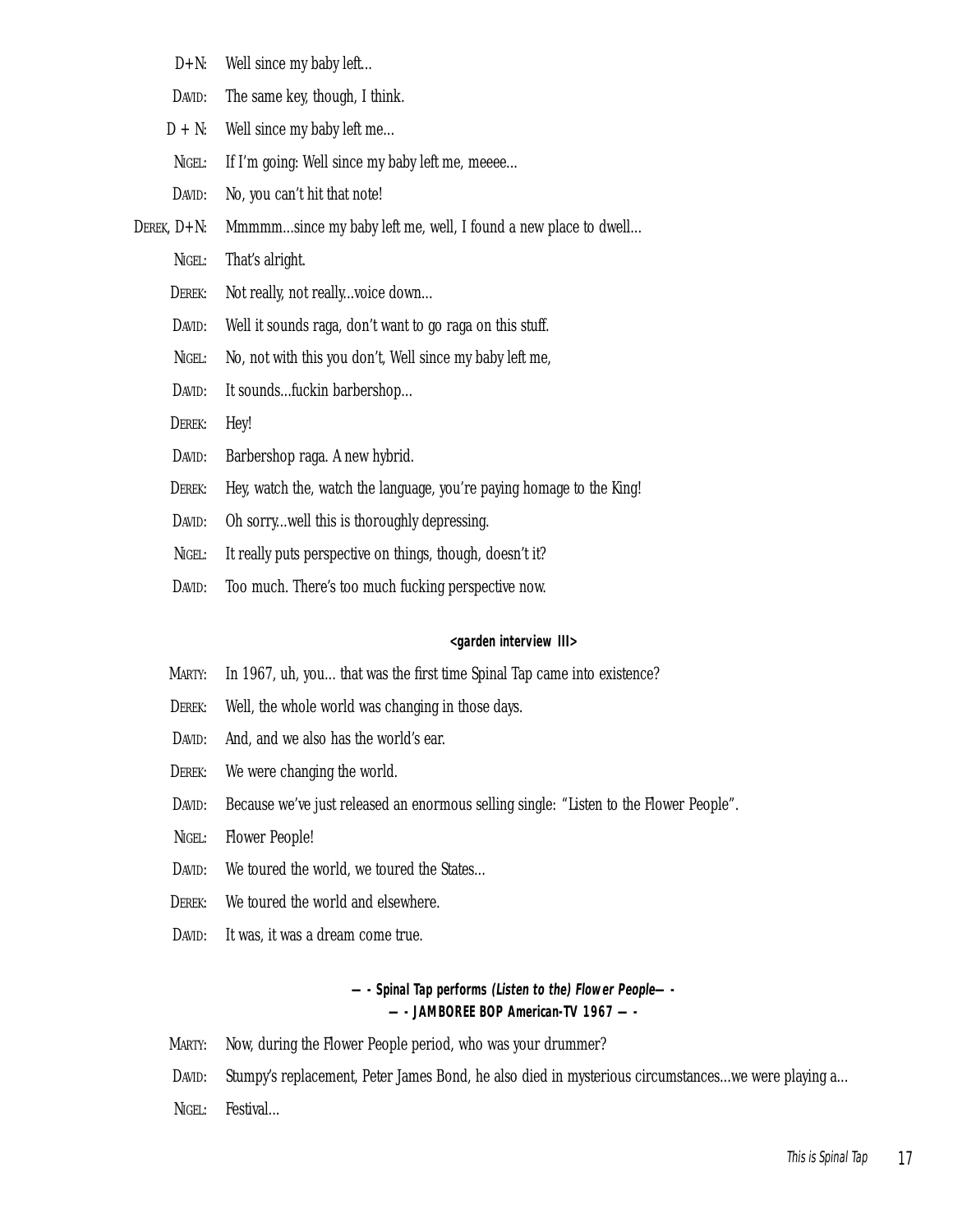- D+N: Well since my baby left...
- DAVID: The same key, though, I think.
- $D + N$ : Well since my baby left me...
- NIGEL: If I'm going: Well since my baby left me, meeee...
- DAVID: No, you can't hit that note!
- DEREK, D+N: Mmmmm...since my baby left me, well, I found a new place to dwell...
	- NIGEL: That's alright.
	- DEREK: Not really, not really...voice down...
	- DAVID: Well it sounds raga, don't want to go raga on this stuff.
	- NIGEL: No, not with this you don't, Well since my baby left me,
	- DAVID: It sounds...fuckin barbershop...
	- DEREK: Hey!
	- DAVID: Barbershop raga. A new hybrid.
	- DEREK: Hey, watch the, watch the language, you're paying homage to the King!
	- DAVID: Oh sorry...well this is thoroughly depressing.
	- NIGEL: It really puts perspective on things, though, doesn't it?
	- DAVID: Too much. There's too much fucking perspective now.

## **<garden interview III>**

- MARTY: In 1967, uh, you... that was the first time Spinal Tap came into existence?
- DEREK: Well, the whole world was changing in those days.
- DAVID: And, and we also has the world's ear.
- DEREK: We were changing the world.
- DAVID: Because we've just released an enormous selling single: "Listen to the Flower People".
- NIGEL: Flower People!
- DAVID: We toured the world, we toured the States...
- DEREK: We toured the world and elsewhere.
- DAVID: It was, it was a dream come true.

**—- Spinal Tap performs (Listen to the) Flower People—- —- JAMBOREE BOP American-TV 1967 —-**

- MARTY: Now, during the Flower People period, who was your drummer?
- DAVID: Stumpy's replacement, Peter James Bond, he also died in mysterious circumstances...we were playing a...
- NIGEL: Festival...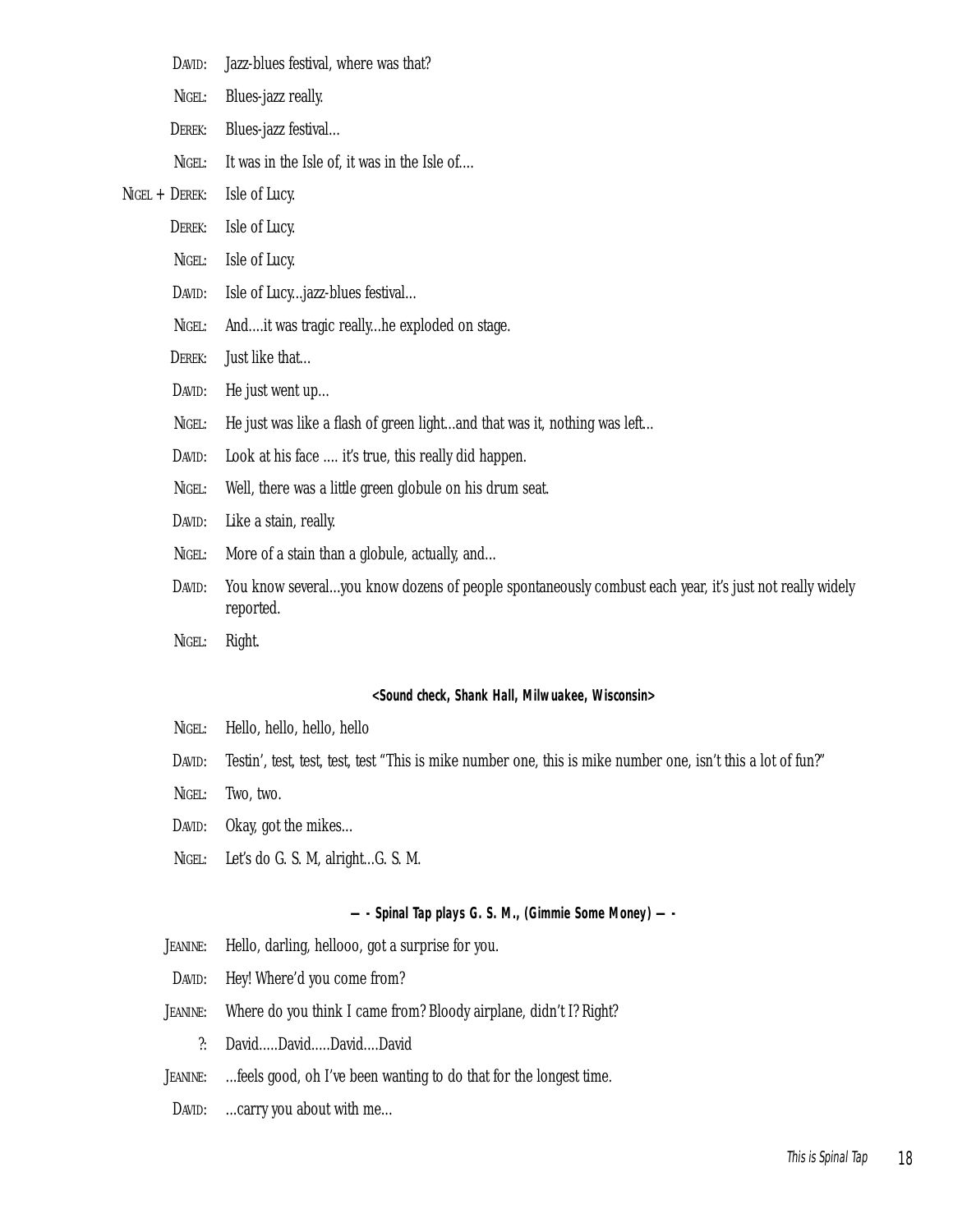- DAVID: Jazz-blues festival, where was that?
- NIGEL: Blues-jazz really.
- DEREK: Blues-jazz festival...
- NIGEL: It was in the Isle of, it was in the Isle of....
- NIGEL + DEREK: Isle of Lucy.
	- DEREK: Isle of Lucy.
	- NIGEL: Isle of Lucy.
	- DAVID: Isle of Lucy...jazz-blues festival...
	- NIGEL: And....it was tragic really...he exploded on stage.
	- DEREK: Just like that...
	- DAVID: He just went up...
	- NIGEL: He just was like a flash of green light...and that was it, nothing was left...
	- DAVID: Look at his face .... it's true, this really did happen.
	- NIGEL: Well, there was a little green globule on his drum seat.
	- DAVID: Like a stain, really.
	- NIGEL: More of a stain than a globule, actually, and...
	- DAVID: You know several...you know dozens of people spontaneously combust each year, it's just not really widely reported.
	- NIGEL: Right.

# **<Sound check, Shank Hall, Milwuakee, Wisconsin>**

- NIGEL: Hello, hello, hello, hello
- DAVID: Testin', test, test, test, test "This is mike number one, this is mike number one, isn't this a lot of fun?"
- NIGEL: Two, two.
- DAVID: Okay, got the mikes...
- NIGEL: Let's do G. S. M, alright...G. S. M.

**—- Spinal Tap plays G. S. M., (Gimmie Some Money) —-**

- JEANINE: Hello, darling, hellooo, got a surprise for you.
- DAVID: Hey! Where'd you come from?
- JEANINE: Where do you think I came from? Bloody airplane, didn't I? Right?
	- ?: David.....David.....David....David
- JEANINE: ...feels good, oh I've been wanting to do that for the longest time.
- DAVID: ...Carry you about with me...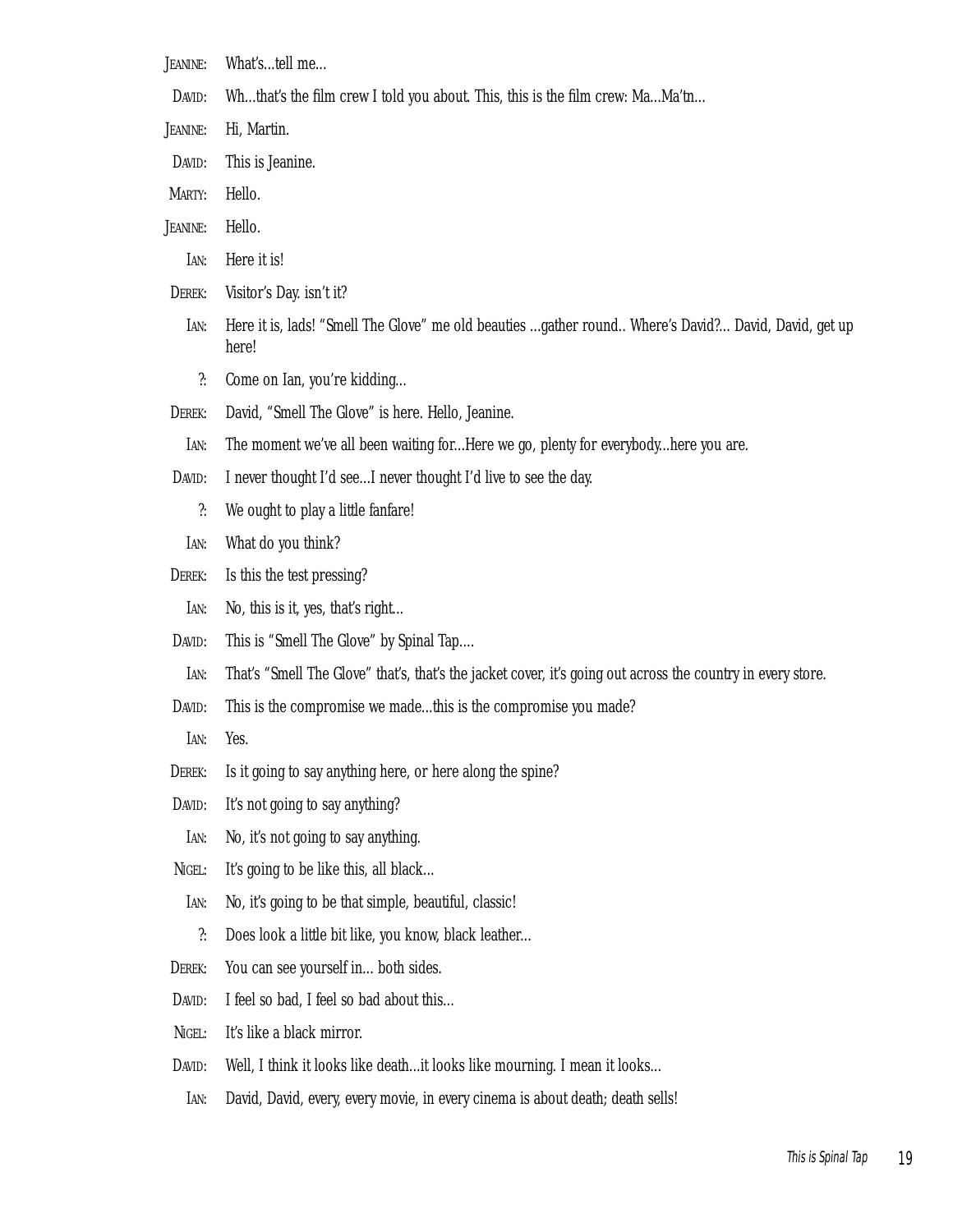JEANINE: What's...tell me...

- DAVID: Wh...that's the film crew I told you about. This, this is the film crew: Ma...Ma'tn...
- JEANINE: Hi, Martin.
- DAVID: This is Jeanine.
- MARTY: Hello.
- JEANINE: Hello.
	- IAN: Here it is!
- DEREK: Visitor's Day. isn't it?
	- IAN: Here it is, lads! "Smell The Glove" me old beauties ...gather round.. Where's David?... David, David, get up here!
		- ?: Come on Ian, you're kidding...
- DEREK: David, "Smell The Glove" is here. Hello, Jeanine.
	- IAN: The moment we've all been waiting for...Here we go, plenty for everybody...here you are.
- DAVID: I never thought I'd see...I never thought I'd live to see the day.
	- ?: We ought to play a little fanfare!
	- IAN: What do you think?
- DEREK: Is this the test pressing?
	- IAN: No, this is it, yes, that's right...
- DAVID: This is "Smell The Glove" by Spinal Tap....
- IAN: That's "Smell The Glove" that's, that's the jacket cover, it's going out across the country in every store.
- DAVID: This is the compromise we made...this is the compromise you made?
	- IAN: Yes.
- DEREK: Is it going to say anything here, or here along the spine?
- DAVID: It's not going to say anything?
	- IAN: No, it's not going to say anything.
- NIGEL: It's going to be like this, all black...
- IAN: No, it's going to be that simple, beautiful, classic!
	- ?: Does look a little bit like, you know, black leather...
- DEREK: You can see yourself in... both sides.
- DAVID: I feel so bad, I feel so bad about this...
- NIGEL: It's like a black mirror.
- DAVID: Well, I think it looks like death...it looks like mourning. I mean it looks...
- IAN: David, David, every, every movie, in every cinema is about death; death sells!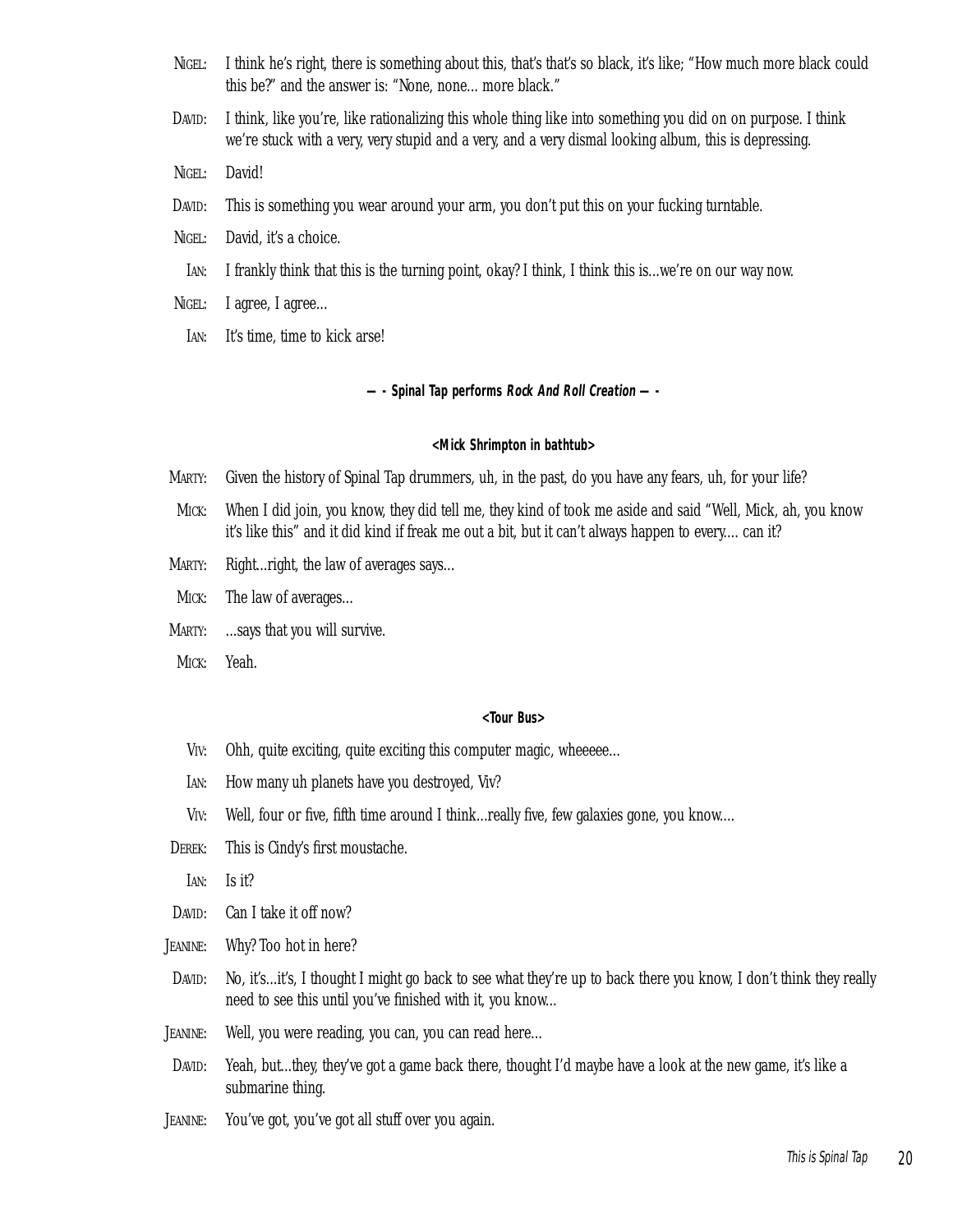- NIGEL: I think he's right, there is something about this, that's that's so black, it's like; "How much more black could this be?" and the answer is: "None, none... more black."
- DAVID: I think, like you're, like rationalizing this whole thing like into something you did on on purpose. I think we're stuck with a very, very stupid and a very, and a very dismal looking album, this is depressing.
- NIGEL: David!
- DAVID: This is something you wear around your arm, you don't put this on your fucking turntable.
- NIGEL: David, it's a choice.
- IAN: I frankly think that this is the turning point, okay? I think, I think this is...we're on our way now.
- NIGEL: I agree, I agree...
	- IAN: It's time, time to kick arse!

**—- Spinal Tap performs Rock And Roll Creation —-**

#### **<Mick Shrimpton in bathtub>**

- MARTY: Given the history of Spinal Tap drummers, uh, in the past, do you have any fears, uh, for your life?
- MICK: When I did join, you know, they did tell me, they kind of took me aside and said "Well, Mick, ah, you know it's like this" and it did kind if freak me out a bit, but it can't always happen to every.... can it?
- MARTY: Right...right, the law of averages says...
- MICK: The law of averages...
- MARTY: ...says that you will survive.
- MICK: Yeah.

## **<Tour Bus>**

- VIV: Ohh, quite exciting, quite exciting this computer magic, wheeeee...
- IAN: How many uh planets have you destroyed, Viv?
- VIV: Well, four or five, fifth time around I think...really five, few galaxies gone, you know....
- DEREK: This is Cindy's first moustache.
	- IAN: Is it?
- DAVID: Can I take it off now?
- JEANINE: Why? Too hot in here?
- DAVID: No, it's...it's, I thought I might go back to see what they're up to back there you know, I don't think they really need to see this until you've finished with it, you know...
- JEANINE: Well, you were reading, you can, you can read here...
- DAVID: Yeah, but...they, they've got a game back there, thought I'd maybe have a look at the new game, it's like a submarine thing.
- JEANINE: You've got, you've got all stuff over you again.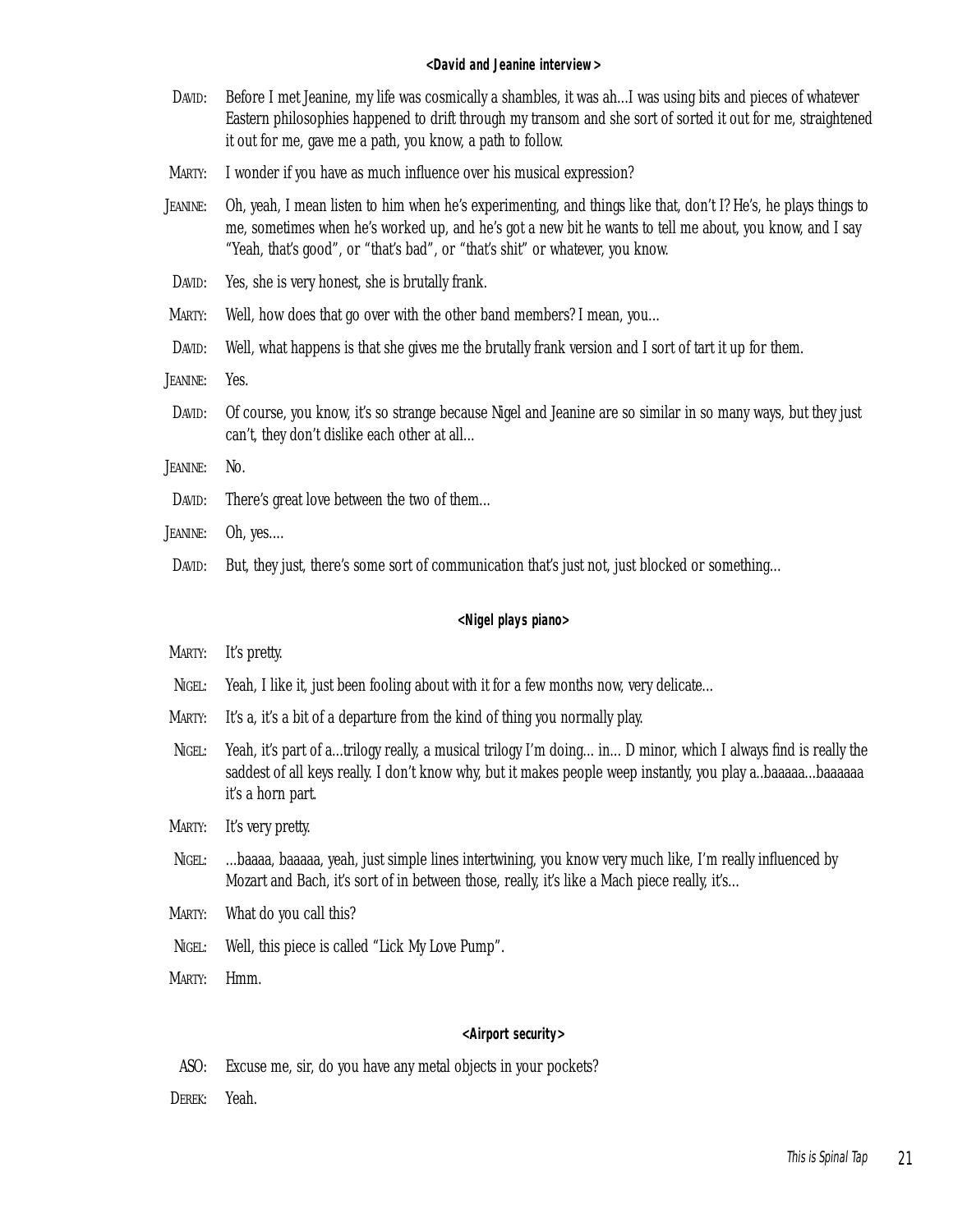**<David and Jeanine interview>** 

- DAVID: Before I met Jeanine, my life was cosmically a shambles, it was ah...I was using bits and pieces of whatever Eastern philosophies happened to drift through my transom and she sort of sorted it out for me, straightened it out for me, gave me a path, you know, a path to follow.
- MARTY: I wonder if you have as much influence over his musical expression?
- JEANINE: Oh, yeah, I mean listen to him when he's experimenting, and things like that, don't I? He's, he plays things to me, sometimes when he's worked up, and he's got a new bit he wants to tell me about, you know, and I say "Yeah, that's good", or "that's bad", or "that's shit" or whatever, you know.
- DAVID: Yes, she is very honest, she is brutally frank.
- MARTY: Well, how does that go over with the other band members? I mean, you...
- DAVID: Well, what happens is that she gives me the brutally frank version and I sort of tart it up for them.
- JEANINE: Yes.
- DAVID: Of course, you know, it's so strange because Nigel and Jeanine are so similar in so many ways, but they just can't, they don't dislike each other at all...
- JEANINE: No.
- DAVID: There's great love between the two of them...
- JEANINE: Oh, yes....
- DAVID: But, they just, there's some sort of communication that's just not, just blocked or something...

# **<Nigel plays piano>**

- MARTY: It's pretty.
- NIGEL: Yeah, I like it, just been fooling about with it for a few months now, very delicate...
- MARTY: It's a, it's a bit of a departure from the kind of thing you normally play.
- NIGEL: Yeah, it's part of a...trilogy really, a musical trilogy I'm doing... in... D minor, which I always find is really the saddest of all keys really. I don't know why, but it makes people weep instantly, you play a..baaaaa...baaaaaa it's a horn part.
- MARTY: It's very pretty.
- NIGEL: ...baaaa, baaaaa, yeah, just simple lines intertwining, you know very much like, I'm really influenced by Mozart and Bach, it's sort of in between those, really, it's like a Mach piece really, it's...
- MARTY: What do you call this?
- NIGEL: Well, this piece is called "Lick My Love Pump".
- MARTY: Hmm.

# **<Airport security>**

- ASO: Excuse me, sir, do you have any metal objects in your pockets?
- DEREK: Yeah.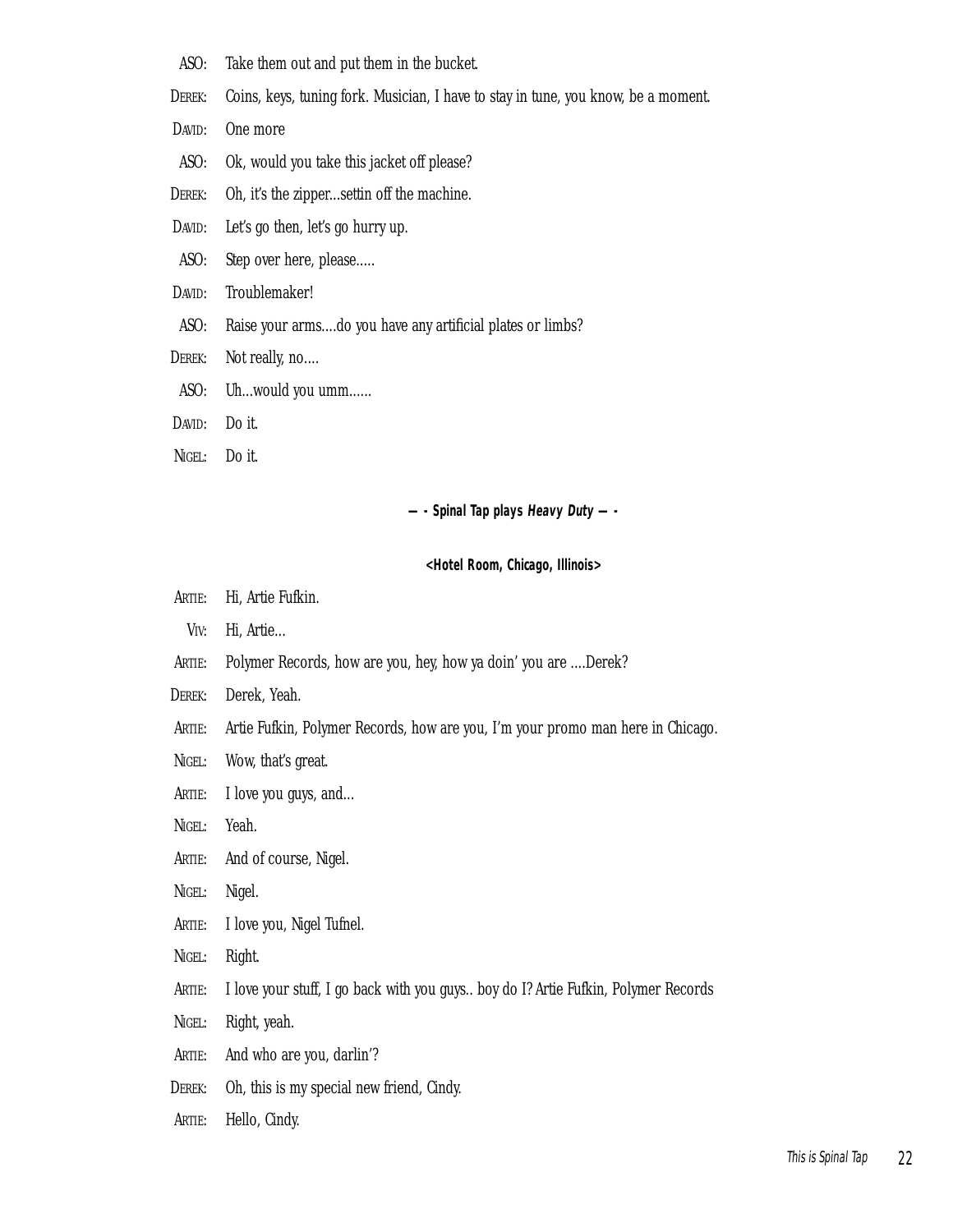- ASO: Take them out and put them in the bucket.
- DEREK: Coins, keys, tuning fork. Musician, I have to stay in tune, you know, be a moment.
- DAVID: One more
- ASO: Ok, would you take this jacket off please?
- DEREK: Oh, it's the zipper...settin off the machine.
- DAVID: Let's go then, let's go hurry up.
- ASO: Step over here, please.....

DAVID: Troublemaker!

- ASO: Raise your arms....do you have any artificial plates or limbs?
- DEREK: Not really, no....
- ASO: Uh...would you umm......
- DAVID: Do it.
- NIGEL: Do it.

**—- Spinal Tap plays Heavy Duty —-**

**<Hotel Room, Chicago, Illinois>** 

- ARTIE: Hi, Artie Fufkin.
	- VIV: Hi, Artie...
- ARTIE: Polymer Records, how are you, hey, how ya doin' you are ....Derek?
- DEREK: Derek, Yeah.
- ARTIE: Artie Fufkin, Polymer Records, how are you, I'm your promo man here in Chicago.
- NIGEL: Wow, that's great.
- ARTIE: I love you guys, and...
- NIGEL: Yeah.
- ARTIE: And of course, Nigel.
- NIGEL: Nigel.
- ARTIE: I love you, Nigel Tufnel.
- NIGEL: Right.
- ARTIE: I love your stuff, I go back with you guys.. boy do I? Artie Fufkin, Polymer Records
- NIGEL: Right, yeah.
- ARTIE: And who are you, darlin'?
- DEREK: Oh, this is my special new friend, Cindy.
- ARTIE: Hello, Cindy.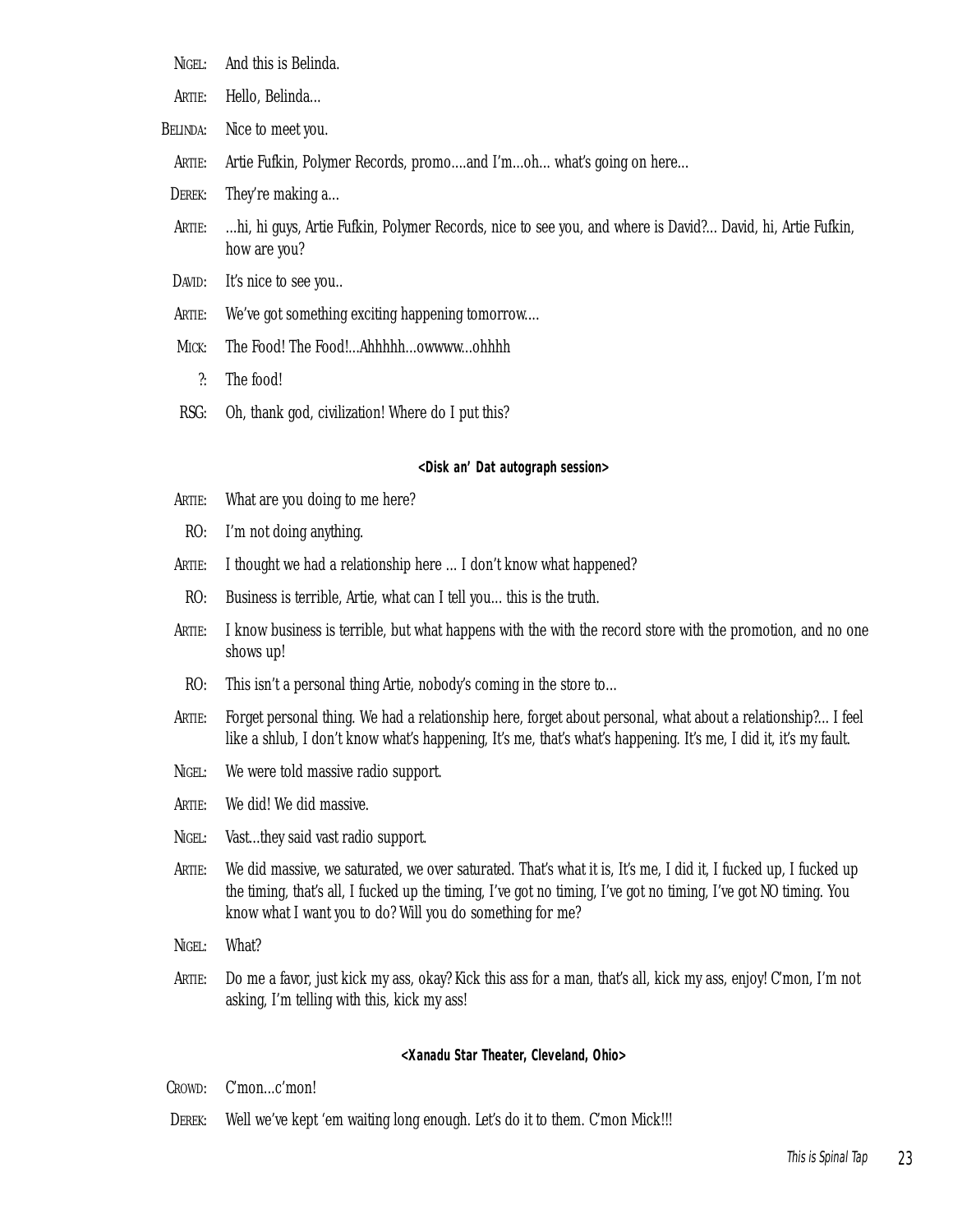- NIGEL: And this is Belinda.
- ARTIE: Hello, Belinda...
- BELINDA: Nice to meet you.
- ARTIE: Artie Fufkin, Polymer Records, promo....and I'm...oh... what's going on here...
- DEREK: They're making a...
- ARTIE: ...hi, hi guys, Artie Fufkin, Polymer Records, nice to see you, and where is David?... David, hi, Artie Fufkin, how are you?
- DAVID: It's nice to see you..
- ARTIE: We've got something exciting happening tomorrow....
- MICK: The Food! The Food!...Ahhhhh...owwww...ohhhh
	- ?: The food!
- RSG: Oh, thank god, civilization! Where do I put this?

#### **<Disk an' Dat autograph session>**

- ARTIE: What are you doing to me here?
- RO: I'm not doing anything.
- ARTIE: I thought we had a relationship here ... I don't know what happened?
- RO: Business is terrible, Artie, what can I tell you... this is the truth.
- ARTIE: I know business is terrible, but what happens with the with the record store with the promotion, and no one shows up!
- RO: This isn't a personal thing Artie, nobody's coming in the store to...
- ARTIE: Forget personal thing. We had a relationship here, forget about personal, what about a relationship?... I feel like a shlub, I don't know what's happening, It's me, that's what's happening. It's me, I did it, it's my fault.
- NIGEL: We were told massive radio support.
- ARTIE: We did! We did massive.
- NIGEL: Vast...they said vast radio support.
- ARTIE: We did massive, we saturated, we over saturated. That's what it is, It's me, I did it, I fucked up, I fucked up the timing, that's all, I fucked up the timing, I've got no timing, I've got no timing, I've got NO timing. You know what I want you to do? Will you do something for me?
- NIGEL: What?
- ARTIE: Do me a favor, just kick my ass, okay? Kick this ass for a man, that's all, kick my ass, enjoy! C'mon, I'm not asking, I'm telling with this, kick my ass!

**<Xanadu Star Theater, Cleveland, Ohio>** 

- CROWD: C'mon...c'mon!
- DEREK: Well we've kept 'em waiting long enough. Let's do it to them. C'mon Mick!!!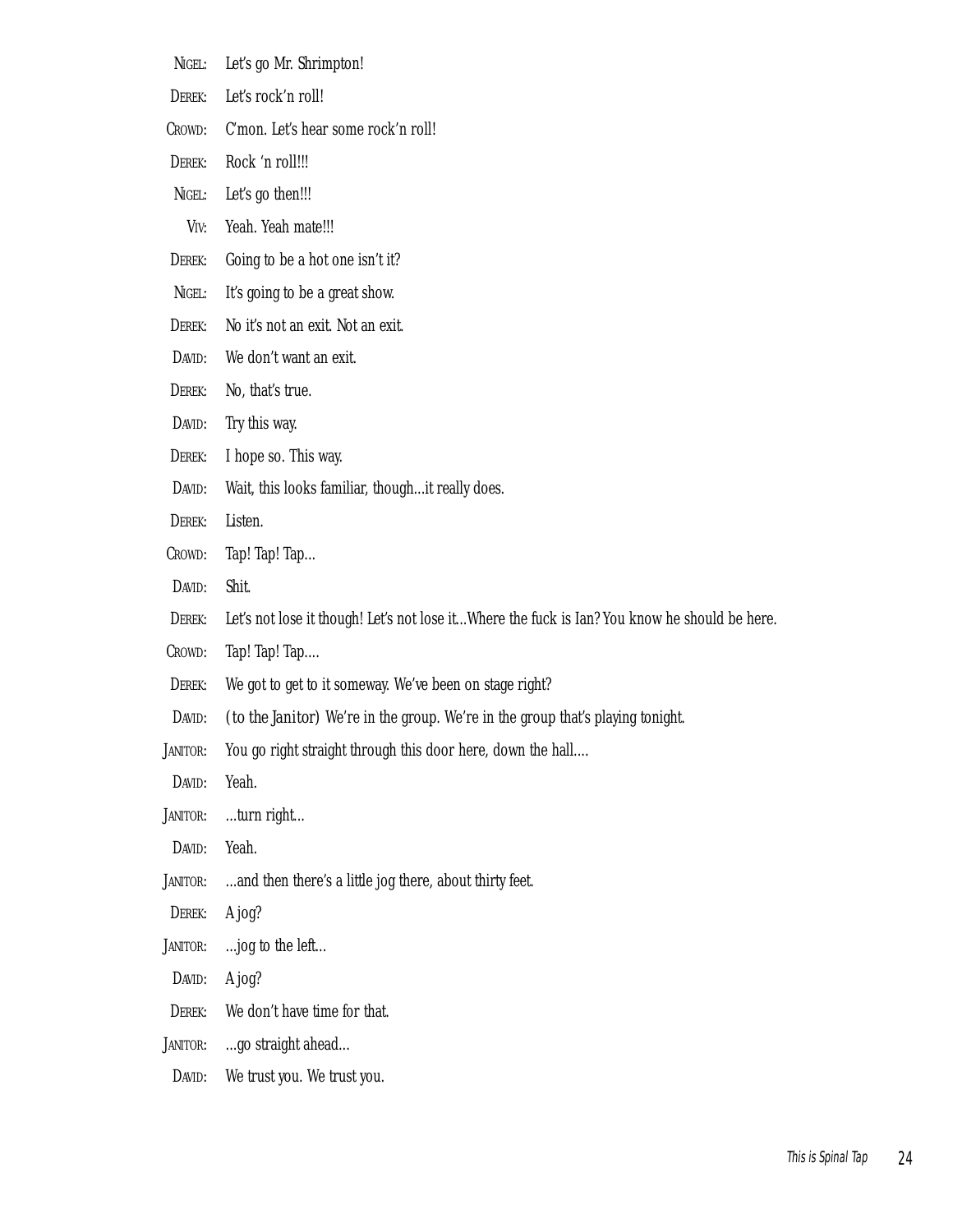| NIGEL:            | Let's go Mr. Shrimpton!                                                                       |
|-------------------|-----------------------------------------------------------------------------------------------|
| DEREK:            | Let's rock'n roll!                                                                            |
| CROWD:            | C'mon. Let's hear some rock'n roll!                                                           |
| DEREK:            | Rock 'n roll!!!                                                                               |
| NIGEL:            | Let's go then!!!                                                                              |
| V <sub>IV</sub> : | Yeah. Yeah mate!!!                                                                            |
| DEREK:            | Going to be a hot one isn't it?                                                               |
| NIGEL:            | It's going to be a great show.                                                                |
| DEREK:            | No it's not an exit. Not an exit.                                                             |
| DAVID:            | We don't want an exit.                                                                        |
| DEREK:            | No, that's true.                                                                              |
| DAVID:            | Try this way.                                                                                 |
| DEREK:            | I hope so. This way.                                                                          |
| DAVID:            | Wait, this looks familiar, thoughit really does.                                              |
| DEREK:            | Listen.                                                                                       |
| CROWD:            | Tap! Tap! Tap                                                                                 |
| DAVID:            | Shit.                                                                                         |
| DEREK:            | Let's not lose it though! Let's not lose itWhere the fuck is Ian? You know he should be here. |
| CROWD:            | Tap! Tap! Tap                                                                                 |
| DEREK:            | We got to get to it someway. We've been on stage right?                                       |
| DAVID:            | (to the Janitor) We're in the group. We're in the group that's playing tonight.               |
| JANITOR:          | You go right straight through this door here, down the hall                                   |
| DAVID:            | Yeah.                                                                                         |
| JANITOR:          | turn right                                                                                    |
| DAVID:            | Yeah.                                                                                         |
| <b>JANITOR:</b>   | and then there's a little jog there, about thirty feet.                                       |
| DEREK:            | A jog?                                                                                        |
| JANITOR:          | jog to the left                                                                               |
| DAVID:            | A jog?                                                                                        |
| DEREK:            | We don't have time for that.                                                                  |
| JANITOR:          | go straight ahead                                                                             |
|                   |                                                                                               |

DAVID: We trust you. We trust you.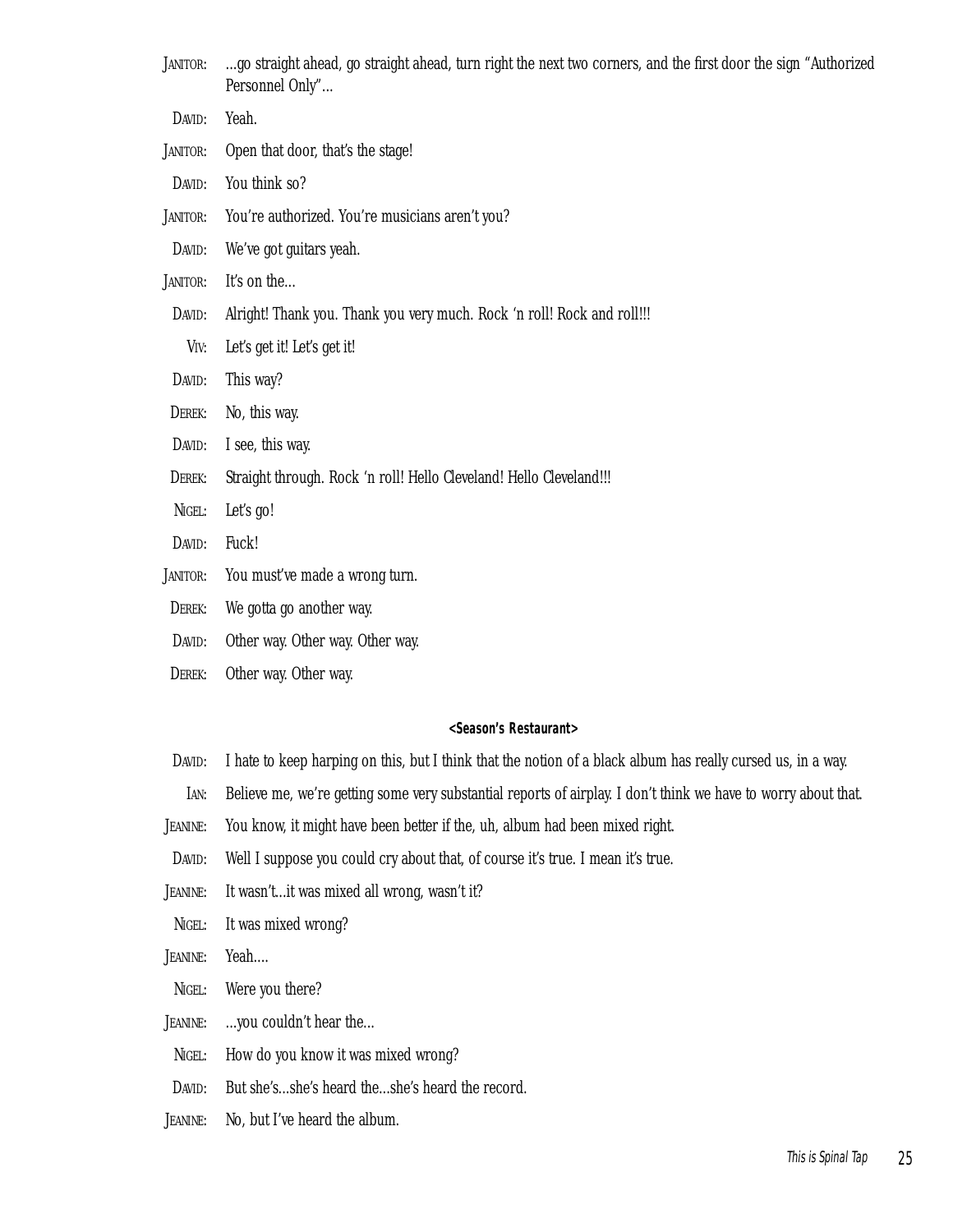| <b>JANITOR:</b> | go straight ahead, go straight ahead, turn right the next two corners, and the first door the sign "Authorized<br>Personnel Only" |
|-----------------|-----------------------------------------------------------------------------------------------------------------------------------|
| DAVID:          | Yeah.                                                                                                                             |
| JANITOR:        | Open that door, that's the stage!                                                                                                 |
| DAVID:          | You think so?                                                                                                                     |
| <b>JANITOR:</b> | You're authorized. You're musicians aren't you?                                                                                   |
| DAVID:          | We've got guitars yeah.                                                                                                           |
| <b>JANITOR:</b> | It's on the                                                                                                                       |
| DAVID:          | Alright! Thank you. Thank you very much. Rock 'n roll! Rock and roll!!!                                                           |
| VIV:            | Let's get it! Let's get it!                                                                                                       |
| DAVID:          | This way?                                                                                                                         |
| DEREK:          | No, this way.                                                                                                                     |
| DAVID:          | I see, this way.                                                                                                                  |
| DEREK:          | Straight through. Rock 'n roll! Hello Cleveland! Hello Cleveland!!!                                                               |
| NIGEL:          | Let's go!                                                                                                                         |
| DAVID:          | Fuck!                                                                                                                             |
| <b>JANITOR:</b> | You must've made a wrong turn.                                                                                                    |
| DEREK:          | We gotta go another way.                                                                                                          |
| DAVID:          | Other way. Other way. Other way.                                                                                                  |
| DEREK:          | Other way. Other way.                                                                                                             |

# **<Season's Restaurant>**

- DAVID: I hate to keep harping on this, but I think that the notion of a black album has really cursed us, in a way.
- IAN: Believe me, we're getting some very substantial reports of airplay. I don't think we have to worry about that.
- JEANINE: You know, it might have been better if the, uh, album had been mixed right.
- DAVID: Well I suppose you could cry about that, of course it's true. I mean it's true.
- JEANINE: It wasn't...it was mixed all wrong, wasn't it?
- NIGEL: It was mixed wrong?
- JEANINE: Yeah....
- NIGEL: Were you there?
- JEANINE: ...you couldn't hear the...
- NIGEL: How do you know it was mixed wrong?
- DAVID: But she's...she's heard the...she's heard the record.
- JEANINE: No, but I've heard the album.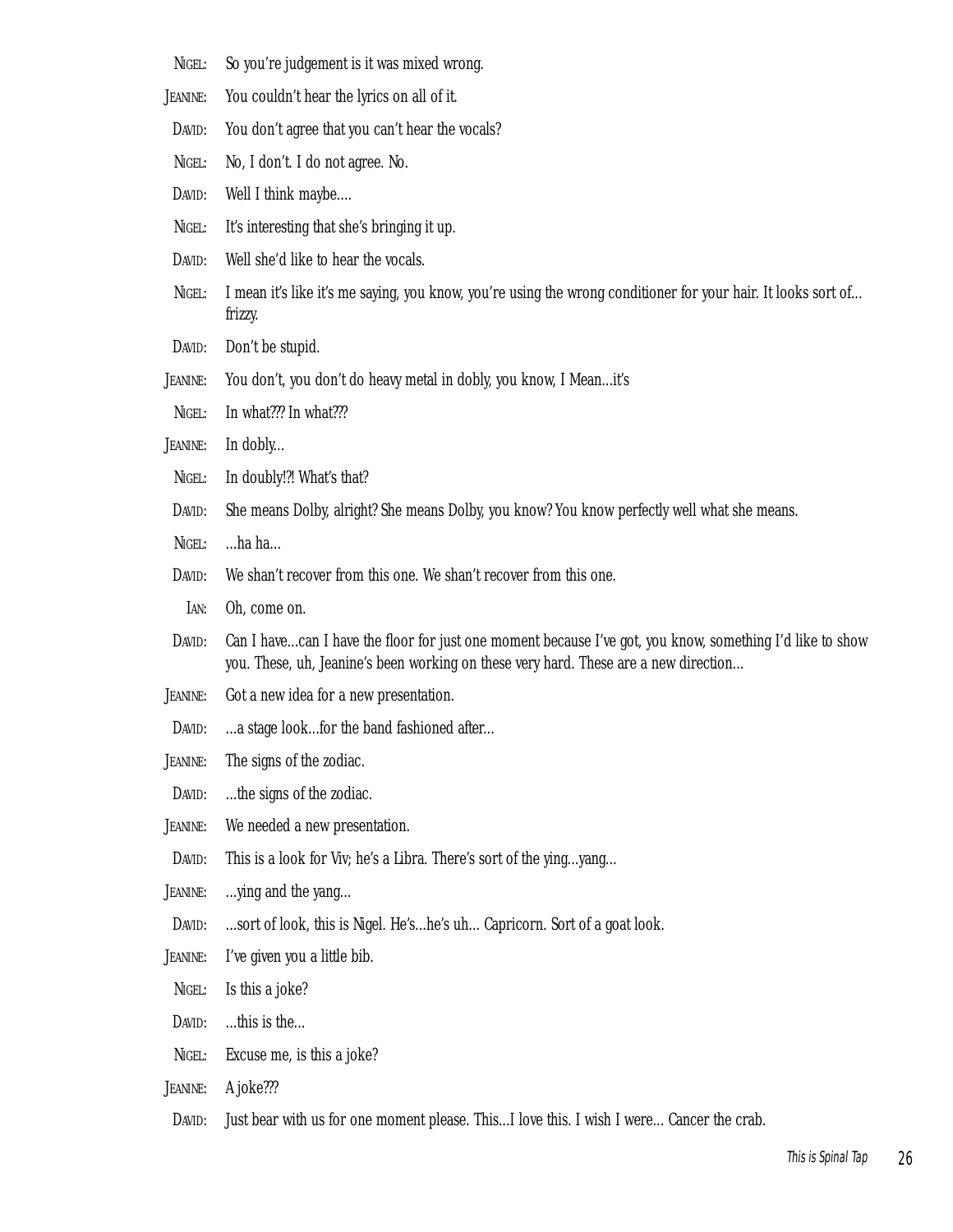- NIGEL: So you're judgement is it was mixed wrong.
- JEANINE: You couldn't hear the lyrics on all of it.
- DAVID: You don't agree that you can't hear the vocals?
- NIGEL: No, I don't. I do not agree. No.
- DAVID: Well I think maybe....
- NIGEL: It's interesting that she's bringing it up.
- DAVID: Well she'd like to hear the vocals.
- NIGEL: I mean it's like it's me saying, you know, you're using the wrong conditioner for your hair. It looks sort of... frizzy.
- DAVID: Don't be stupid.
- JEANINE: You don't, you don't do heavy metal in dobly, you know, I Mean...it's
- NIGEL: In what??? In what???
- JEANINE: In dobly...
- NIGEL: In doubly!?! What's that?
- DAVID: She means Dolby, alright? She means Dolby, you know? You know perfectly well what she means.
- NIGEL: ...ha ha...
- DAVID: We shan't recover from this one. We shan't recover from this one.
- IAN: Oh, come on.
- DAVID: Can I have...can I have the floor for just one moment because I've got, you know, something I'd like to show you. These, uh, Jeanine's been working on these very hard. These are a new direction...
- JEANINE: Got a new idea for a new presentation.
- DAVID: ...a stage look...for the band fashioned after...
- JEANINE: The signs of the zodiac.
- DAVID: ...the signs of the zodiac.
- JEANINE: We needed a new presentation.
- DAVID: This is a look for Viv; he's a Libra. There's sort of the ying...yang...
- JEANINE: ...ying and the yang...
- DAVID: ...sort of look, this is Nigel. He's...he's uh... Capricorn. Sort of a goat look.
- JEANINE: I've given you a little bib.
- NIGEL: Is this a joke?
- DAVID: ...this is the...
- NIGEL: Excuse me, is this a joke?
- JEANINE: A joke???
- DAVID: Just bear with us for one moment please. This...I love this. I wish I were... Cancer the crab.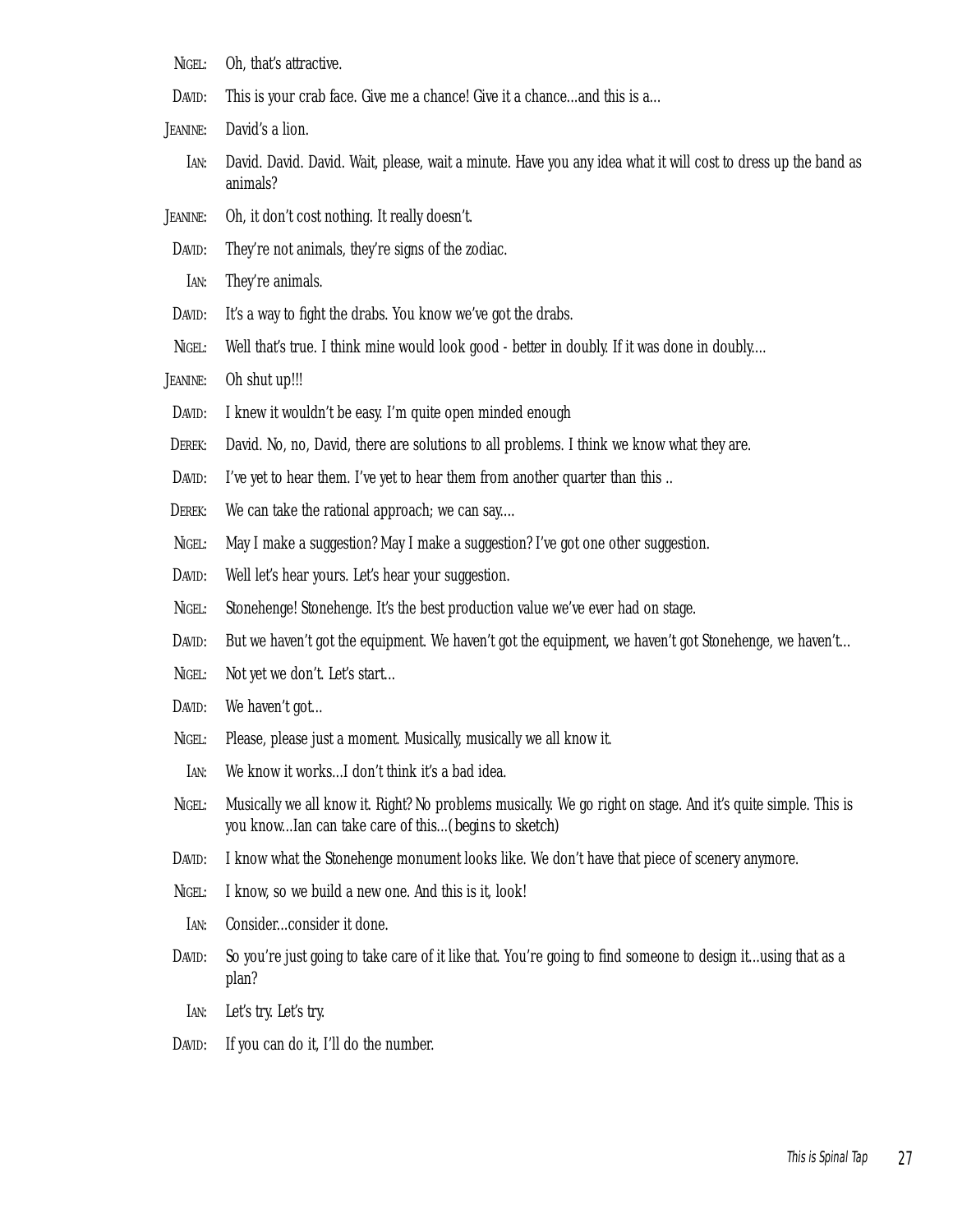- NIGEL: Oh, that's attractive.
- DAVID: This is your crab face. Give me a chance! Give it a chance...and this is a...
- JEANINE: David's a lion.
	- IAN: David. David. David. Wait, please, wait a minute. Have you any idea what it will cost to dress up the band as animals?
- JEANINE: Oh, it don't cost nothing. It really doesn't.
- DAVID: They're not animals, they're signs of the zodiac.
	- IAN: They're animals.
- DAVID: It's a way to fight the drabs. You know we've got the drabs.
- NIGEL: Well that's true. I think mine would look good better in doubly. If it was done in doubly....
- JEANINE: Oh shut up!!!
- DAVID: I knew it wouldn't be easy. I'm quite open minded enough
- DEREK: David. No, no, David, there are solutions to all problems. I think we know what they are.
- DAVID: I've yet to hear them. I've yet to hear them from another quarter than this ..
- DEREK: We can take the rational approach; we can say...
- NIGEL: May I make a suggestion? May I make a suggestion? I've got one other suggestion.
- DAVID: Well let's hear yours. Let's hear your suggestion.
- NIGEL: Stonehenge! Stonehenge. It's the best production value we've ever had on stage.
- DAVID: But we haven't got the equipment. We haven't got the equipment, we haven't got Stonehenge, we haven't...
- NIGEL: Not yet we don't. Let's start...
- DAVID: We haven't got...
- NIGEL: Please, please just a moment. Musically, musically we all know it.
- IAN: We know it works...I don't think it's a bad idea.
- NIGEL: Musically we all know it. Right? No problems musically. We go right on stage. And it's quite simple. This is you know...Ian can take care of this...*(begins to sketch)*
- DAVID: I know what the Stonehenge monument looks like. We don't have that piece of scenery anymore.
- NIGEL: I know, so we build a new one. And this is it, look!
- IAN: Consider...consider it done.
- DAVID: So you're just going to take care of it like that. You're going to find someone to design it...using that as a plan?
- IAN: Let's try. Let's try.
- DAVID: If you can do it, I'll do the number.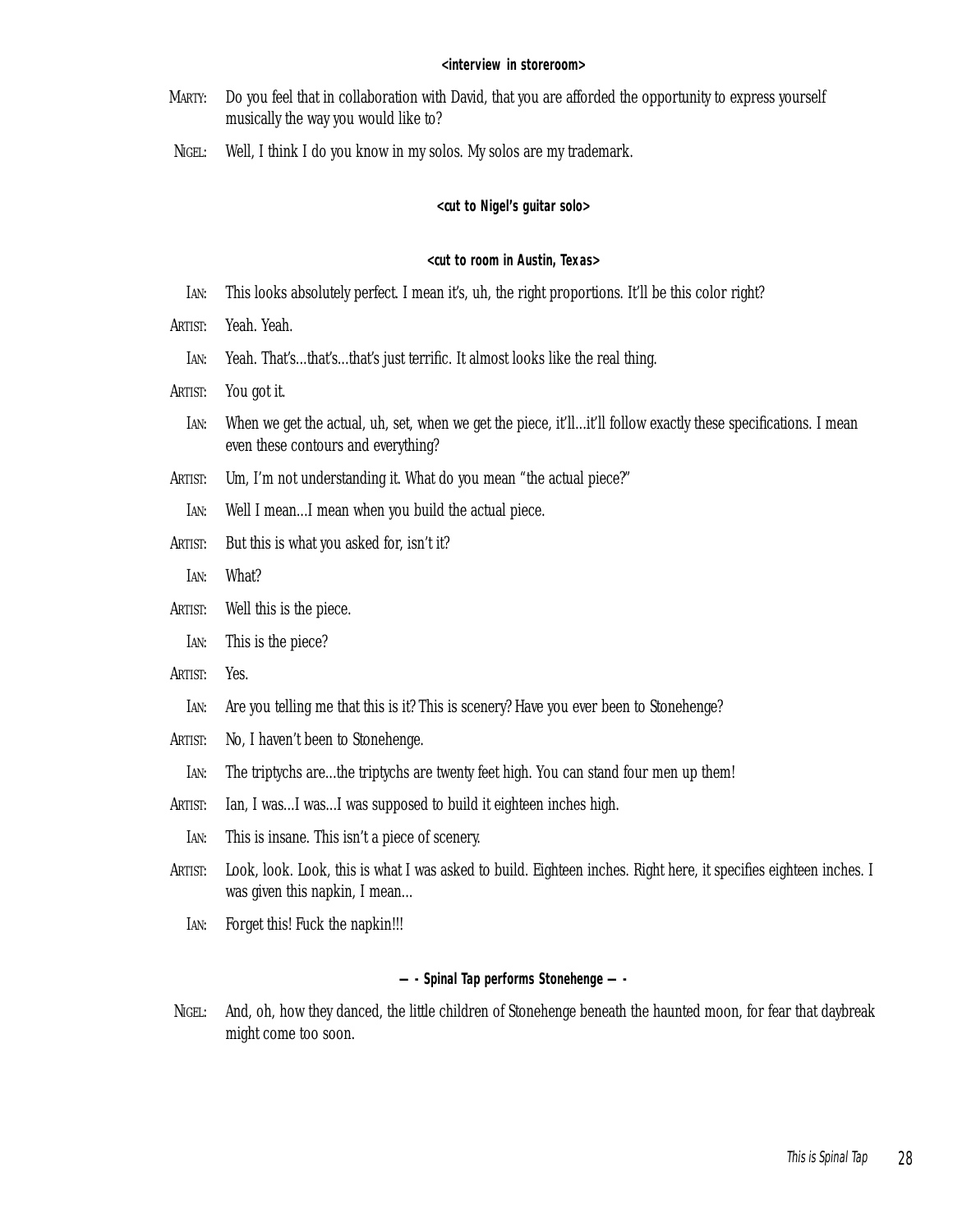#### **<interview in storeroom>**

- MARTY: Do you feel that in collaboration with David, that you are afforded the opportunity to express yourself musically the way you would like to?
- NIGEL: Well, I think I do you know in my solos. My solos are my trademark.

# **<cut to Nigel's guitar solo>**

# **<cut to room in Austin, Texas>**

- IAN: This looks absolutely perfect. I mean it's, uh, the right proportions. It'll be this color right?
- ARTIST: Yeah. Yeah.
	- IAN: Yeah. That's...that's...that's just terrific. It almost looks like the real thing.
- ARTIST: You got it.
	- IAN: When we get the actual, uh, set, when we get the piece, it'll...it'll follow exactly these specifications. I mean even these contours and everything?
- ARTIST: Um, I'm not understanding it. What do you mean "the actual piece?"
	- IAN: Well I mean...I mean when you build the actual piece.
- ARTIST: But this is what you asked for, isn't it?
	- IAN: What?
- ARTIST: Well this is the piece.
	- IAN: This is the piece?
- ARTIST: Yes.
	- IAN: Are you telling me that this is it? This is scenery? Have you ever been to Stonehenge?
- ARTIST: No, I haven't been to Stonehenge.
- IAN: The triptychs are...the triptychs are twenty feet high. You can stand four men up them!
- ARTIST: Ian, I was...I was...I was supposed to build it eighteen inches high.
	- IAN: This is insane. This isn't a piece of scenery.
- ARTIST: Look, look. Look, this is what I was asked to build. Eighteen inches. Right here, it specifies eighteen inches. I was given this napkin, I mean...
	- IAN: Forget this! Fuck the napkin!!!

**—- Spinal Tap performs Stonehenge —-**

NIGEL: And, oh, how they danced, the little children of Stonehenge beneath the haunted moon, for fear that daybreak might come too soon.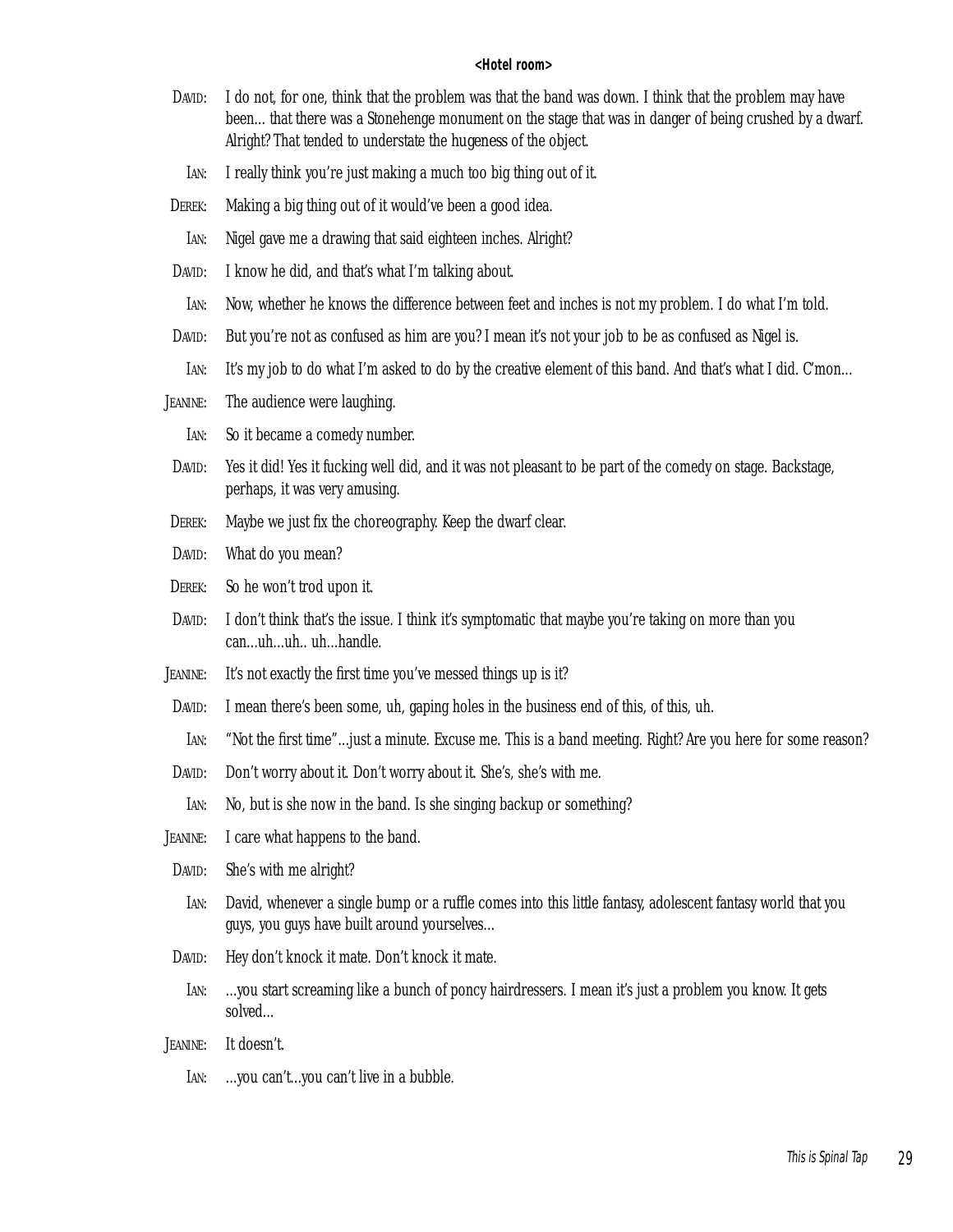#### **<Hotel room>**

- DAVID: I do not, for one, think that the problem was that the band was down. I think that the problem may have been... that there was a Stonehenge monument on the stage that was in danger of being crushed by a dwarf. Alright? That tended to understate the *hugeness* of the object.
	- IAN: I really think you're just making a much too big thing out of it.
- DEREK: Making a big thing out of it would've been a good idea.
	- IAN: Nigel gave me a drawing that said eighteen inches. Alright?
- DAVID: I know he did, and that's what I'm talking about.
- IAN: Now, whether he knows the difference between feet and inches is not my problem. I do what I'm told.
- DAVID: But you're not as confused as him are you? I mean it's not your job to be as confused as Nigel is.
	- IAN: It's my job to do what I'm asked to do by the creative element of this band. And that's what I did. C'mon...
- JEANINE: The audience were laughing.
	- IAN: So it became a comedy number.
- DAVID: Yes it did! Yes it fucking well did, and it was not pleasant to be part of the comedy on stage. Backstage, perhaps, it was very amusing.
- DEREK: Maybe we just fix the choreography. Keep the dwarf clear.
- DAVID: What do you mean?
- DEREK: So he won't trod upon it.
- DAVID: I don't think that's the issue. I think it's symptomatic that maybe you're taking on more than you can...uh...uh.. uh...handle.
- JEANINE: It's not exactly the first time you've messed things up is it?
- DAVID: I mean there's been some, uh, gaping holes in the business end of this, of this, uh.
	- IAN: "Not the first time"...just a minute. Excuse me. This is a band meeting. Right? Are you here for some reason?
- DAVID: Don't worry about it. Don't worry about it. She's, she's with me.
	- IAN: No, but is she now in the band. Is she singing backup or something?
- JEANINE: I care what happens to the band.
- DAVID: She's with me alright?
	- IAN: David, whenever a single bump or a ruffle comes into this little fantasy, adolescent fantasy world that you guys, you guys have built around yourselves...
- DAVID: Hey don't knock it mate. Don't knock it mate.
	- IAN: ...you start screaming like a bunch of poncy hairdressers. I mean it's just a problem you know. It gets solved...
- JEANINE: It doesn't.
	- IAN: ...you can't...you can't live in a bubble.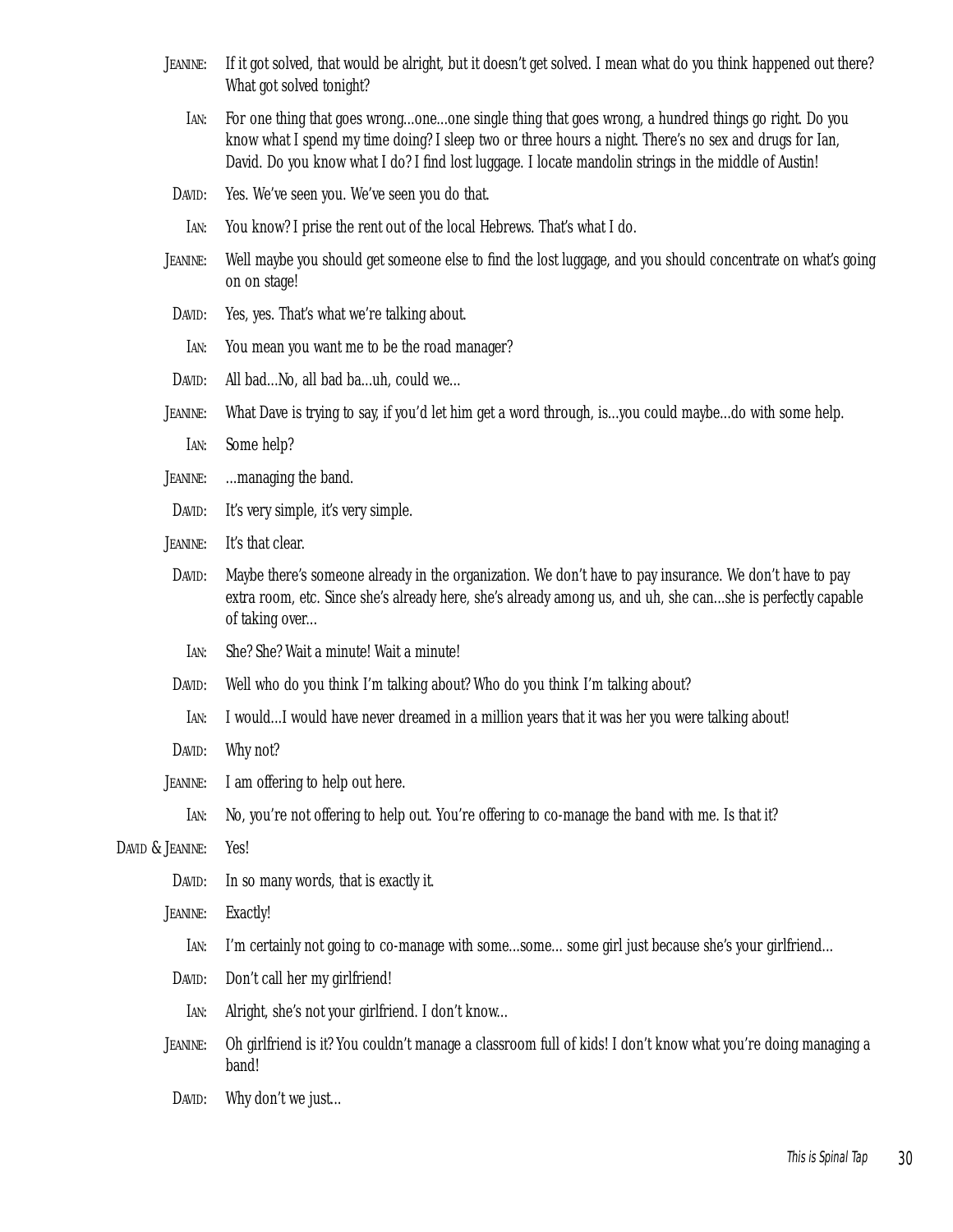- JEANINE: If it got solved, that would be alright, but it doesn't get solved. I mean what do you think happened out there? What got solved tonight?
	- IAN: For one thing that goes wrong...one...one single thing that goes wrong, a hundred things go right. Do you know what I spend my time doing? I sleep two or three hours a night. There's no sex and drugs for Ian, David. Do you know what I do? I find lost luggage. I locate mandolin strings in the middle of Austin!
- DAVID: Yes. We've seen you. We've seen you do that.
- IAN: You know? I prise the rent out of the local Hebrews. That's what I do.
- JEANINE: Well maybe you should get someone else to find the lost luggage, and you should concentrate on what's going on on stage!
- DAVID: Yes, yes. That's what we're talking about.
	- IAN: You mean you want me to be the road manager?
- DAVID: All bad...No, all bad ba...uh, could we...
- JEANINE: What Dave is trying to say, if you'd let him get a word through, is...you could maybe...do with some help.
	- IAN: Some help?
- JEANINE: ...managing the band.
- DAVID: It's very simple, it's very simple.
- JEANINE: It's that clear.
- DAVID: Maybe there's someone already in the organization. We don't have to pay insurance. We don't have to pay extra room, etc. Since she's already here, she's already among us, and uh, she can...she is perfectly capable of taking over...
	- IAN: She? She? Wait a minute! Wait a minute!
- DAVID: Well who do you think I'm talking about? Who do you think I'm talking about?
	- IAN: I would...I would have never dreamed in a million years that it was her you were talking about!
- DAVID: Why not?
- JEANINE: I am offering to help out here.
	- IAN: No, you're not offering to help out. You're offering to co-manage the band with me. Is that it?
- DAVID & JEANINE: Yes!
	- DAVID: In so many words, that is exactly it.
	- JEANINE: Exactly!
		- IAN: I'm certainly not going to co-manage with some...some... some girl just because she's your girlfriend...
	- DAVID: Don't call her my girlfriend!
	- IAN: Alright, she's not your girlfriend. I don't know...
	- JEANINE: Oh girlfriend is it? You couldn't manage a classroom full of kids! I don't know what you're doing managing a band!
	- DAVID: Why don't we just...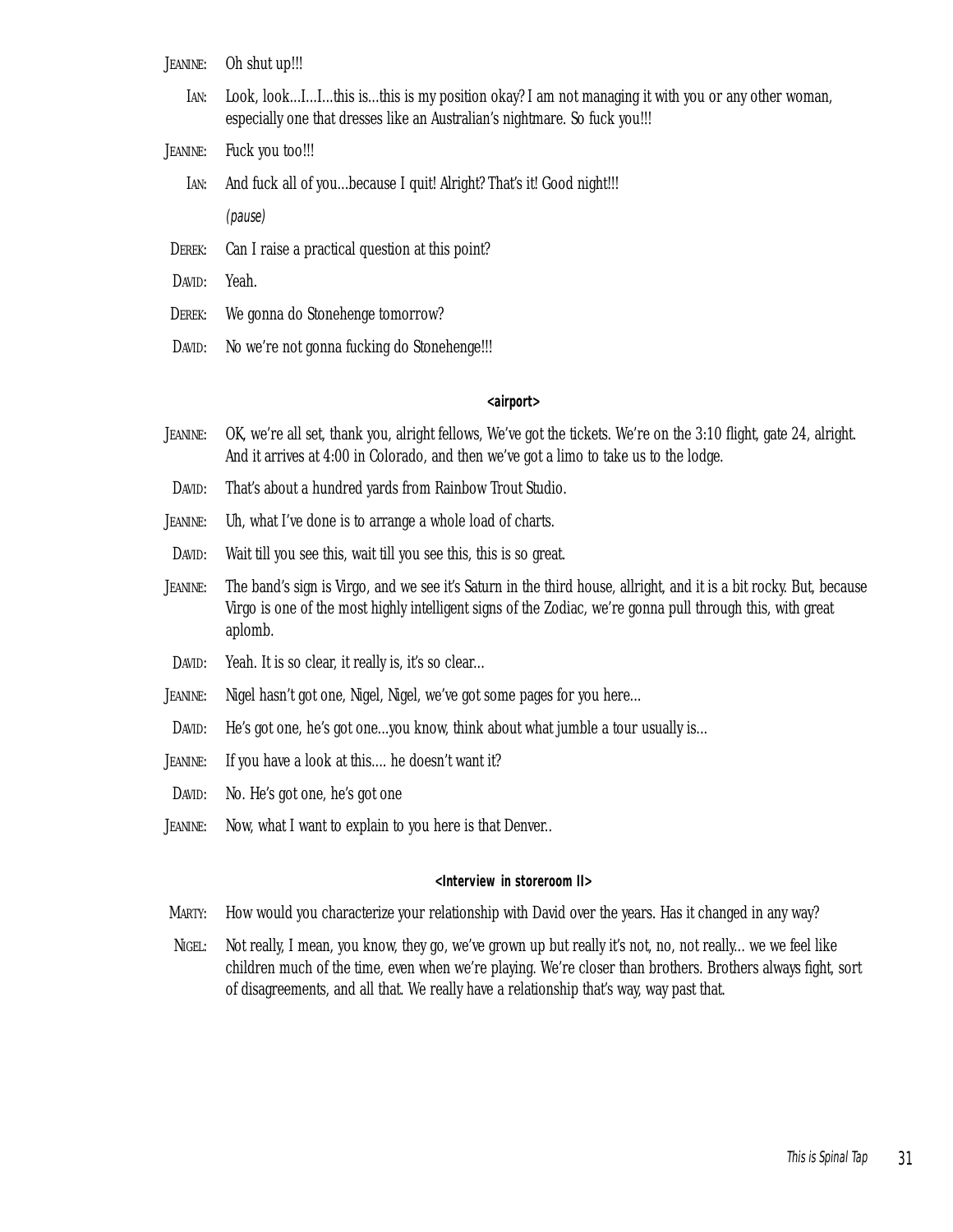- JEANINE: Oh shut up!!! IAN: Look, look...I...I...this is...this is my position okay? I am not managing it with you or any other woman, especially one that dresses like an Australian's nightmare. So fuck you!!!
- JEANINE: Fuck you too!!!
	- IAN: And fuck all of you...because I quit! Alright? That's it! Good night!!!

(pause)

- DEREK: Can I raise a practical question at this point?
- DAVID: Yeah.
- DEREK: We gonna do Stonehenge tomorrow?
- DAVID: No we're not gonna fucking do Stonehenge!!!

# **<airport>**

- JEANINE: OK, we're all set, thank you, alright fellows, We've got the tickets. We're on the 3:10 flight, gate 24, alright. And it arrives at 4:00 in Colorado, and then we've got a limo to take us to the lodge.
- DAVID: That's about a hundred yards from Rainbow Trout Studio.
- JEANINE: Uh, what I've done is to arrange a whole load of charts.
- DAVID: Wait till you see this, wait till you see this, this is so great.
- JEANINE: The band's sign is Virgo, and we see it's Saturn in the third house, allright, and it is a bit rocky. But, because Virgo is one of the most highly intelligent signs of the Zodiac, we're gonna pull through this, with great aplomb.
- DAVID: Yeah. It is so clear, it really is, it's so clear...
- JEANINE: Nigel hasn't got one, Nigel, Nigel, we've got some pages for you here...
- DAVID: He's got one, he's got one...you know, think about what jumble a tour usually is...
- JEANINE: If you have a look at this.... he doesn't want it?
- DAVID: No. He's got one, he's got one
- JEANINE: Now, what I want to explain to you here is that Denver..

# **<Interview in storeroom II>**

- MARTY: How would you characterize your relationship with David over the years. Has it changed in any way?
- NIGEL: Not really, I mean, you know, they go, we've grown up but really it's not, no, not really... we we feel like children much of the time, even when we're playing. We're closer than brothers. Brothers always fight, sort of disagreements, and all that. We really have a relationship that's way, way past that.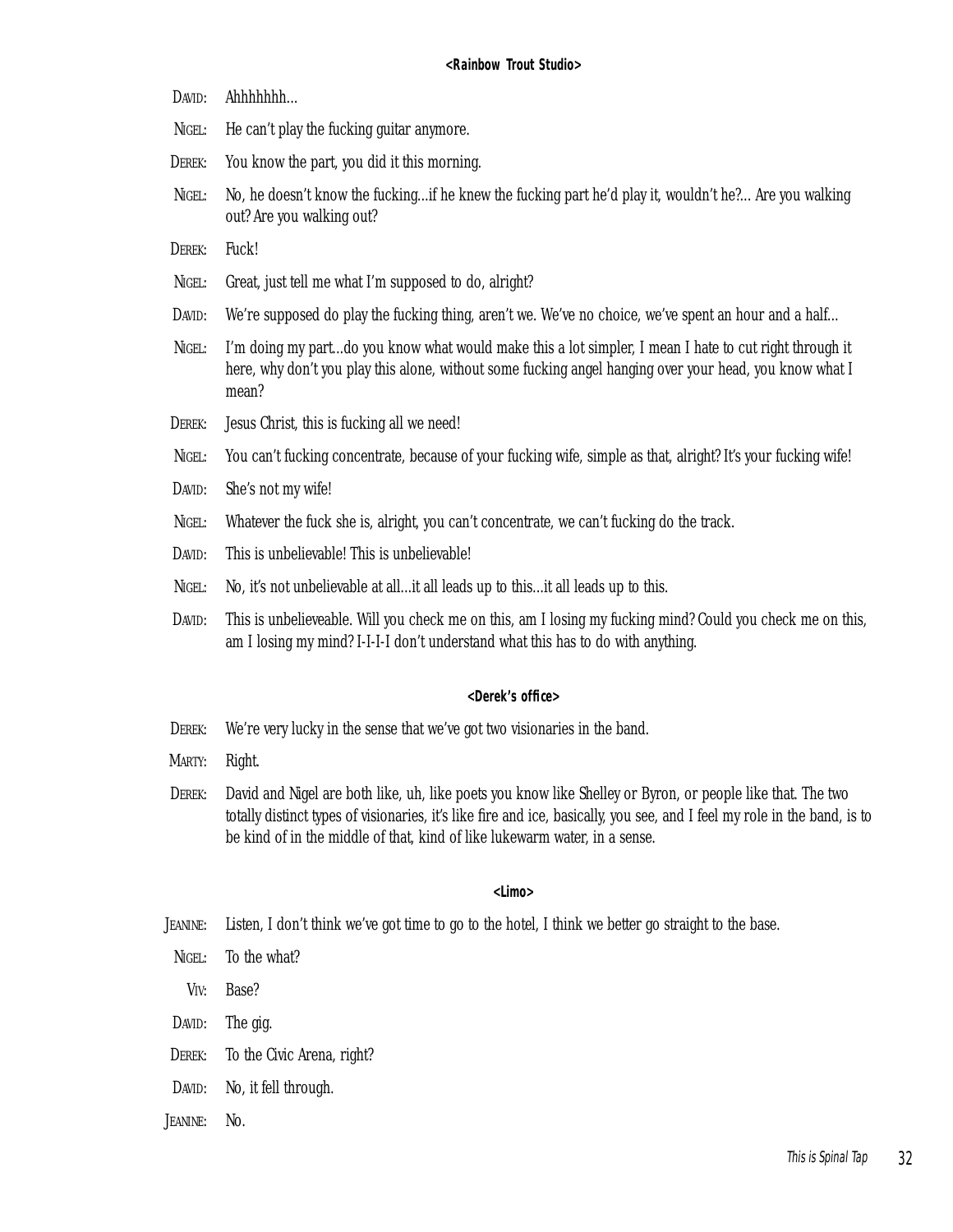- DAVID: Ahhhhhhh...
- NIGEL: He can't play the fucking guitar anymore.
- DEREK: You know the part, you did it this morning.
- NIGEL: No, he doesn't know the fucking...if he knew the fucking part he'd play it, wouldn't he?... Are you walking out? Are you walking out?
- DEREK: Fuck!
- NIGEL: Great, just tell me what I'm supposed to do, alright?
- DAVID: We're supposed do play the fucking thing, aren't we. We've no choice, we've spent an hour and a half...
- NIGEL: I'm doing my part...do you know what would make this a lot simpler, I mean I hate to cut right through it here, why don't you play this alone, without some fucking angel hanging over your head, you know what I mean?
- DEREK: Jesus Christ, this is fucking all we need!
- NIGEL: You can't fucking concentrate, because of your fucking wife, simple as that, alright? It's your fucking wife!
- DAVID: She's not my wife!
- NIGEL: Whatever the fuck she is, alright, you can't concentrate, we can't fucking do the track.
- DAVID: This is unbelievable! This is unbelievable!
- NIGEL: No, it's not unbelievable at all...it all leads up to this...it all leads up to this.
- DAVID: This is unbelieveable. Will you check me on this, am I losing my fucking mind? Could you check me on this, am I losing my mind? I-I-I-I don't understand what this has to do with anything.

# **<Derek's office>**

- DEREK: We're very lucky in the sense that we've got two visionaries in the band.
- MARTY: Right.
- DEREK: David and Nigel are both like, uh, like poets you know like Shelley or Byron, or people like that. The two totally distinct types of visionaries, it's like fire and ice, basically, you see, and I feel my role in the band, is to be kind of in the middle of that, kind of like lukewarm water, in a sense.

# **<Limo>**

- JEANINE: Listen, I don't think we've got time to go to the hotel, I think we better go straight to the base.
- NIGEL: To the what?
- VIV: Base?
- DAVID: The gig.
- DEREK: To the Civic Arena, right?
- DAVID: No, it fell through.
- JEANINE: No.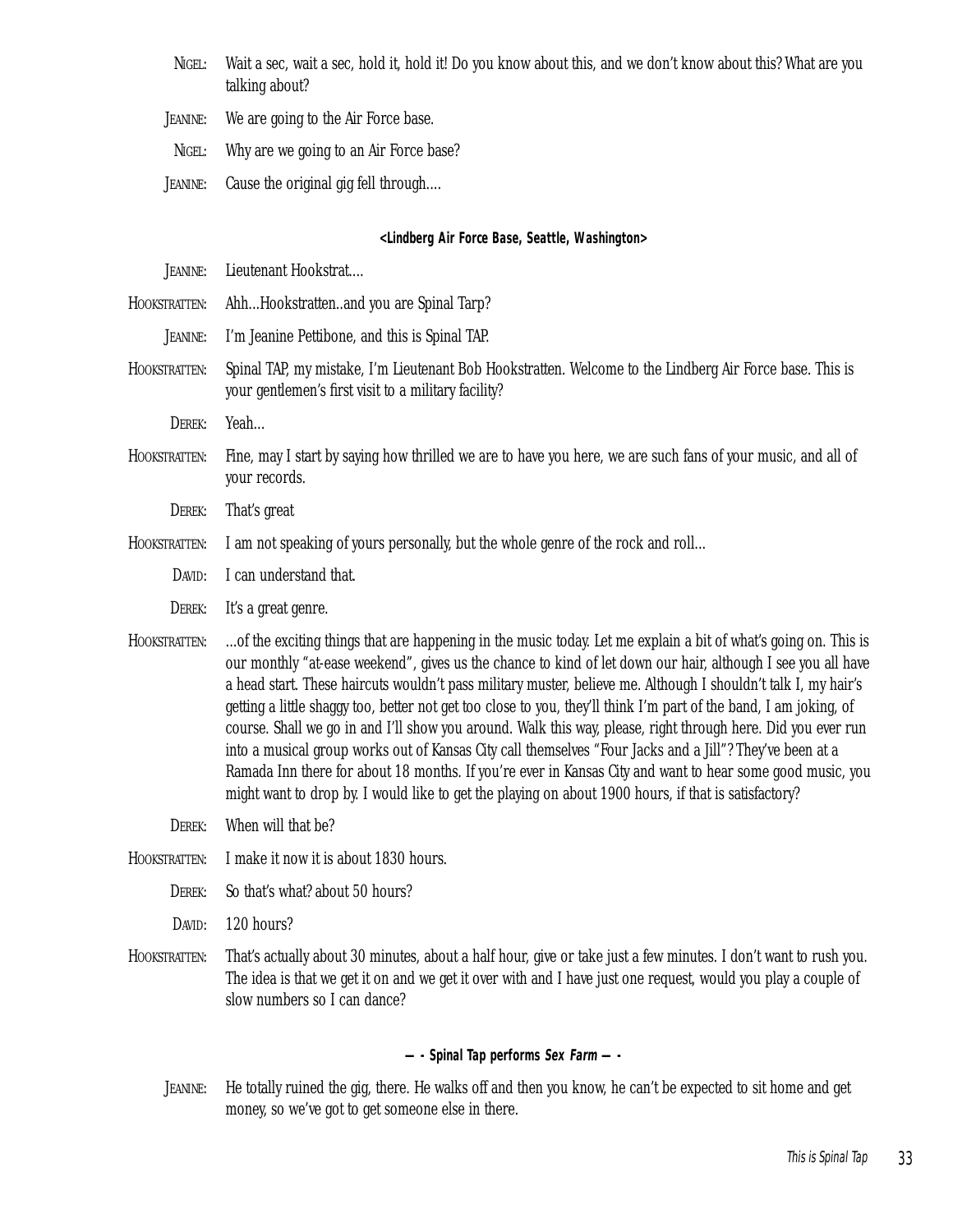- NIGEL: Wait a sec, wait a sec, hold it, hold it! Do you know about this, and we don't know about this? What are you talking about?
- JEANINE: We are going to the Air Force base.
- NIGEL: Why are we going to an Air Force base?
- JEANINE: Cause the original gig fell through....

**<Lindberg Air Force Base, Seattle, Washington>** 

| <b>JEANINE:</b>                   | Lieutenant Hookstrat                                                                                                                                                                                                                                                                                                                                                                                                                                                                                                                                                                                                                                                                                                                                                                                                                                                                                                   |  |  |  |
|-----------------------------------|------------------------------------------------------------------------------------------------------------------------------------------------------------------------------------------------------------------------------------------------------------------------------------------------------------------------------------------------------------------------------------------------------------------------------------------------------------------------------------------------------------------------------------------------------------------------------------------------------------------------------------------------------------------------------------------------------------------------------------------------------------------------------------------------------------------------------------------------------------------------------------------------------------------------|--|--|--|
| HOOKSTRATTEN:                     | AhhHookstrattenand you are Spinal Tarp?                                                                                                                                                                                                                                                                                                                                                                                                                                                                                                                                                                                                                                                                                                                                                                                                                                                                                |  |  |  |
| <b>JEANINE:</b>                   | I'm Jeanine Pettibone, and this is Spinal TAP.                                                                                                                                                                                                                                                                                                                                                                                                                                                                                                                                                                                                                                                                                                                                                                                                                                                                         |  |  |  |
| HOOKSTRATTEN:                     | Spinal TAP, my mistake, I'm Lieutenant Bob Hookstratten. Welcome to the Lindberg Air Force base. This is<br>your gentlemen's first visit to a military facility?                                                                                                                                                                                                                                                                                                                                                                                                                                                                                                                                                                                                                                                                                                                                                       |  |  |  |
| DEREK:                            | Yeah                                                                                                                                                                                                                                                                                                                                                                                                                                                                                                                                                                                                                                                                                                                                                                                                                                                                                                                   |  |  |  |
| HOOKSTRATTEN:                     | Fine, may I start by saying how thrilled we are to have you here, we are such fans of your music, and all of<br>your records.                                                                                                                                                                                                                                                                                                                                                                                                                                                                                                                                                                                                                                                                                                                                                                                          |  |  |  |
| DEREK:                            | That's great                                                                                                                                                                                                                                                                                                                                                                                                                                                                                                                                                                                                                                                                                                                                                                                                                                                                                                           |  |  |  |
| HOOKSTRATTEN:                     | I am not speaking of yours personally, but the whole genre of the rock and roll                                                                                                                                                                                                                                                                                                                                                                                                                                                                                                                                                                                                                                                                                                                                                                                                                                        |  |  |  |
| DAVID:                            | I can understand that.                                                                                                                                                                                                                                                                                                                                                                                                                                                                                                                                                                                                                                                                                                                                                                                                                                                                                                 |  |  |  |
| DEREK:                            | It's a great genre.                                                                                                                                                                                                                                                                                                                                                                                                                                                                                                                                                                                                                                                                                                                                                                                                                                                                                                    |  |  |  |
| HOOKSTRATTEN:                     | of the exciting things that are happening in the music today. Let me explain a bit of what's going on. This is<br>our monthly "at-ease weekend", gives us the chance to kind of let down our hair, although I see you all have<br>a head start. These haircuts wouldn't pass military muster, believe me. Although I shouldn't talk I, my hair's<br>getting a little shaggy too, better not get too close to you, they'll think I'm part of the band, I am joking, of<br>course. Shall we go in and I'll show you around. Walk this way, please, right through here. Did you ever run<br>into a musical group works out of Kansas City call themselves "Four Jacks and a Jill"? They've been at a<br>Ramada Inn there for about 18 months. If you're ever in Kansas City and want to hear some good music, you<br>might want to drop by. I would like to get the playing on about 1900 hours, if that is satisfactory? |  |  |  |
| DEREK:                            | When will that be?                                                                                                                                                                                                                                                                                                                                                                                                                                                                                                                                                                                                                                                                                                                                                                                                                                                                                                     |  |  |  |
| HOOKSTRATTEN:                     | I make it now it is about 1830 hours.                                                                                                                                                                                                                                                                                                                                                                                                                                                                                                                                                                                                                                                                                                                                                                                                                                                                                  |  |  |  |
| DEREK:                            | So that's what? about 50 hours?                                                                                                                                                                                                                                                                                                                                                                                                                                                                                                                                                                                                                                                                                                                                                                                                                                                                                        |  |  |  |
| DAVID:                            | 120 hours?                                                                                                                                                                                                                                                                                                                                                                                                                                                                                                                                                                                                                                                                                                                                                                                                                                                                                                             |  |  |  |
| HOOKSTRATTEN:                     | That's actually about 30 minutes, about a half hour, give or take just a few minutes. I don't want to rush you.<br>The idea is that we get it on and we get it over with and I have just one request, would you play a couple of<br>slow numbers so I can dance?                                                                                                                                                                                                                                                                                                                                                                                                                                                                                                                                                                                                                                                       |  |  |  |
| --- Spinal Tap performs Sex Farm- |                                                                                                                                                                                                                                                                                                                                                                                                                                                                                                                                                                                                                                                                                                                                                                                                                                                                                                                        |  |  |  |

JEANINE: He totally ruined the gig, there. He walks off and then you know, he can't be expected to sit home and get money, so we've got to get someone else in there.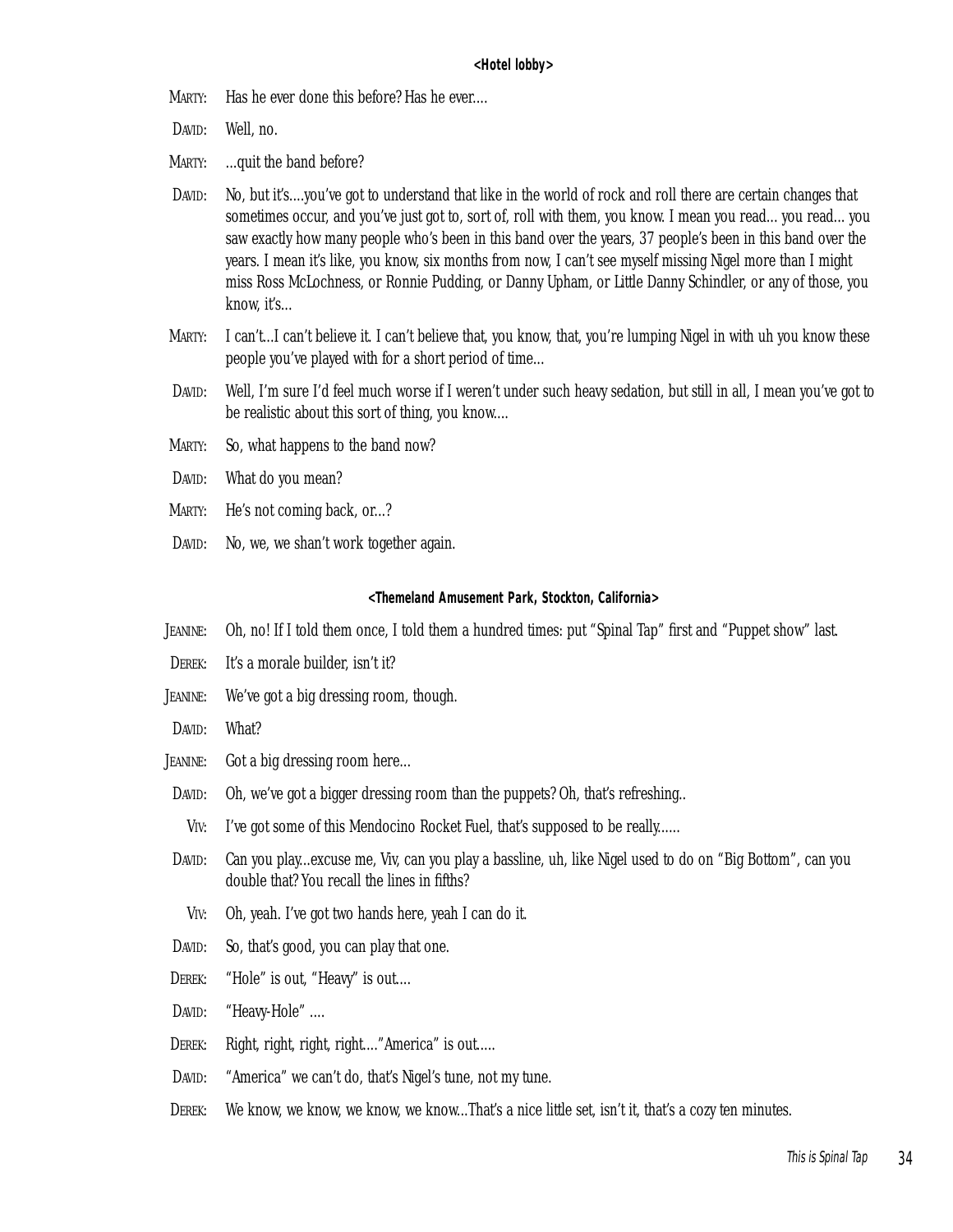MARTY: Has he ever done this before? Has he ever....

DAVID: Well, no.

MARTY: ...quit the band before?

DAVID: No, but it's....you've got to understand that like in the world of rock and roll there are certain changes that sometimes occur, and you've just got to, sort of, roll with them, you know. I mean you read... you read... you saw exactly how many people who's been in this band over the years, 37 people's been in this band over the years. I mean it's like, you know, six months from now, I can't see myself missing Nigel more than I might miss Ross McLochness, or Ronnie Pudding, or Danny Upham, or Little Danny Schindler, or any of those, you know, it's...

- MARTY: I can't...I can't believe it. I can't believe that, you know, that, you're lumping Nigel in with uh you know these people you've played with for a short period of time...
- DAVID: Well, I'm sure I'd feel much worse if I weren't under such heavy sedation, but still in all, I mean you've got to be realistic about this sort of thing, you know....
- MARTY: So, what happens to the band now?
- DAVID: What do you mean?
- MARTY: He's not coming back, or...?
- DAVID: No, we, we shan't work together again.

## **<Themeland Amusement Park, Stockton, California>**

- JEANINE: Oh, no! If I told them once, I told them a hundred times: put "Spinal Tap" first and "Puppet show" last.
- DEREK: It's a morale builder, isn't it?
- JEANINE: We've got a big dressing room, though.
- DAVID: What?
- JEANINE: Got a big dressing room here...
- DAVID: Oh, we've got a bigger dressing room than the puppets? Oh, that's refreshing..
- VIV: I've got some of this Mendocino Rocket Fuel, that's supposed to be really.....
- DAVID: Can you play...excuse me, Viv, can you play a bassline, uh, like Nigel used to do on "Big Bottom", can you double that? You recall the lines in fifths?
	- VIV: Oh, yeah. I've got two hands here, yeah I can do it.
- DAVID: So, that's good, you can play that one.
- DEREK: "Hole" is out, "Heavy" is out....
- DAVID: "Heavy-Hole" ....
- DEREK: Right, right, right, right...."America" is out.....
- DAVID: "America" we can't do, that's Nigel's tune, not my tune.
- DEREK: We know, we know, we know, we know...That's a nice little set, isn't it, that's a cozy ten minutes.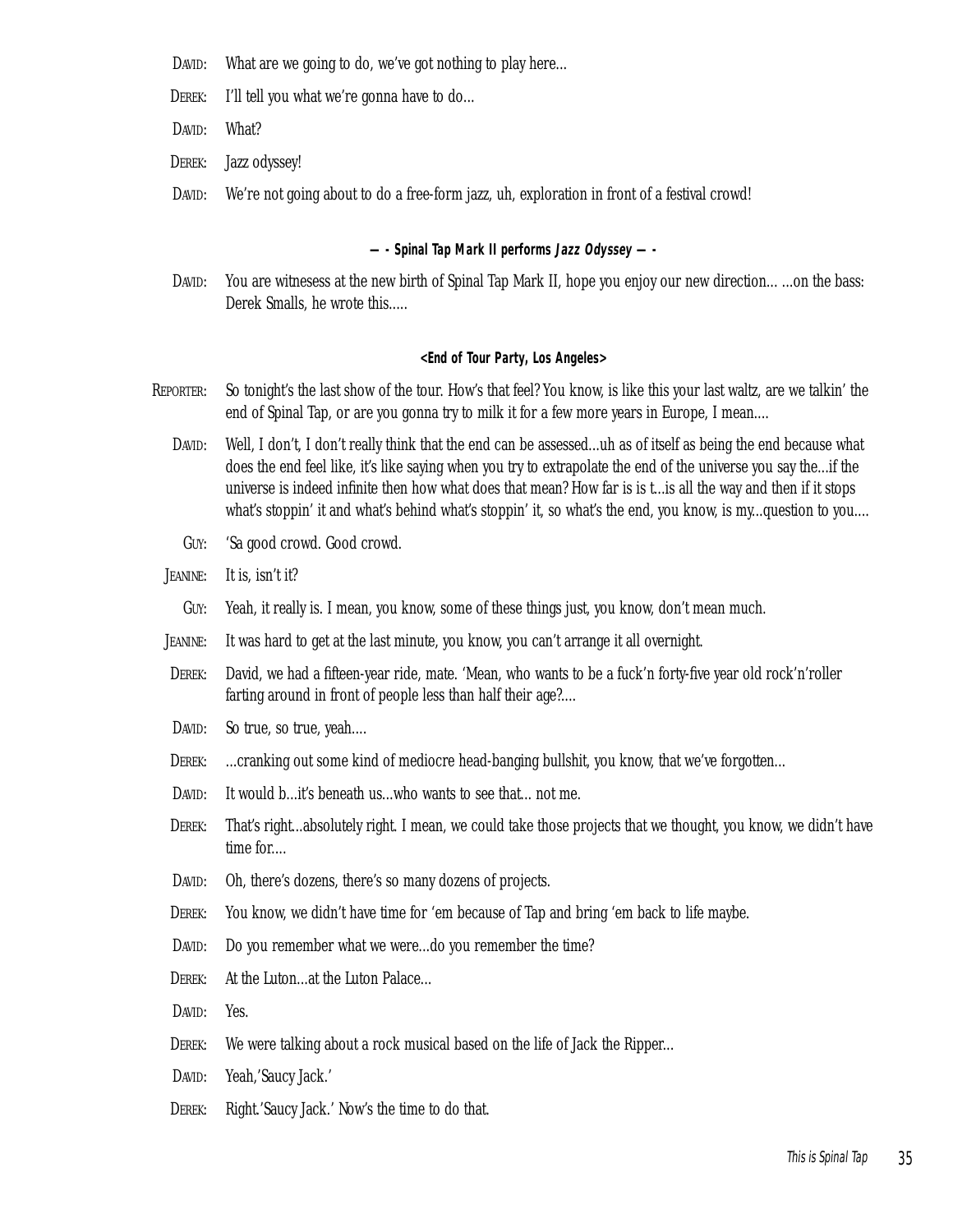- DAVID: What are we going to do, we've got nothing to play here...
- DEREK: I'll tell you what we're gonna have to do...
- DAVID: What?
- DEREK: Jazz odyssey!
- DAVID: We're not going about to do a free-form jazz, uh, exploration in front of a festival crowd!

**—- Spinal Tap Mark II performs Jazz Odyssey —-**

DAVID: You are witnesess at the new birth of Spinal Tap Mark II, hope you enjoy our new direction... ...on the bass: Derek Smalls, he wrote this.....

## **<End of Tour Party, Los Angeles>**

- REPORTER: So tonight's the last show of the tour. How's that feel? You know, is like this your last waltz, are we talkin' the end of Spinal Tap, or are you gonna try to milk it for a few more years in Europe, I mean....
	- DAVID: Well, I don't, I don't really think that the end can be assessed...uh as of itself as being the end because what does the end feel like, it's like saying when you try to extrapolate the end of the universe you say the...if the universe is indeed infinite then how what does that mean? How far is is t...is all the way and then if it stops what's stoppin' it and what's behind what's stoppin' it, so what's the end, you know, is my...question to you....
		- GUY: 'Sa good crowd. Good crowd.
	- JEANINE: It is, isn't it?
		- GUY: Yeah, it really is. I mean, you know, some of these things just, you know, don't mean much.
	- JEANINE: It was hard to get at the last minute, you know, you can't arrange it all overnight.
	- DEREK: David, we had a fifteen-year ride, mate. 'Mean, who wants to be a fuck'n forty-five year old rock'n'roller farting around in front of people less than half their age?....
	- DAVID: So true, so true, yeah....
	- DEREK: ...cranking out some kind of mediocre head-banging bullshit, you know, that we've forgotten...
	- DAVID: It would b...it's beneath us...who wants to see that... not me.
	- DEREK: That's right...absolutely right. I mean, we could take those projects that we thought, you know, we didn't have time for....
	- DAVID: Oh, there's dozens, there's so many dozens of projects.
	- DEREK: You know, we didn't have time for 'em because of Tap and bring 'em back to life maybe.
	- DAVID: Do you remember what we were...do you remember the time?
	- DEREK: At the Luton...at the Luton Palace...
	- DAVID: Yes.
	- DEREK: We were talking about a rock musical based on the life of Jack the Ripper...
	- DAVID: Yeah,'Saucy Jack.'
	- DEREK: Right.'Saucy Jack.' Now's the time to do that.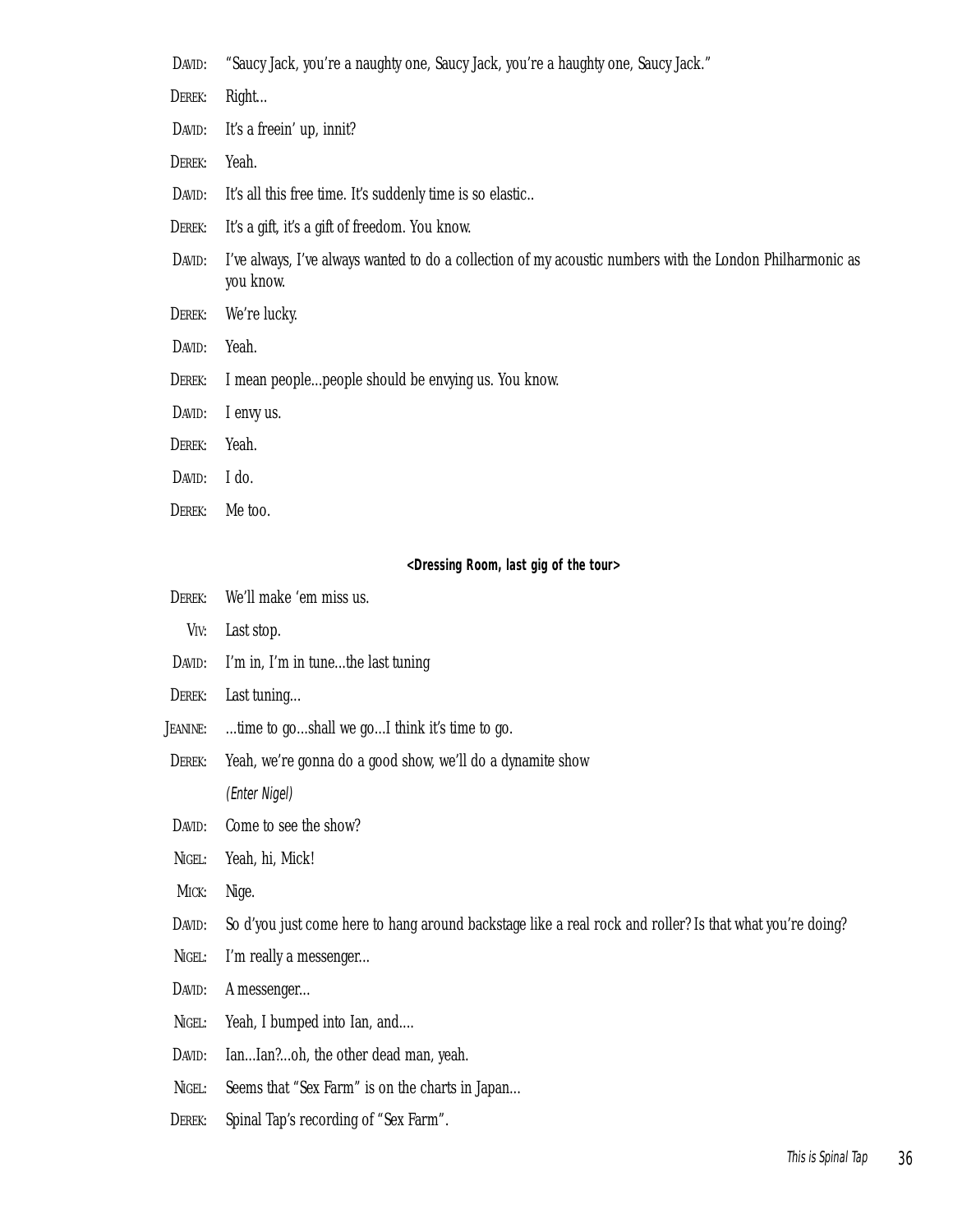DAVID: "Saucy Jack, you're a naughty one, Saucy Jack, you're a haughty one, Saucy Jack."

DEREK: Right...

- DAVID: It's a freein' up, innit?
- DEREK: Yeah.
- DAVID: It's all this free time. It's suddenly time is so elastic..
- DEREK: It's a gift, it's a gift of freedom. You know.
- DAVID: I've always, I've always wanted to do a collection of my acoustic numbers with the London Philharmonic as you know.
- DEREK: We're lucky.
- DAVID: Yeah.
- DEREK: I mean people...people should be envying us. You know.
- DAVID: I envy us.
- DEREK: Yeah.
- DAVID: I do.
- DEREK: Me too.

**<Dressing Room, last gig of the tour>** 

- DEREK: We'll make 'em miss us.
	- VIV: Last stop.
- DAVID: I'm in, I'm in tune...the last tuning
- DEREK: Last tuning...
- JEANINE: ...time to go...shall we go...I think it's time to go.
- DEREK: Yeah, we're gonna do a good show, we'll do a dynamite show (Enter Nigel)
- DAVID: Come to see the show?
- NIGEL: Yeah, hi, Mick!
- MICK: Nige.
- DAVID: So d'you just come here to hang around backstage like a real rock and roller? Is that what you're doing?
- NIGEL: I'm really a messenger...
- DAVID: A messenger...
- NIGEL: Yeah, I bumped into Ian, and....
- DAVID: Ian...Ian?...oh, the other dead man, yeah.
- NIGEL: Seems that "Sex Farm" is on the charts in Japan...
- DEREK: Spinal Tap's recording of "Sex Farm".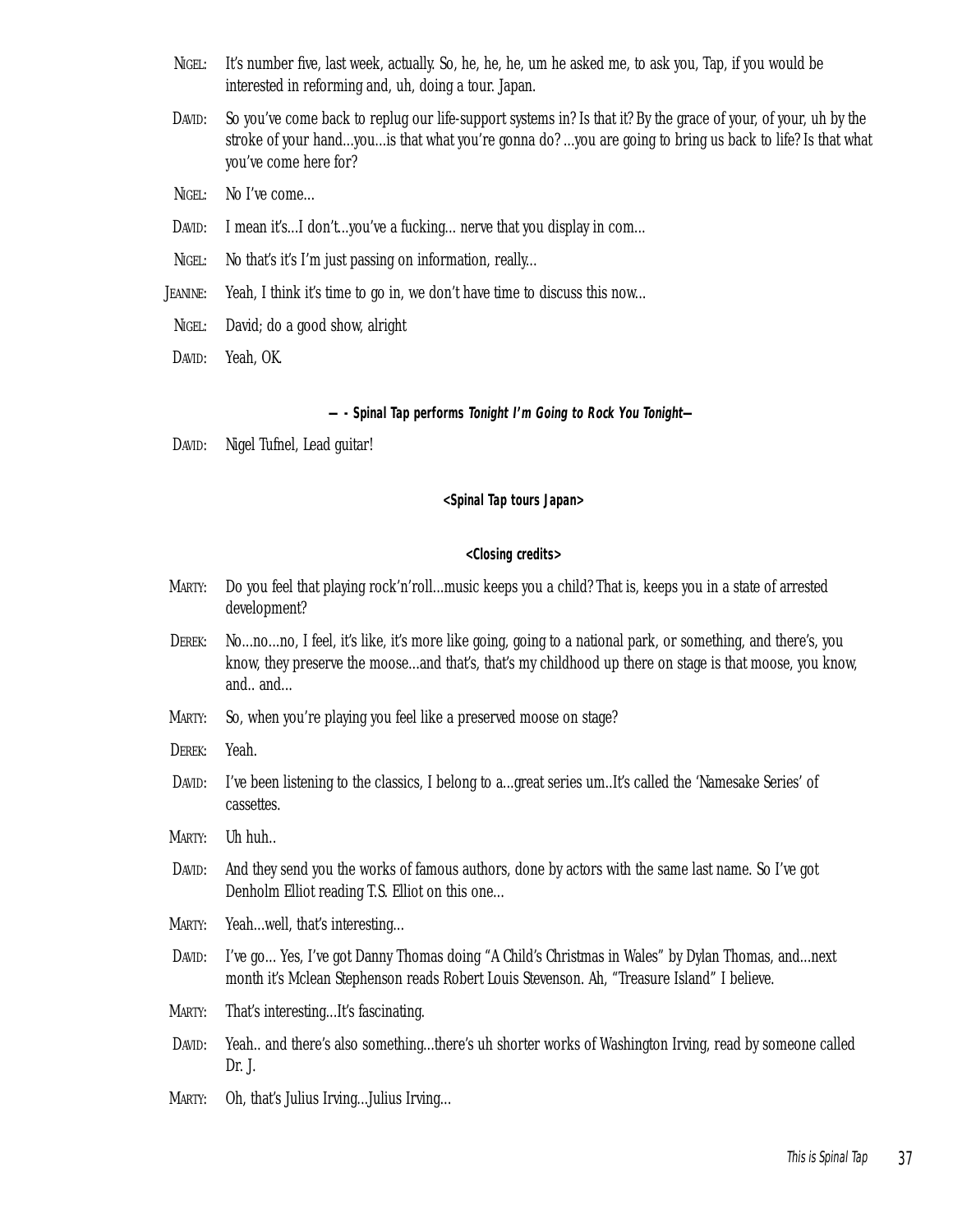- NIGEL: It's number five, last week, actually. So, he, he, he, um he asked me, to ask you, Tap, if you would be interested in reforming and, uh, doing a tour. Japan.
- DAVID: So you've come back to replug our life-support systems in? Is that it? By the grace of your, of your, uh by the stroke of your hand...you...is that what you're gonna do? ...you are going to bring us back to life? Is that what you've come here for?
- NIGEL: No I've come...
- DAVID: I mean it's...I don't...you've a fucking... nerve that you display in com...
- NIGEL: No that's it's I'm just passing on information, really...
- JEANINE: Yeah, I think it's time to go in, we don't have time to discuss this now...
- NIGEL: David; do a good show, alright
- DAVID: Yeah, OK.

**—- Spinal Tap performs Tonight I'm Going to Rock You Tonight—**

DAVID: Nigel Tufnel, Lead guitar!

## **<Spinal Tap tours Japan>**

## **<Closing credits>**

- MARTY: Do you feel that playing rock'n'roll...music keeps you a child? That is, keeps you in a state of arrested development?
- DEREK: No...no...no, I feel, it's like, it's more like going, going to a national park, or something, and there's, you know, they preserve the moose...and that's, that's my childhood up there on stage is that moose, you know, and.. and...
- MARTY: So, when you're playing you feel like a preserved moose on stage?
- DEREK: Yeah.
- DAVID: I've been listening to the classics, I belong to a...great series um..It's called the 'Namesake Series' of cassettes.
- MARTY: Uh huh..
- DAVID: And they send you the works of famous authors, done by actors with the same last name. So I've got Denholm Elliot reading T.S. Elliot on this one...
- MARTY: Yeah...well, that's interesting...
- DAVID: I've go... Yes, I've got Danny Thomas doing "A Child's Christmas in Wales" by Dylan Thomas, and...next month it's Mclean Stephenson reads Robert Louis Stevenson. Ah, "Treasure Island" I believe.
- MARTY: That's interesting...It's fascinating.
- DAVID: Yeah.. and there's also something...there's uh shorter works of Washington Irving, read by someone called Dr. J.
- MARTY: Oh, that's Julius Irving...Julius Irving...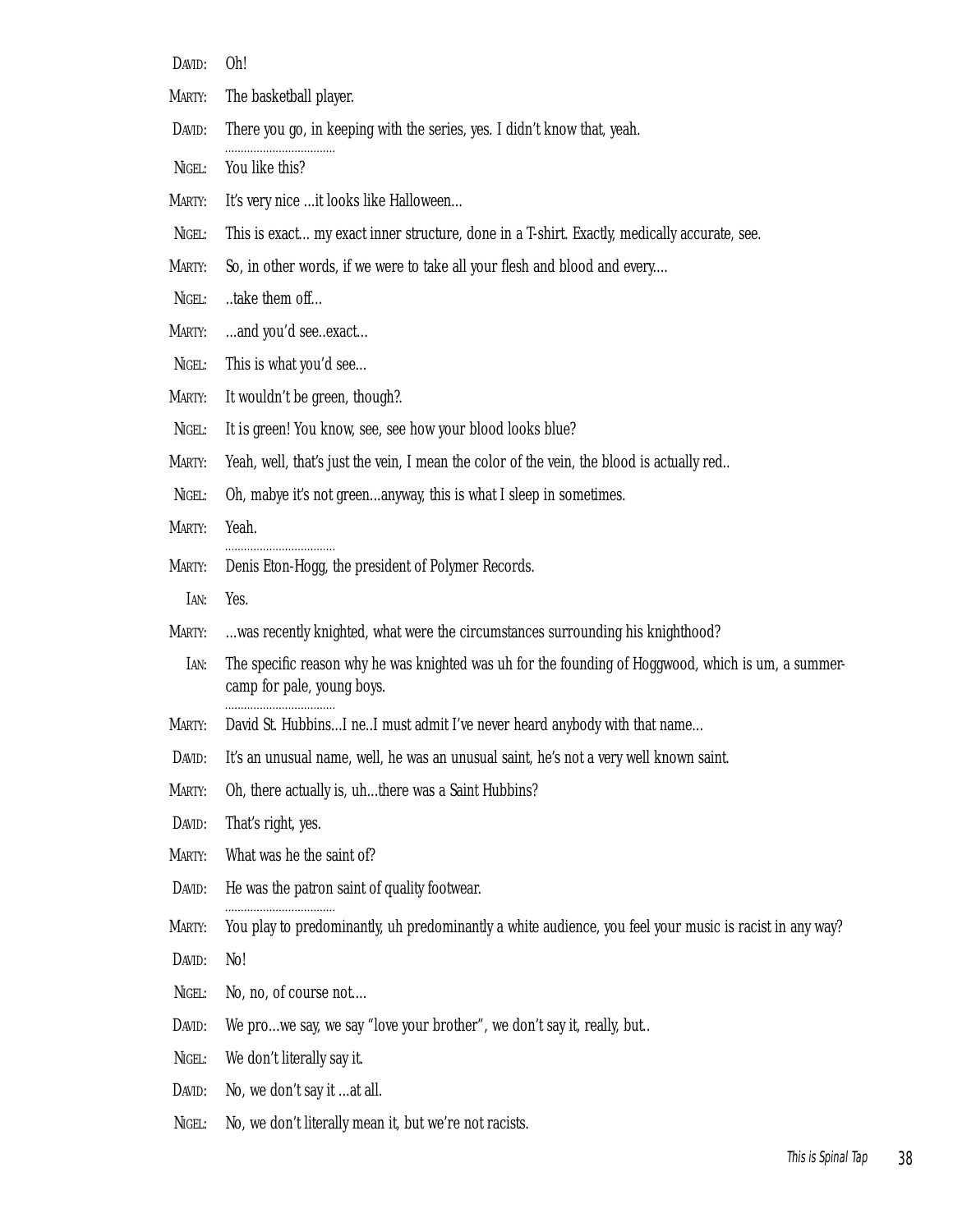- MARTY: The basketball player.
- DAVID: There you go, in keeping with the series, yes. I didn't know that, yeah.
- NIGEL: You like this?
- MARTY: It's very nice ...it looks like Halloween...
- NIGEL: This is exact... my exact inner structure, done in a T-shirt. Exactly, medically accurate, see.
- MARTY: So, in other words, if we were to take all your flesh and blood and every....
- NIGEL: ..take them off...
- MARTY: ...and you'd see..exact...
- NIGEL: This is what you'd see...
- MARTY: It wouldn't be green, though?.
- NIGEL: It *is* green! You know, see, see how your blood looks blue?
- MARTY: Yeah, well, that's just the vein, I mean the color of the vein, the blood is actually red..
- NIGEL: Oh, mabye it's not green...anyway, this is what I sleep in sometimes.
- MARTY: Yeah.
- MARTY: Denis Eton-Hogg, the president of Polymer Records.
	- IAN: Yes.
- MARTY: ...was recently knighted, what were the circumstances surrounding his knighthood?
	- IAN: The specific reason why he was knighted was uh for the founding of Hoggwood, which is um, a summercamp for pale, young boys.
- MARTY: David St. Hubbins...I ne..I must admit I've never heard anybody with that name...
- DAVID: It's an unusual name, well, he was an unusual saint, he's not a very well known saint.
- MARTY: Oh, there actually is, uh...there was a Saint Hubbins?
- DAVID: That's right, yes.
- MARTY: What was he the saint of?
- DAVID: He was the patron saint of quality footwear.
- MARTY: You play to predominantly, uh predominantly a white audience, you feel your music is racist in any way?
- DAVID: No!
- NIGEL: No, no, of course not....
- DAVID: We pro...we say, we say "love your brother", we don't say it, really, but..
- NIGEL: We don't literally say it.
- DAVID: No, we don't say it ...at all.
- NIGEL: No, we don't literally mean it, but we're not racists.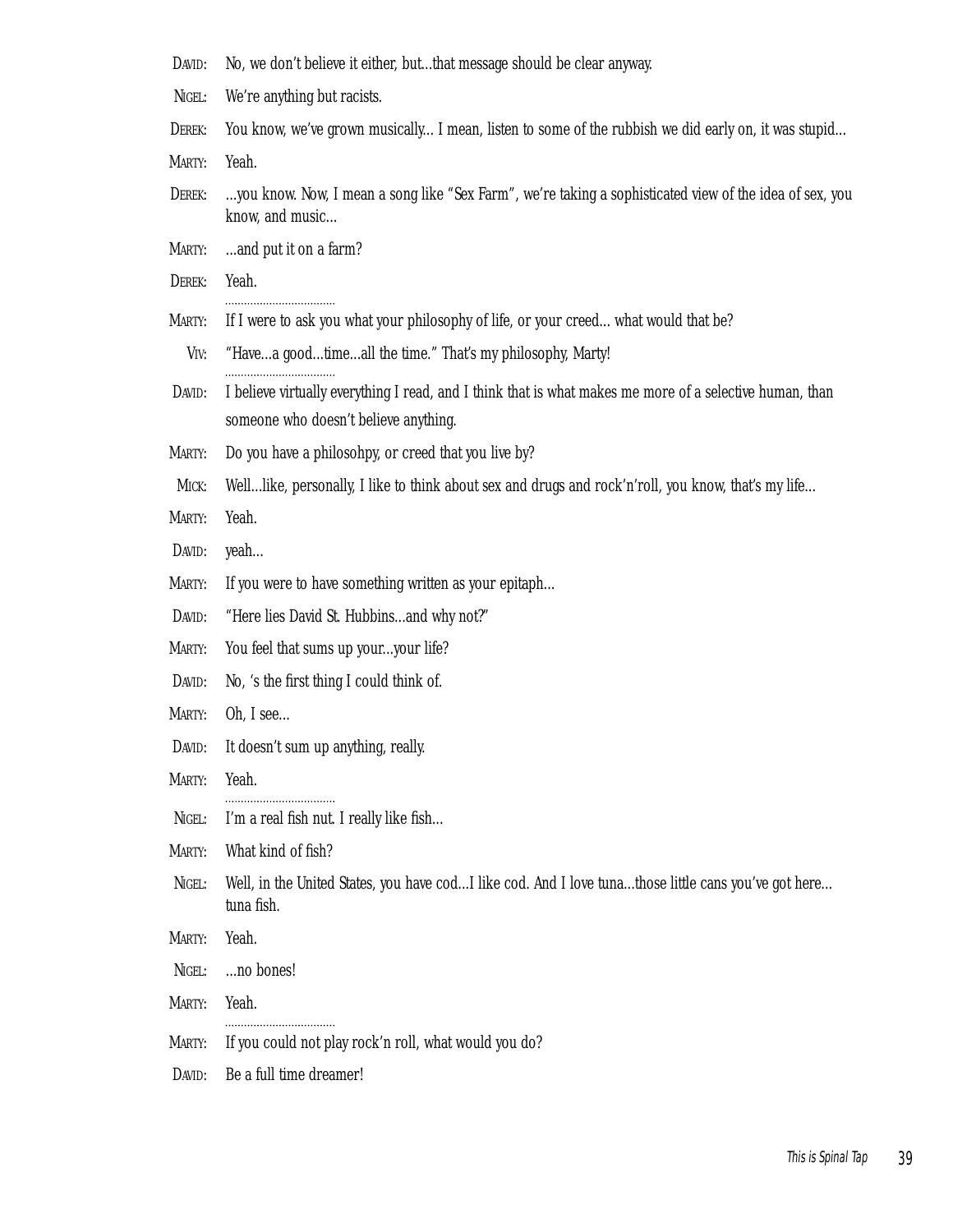- DAVID: No, we don't believe it either, but...that message should be clear anyway.
- NIGEL: We're anything but racists.
- DEREK: You know, we've grown musically... I mean, listen to some of the rubbish we did early on, it was stupid...
- MARTY: Yeah.
- DEREK: ...you know. Now, I mean a song like "Sex Farm", we're taking a sophisticated view of the idea of sex, you know, and music...
- MARTY: ...and put it on a farm?

- DEREK: Yeah.
- MARTY: If I were to ask you what your philosophy of life, or your creed... what would that be?
- VIV: "Have...a good...time...all the time." That's my philosophy, Marty!
- DAVID: I believe virtually everything I read, and I think that is what makes me more of a selective human, than someone who doesn't believe anything.
- MARTY: Do you have a philosohpy, or creed that you live by?
- MICK: Well...like, personally, I like to think about sex and drugs and rock'n'roll, you know, that's my life...
- MARTY: Yeah.
- DAVID: yeah...
- MARTY: If you were to have something written as your epitaph...
- DAVID: "Here lies David St. Hubbins...and why not?"
- MARTY: You feel that sums up your...your life?
- DAVID: No, 's the first thing I could think of.
- MARTY: Oh, I see...
- DAVID: It doesn't sum up anything, really.

...............................

- MARTY: Yeah.
- NIGEL: I'm a real fish nut. I really like fish...
- MARTY: What kind of fish?
- NIGEL: Well, in the United States, you have cod...I like cod. And I love tuna...those little cans you've got here... tuna fish.
- MARTY: Yeah.
- NIGEL: ...no bones!
- MARTY: Yeah.
- MARTY: If you could not play rock'n roll, what would you do?
- DAVID: Be a full time dreamer!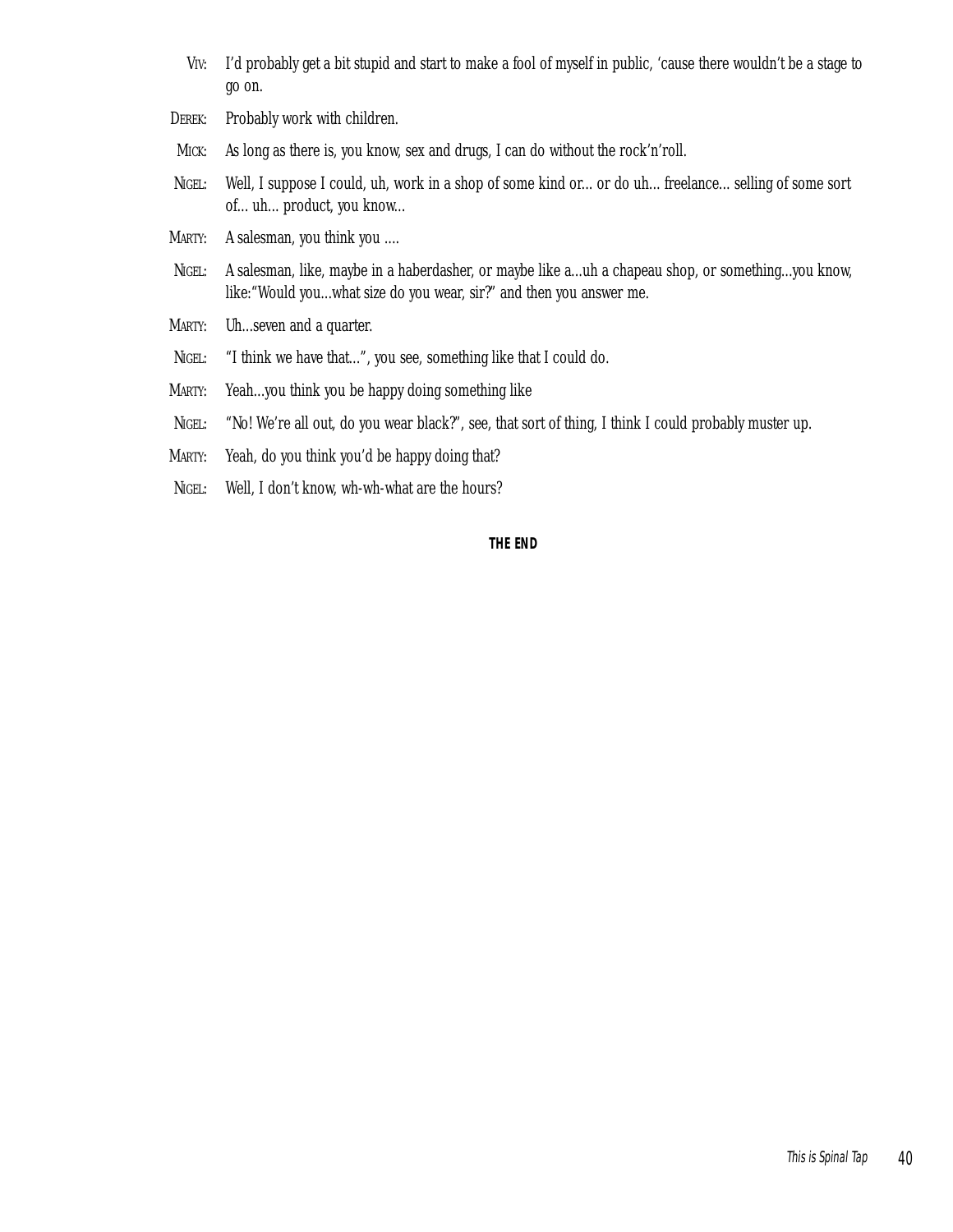- VIV: I'd probably get a bit stupid and start to make a fool of myself in public, 'cause there wouldn't be a stage to go on.
- DEREK: Probably work with children.
- MICK: As long as there is, you know, sex and drugs, I can do without the rock'n'roll.
- NIGEL: Well, I suppose I could, uh, work in a shop of some kind or... or do uh... freelance... selling of some sort of... uh... product, you know...
- MARTY: A salesman, you think you ....
- NIGEL: A salesman, like, maybe in a haberdasher, or maybe like a...uh a chapeau shop, or something...you know, like:"Would you...what size do you wear, sir?" and then you answer me.
- MARTY: Uh...seven and a quarter.
- NIGEL: "I think we have that...", you see, something like that I could do.
- MARTY: Yeah...you think you be happy doing something like
- NIGEL: "No! We're all out, do you wear black?", see, that sort of thing, I think I could probably muster up.
- MARTY: Yeah, do you think you'd be happy doing that?
- NIGEL: Well, I don't know, wh-wh-what are the hours?

**THE END**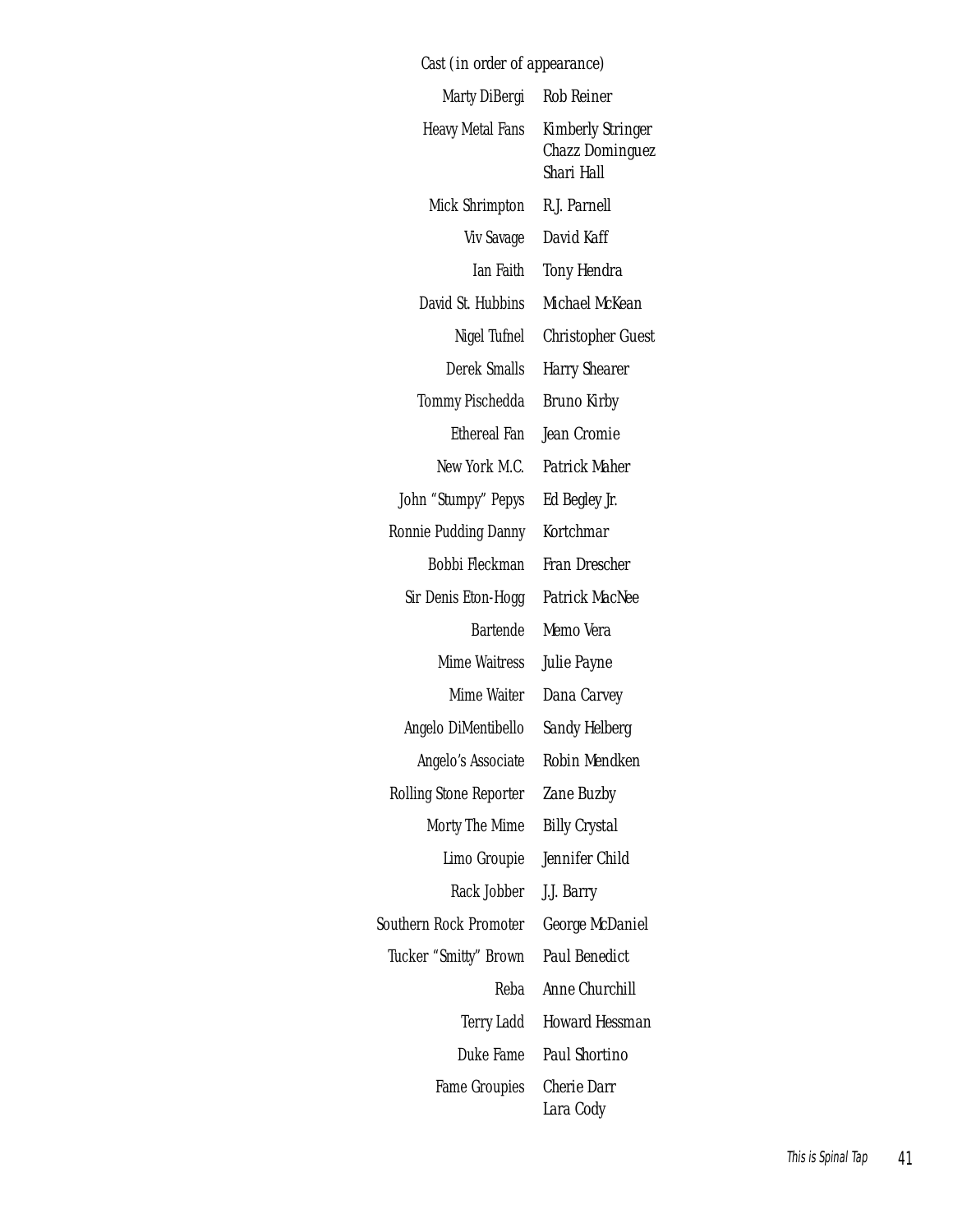| Cast (in order of appearance) |                                                           |  |
|-------------------------------|-----------------------------------------------------------|--|
| Marty DiBergi                 | <b>Rob Reiner</b>                                         |  |
| <b>Heavy Metal Fans</b>       | <b>Kimberly Stringer</b><br>Chazz Dominguez<br>Shari Hall |  |
| Mick Shrimpton                | R.J. Parnell                                              |  |
| Viv Savage                    | <b>David Kaff</b>                                         |  |
| Ian Faith                     | Tony Hendra                                               |  |
| David St. Hubbins             | Michael McKean                                            |  |
| Nigel Tufnel                  | <b>Christopher Guest</b>                                  |  |
| <b>Derek Smalls</b>           | <b>Harry Shearer</b>                                      |  |
| Tommy Pischedda               | <b>Bruno Kirby</b>                                        |  |
| <b>Ethereal Fan</b>           | Jean Cromie                                               |  |
| New York M.C.                 | <b>Patrick Maher</b>                                      |  |
| John "Stumpy" Pepys           | Ed Begley Jr.                                             |  |
| <b>Ronnie Pudding Danny</b>   | Kortchmar                                                 |  |
| <b>Bobbi Fleckman</b>         | <b>Fran Drescher</b>                                      |  |
| Sir Denis Eton-Hogg           | <b>Patrick MacNee</b>                                     |  |
| <b>Bartende</b>               | Memo Vera                                                 |  |
| <b>Mime Waitress</b>          | Julie Payne                                               |  |
| Mime Waiter                   | Dana Carvey                                               |  |
| Angelo DiMentibello           | <b>Sandy Helberg</b>                                      |  |
| Angelo's Associate            | <b>Robin Mendken</b>                                      |  |
| <b>Rolling Stone Reporter</b> | <b>Zane Buzby</b>                                         |  |
| Morty The Mime                | <b>Billy Crystal</b>                                      |  |
| Limo Groupie                  | Jennifer Child                                            |  |
| Rack Jobber                   | J.J. Barry                                                |  |
| <b>Southern Rock Promoter</b> | <b>George McDaniel</b>                                    |  |
| <b>Tucker "Smitty" Brown</b>  | <b>Paul Benedict</b>                                      |  |
| Reba                          | Anne Churchill                                            |  |
| Terry Ladd                    | <b>Howard Hessman</b>                                     |  |
| <b>Duke Fame</b>              | <b>Paul Shortino</b>                                      |  |
| <b>Fame Groupies</b>          | Cherie Darr<br>Lara Cody                                  |  |